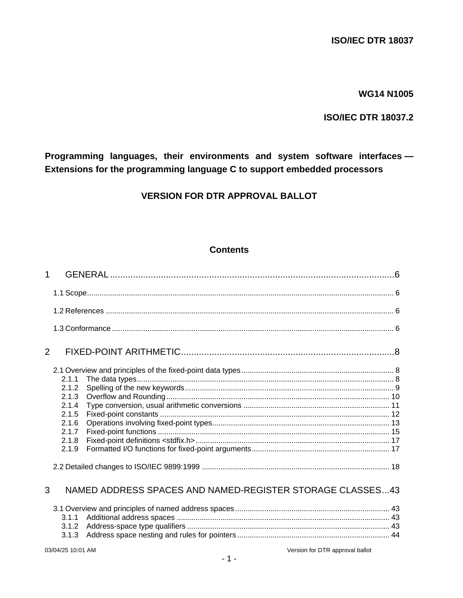# **WG14 N1005**

# **ISO/IEC DTR 18037.2**

Programming languages, their environments and system software interfaces -Extensions for the programming language C to support embedded processors

# **VERSION FOR DTR APPROVAL BALLOT**

# **Contents**

| 1 |                                                                               |                                                           |  |
|---|-------------------------------------------------------------------------------|-----------------------------------------------------------|--|
|   |                                                                               |                                                           |  |
|   |                                                                               |                                                           |  |
|   |                                                                               |                                                           |  |
| 2 |                                                                               |                                                           |  |
|   | 2.1.1<br>2.1.2<br>2.1.3<br>2.1.4<br>2.1.5<br>2.1.6<br>2.1.7<br>2.1.8<br>2.1.9 |                                                           |  |
| 3 |                                                                               | NAMED ADDRESS SPACES AND NAMED-REGISTER STORAGE CLASSES43 |  |
|   | 3.1.1<br>3.1.2<br>3.1.3                                                       |                                                           |  |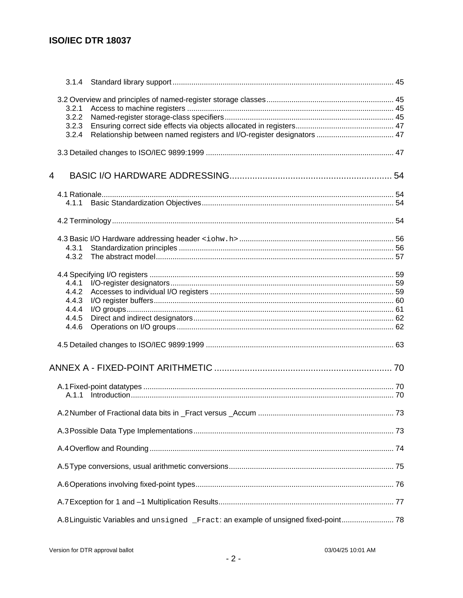|   | 3.2.1 |                                                                                     |  |
|---|-------|-------------------------------------------------------------------------------------|--|
|   | 3.2.2 |                                                                                     |  |
|   | 3.2.3 |                                                                                     |  |
|   | 3.2.4 | Relationship between named registers and I/O-register designators  47               |  |
|   |       |                                                                                     |  |
| 4 |       |                                                                                     |  |
|   |       |                                                                                     |  |
|   | 4.1.1 |                                                                                     |  |
|   |       |                                                                                     |  |
|   |       |                                                                                     |  |
|   |       |                                                                                     |  |
|   | 4.3.1 |                                                                                     |  |
|   | 4.3.2 |                                                                                     |  |
|   |       |                                                                                     |  |
|   | 4.4.1 |                                                                                     |  |
|   | 4.4.2 |                                                                                     |  |
|   | 4.4.3 |                                                                                     |  |
|   | 4.4.4 |                                                                                     |  |
|   | 4.4.5 |                                                                                     |  |
|   | 4.4.6 |                                                                                     |  |
|   |       |                                                                                     |  |
|   |       |                                                                                     |  |
|   |       |                                                                                     |  |
|   |       |                                                                                     |  |
|   |       |                                                                                     |  |
|   |       |                                                                                     |  |
|   |       |                                                                                     |  |
|   |       |                                                                                     |  |
|   |       |                                                                                     |  |
|   |       |                                                                                     |  |
|   |       | A.8 Linguistic Variables and unsigned _Fract: an example of unsigned fixed-point 78 |  |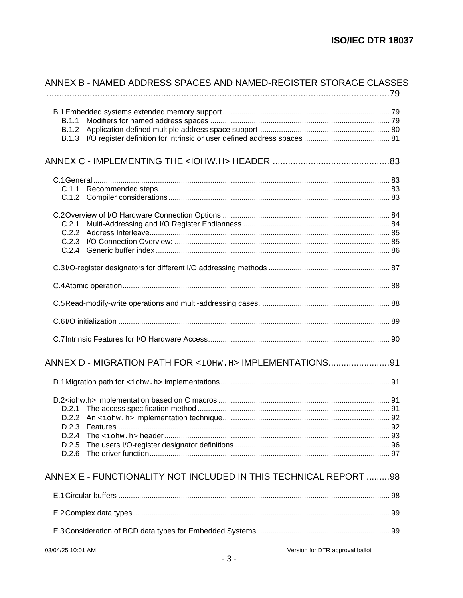| ANNEX B - NAMED ADDRESS SPACES AND NAMED-REGISTER STORAGE CLASSES |  |
|-------------------------------------------------------------------|--|
| <b>B.1.1</b>                                                      |  |
|                                                                   |  |
|                                                                   |  |
|                                                                   |  |
|                                                                   |  |
|                                                                   |  |
|                                                                   |  |
| C.2.1                                                             |  |
|                                                                   |  |
|                                                                   |  |
|                                                                   |  |
|                                                                   |  |
|                                                                   |  |
|                                                                   |  |
|                                                                   |  |
|                                                                   |  |
| ANNEX D - MIGRATION PATH FOR <10HW.H> IMPLEMENTATIONS91           |  |
|                                                                   |  |
|                                                                   |  |
|                                                                   |  |
|                                                                   |  |
| D.2.3                                                             |  |
|                                                                   |  |
| D.2.5                                                             |  |
|                                                                   |  |
| ANNEX E - FUNCTIONALITY NOT INCLUDED IN THIS TECHNICAL REPORT 98  |  |
|                                                                   |  |
|                                                                   |  |
|                                                                   |  |
| Version for DTR approval ballot<br>03/04/25 10:01 AM              |  |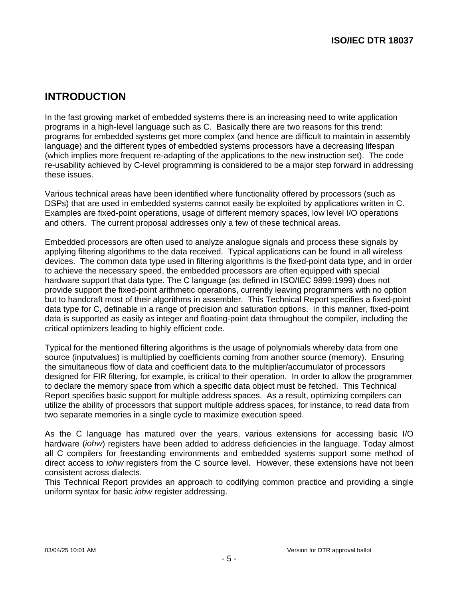# **INTRODUCTION**

In the fast growing market of embedded systems there is an increasing need to write application programs in a high-level language such as C. Basically there are two reasons for this trend: programs for embedded systems get more complex (and hence are difficult to maintain in assembly language) and the different types of embedded systems processors have a decreasing lifespan (which implies more frequent re-adapting of the applications to the new instruction set). The code re-usability achieved by C-level programming is considered to be a major step forward in addressing these issues.

Various technical areas have been identified where functionality offered by processors (such as DSPs) that are used in embedded systems cannot easily be exploited by applications written in C. Examples are fixed-point operations, usage of different memory spaces, low level I/O operations and others. The current proposal addresses only a few of these technical areas.

Embedded processors are often used to analyze analogue signals and process these signals by applying filtering algorithms to the data received. Typical applications can be found in all wireless devices. The common data type used in filtering algorithms is the fixed-point data type, and in order to achieve the necessary speed, the embedded processors are often equipped with special hardware support that data type. The C language (as defined in ISO/IEC 9899:1999) does not provide support the fixed-point arithmetic operations, currently leaving programmers with no option but to handcraft most of their algorithms in assembler. This Technical Report specifies a fixed-point data type for C, definable in a range of precision and saturation options. In this manner, fixed-point data is supported as easily as integer and floating-point data throughout the compiler, including the critical optimizers leading to highly efficient code.

Typical for the mentioned filtering algorithms is the usage of polynomials whereby data from one source (inputvalues) is multiplied by coefficients coming from another source (memory). Ensuring the simultaneous flow of data and coefficient data to the multiplier/accumulator of processors designed for FIR filtering, for example, is critical to their operation. In order to allow the programmer to declare the memory space from which a specific data object must be fetched. This Technical Report specifies basic support for multiple address spaces. As a result, optimizing compilers can utilize the ability of processors that support multiple address spaces, for instance, to read data from two separate memories in a single cycle to maximize execution speed.

As the C language has matured over the years, various extensions for accessing basic I/O hardware (iohw) registers have been added to address deficiencies in the language. Today almost all C compilers for freestanding environments and embedded systems support some method of direct access to *johw* registers from the C source level. However, these extensions have not been consistent across dialects.

This Technical Report provides an approach to codifying common practice and providing a single uniform syntax for basic iohw register addressing.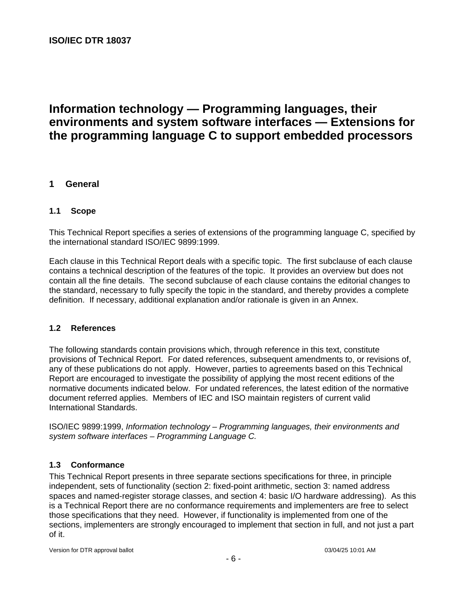# **Information technology — Programming languages, their environments and system software interfaces — Extensions for the programming language C to support embedded processors**

# **1 General**

#### **1.1 Scope**

This Technical Report specifies a series of extensions of the programming language C, specified by the international standard ISO/IEC 9899:1999.

Each clause in this Technical Report deals with a specific topic. The first subclause of each clause contains a technical description of the features of the topic. It provides an overview but does not contain all the fine details. The second subclause of each clause contains the editorial changes to the standard, necessary to fully specify the topic in the standard, and thereby provides a complete definition. If necessary, additional explanation and/or rationale is given in an Annex.

#### **1.2 References**

The following standards contain provisions which, through reference in this text, constitute provisions of Technical Report. For dated references, subsequent amendments to, or revisions of, any of these publications do not apply. However, parties to agreements based on this Technical Report are encouraged to investigate the possibility of applying the most recent editions of the normative documents indicated below. For undated references, the latest edition of the normative document referred applies. Members of IEC and ISO maintain registers of current valid International Standards.

ISO/IEC 9899:1999, Information technology – Programming languages, their environments and system software interfaces – Programming Language C.

### **1.3 Conformance**

This Technical Report presents in three separate sections specifications for three, in principle independent, sets of functionality (section 2: fixed-point arithmetic, section 3: named address spaces and named-register storage classes, and section 4: basic I/O hardware addressing). As this is a Technical Report there are no conformance requirements and implementers are free to select those specifications that they need. However, if functionality is implemented from one of the sections, implementers are strongly encouraged to implement that section in full, and not just a part of it.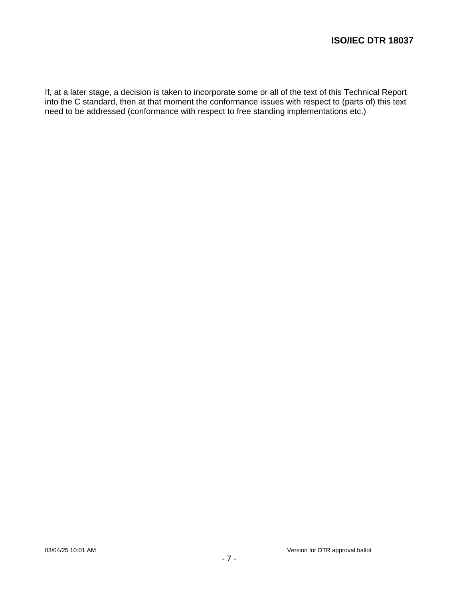If, at a later stage, a decision is taken to incorporate some or all of the text of this Technical Report into the C standard, then at that moment the conformance issues with respect to (parts of) this text need to be addressed (conformance with respect to free standing implementations etc.)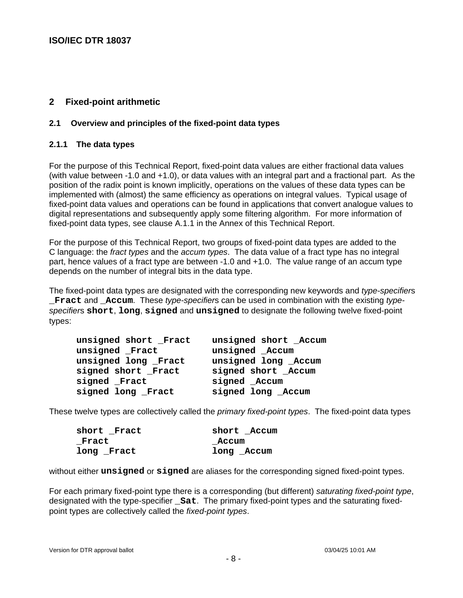# **2 Fixed-point arithmetic**

### **2.1 Overview and principles of the fixed-point data types**

### **2.1.1 The data types**

For the purpose of this Technical Report, fixed-point data values are either fractional data values (with value between -1.0 and +1.0), or data values with an integral part and a fractional part. As the position of the radix point is known implicitly, operations on the values of these data types can be implemented with (almost) the same efficiency as operations on integral values. Typical usage of fixed-point data values and operations can be found in applications that convert analogue values to digital representations and subsequently apply some filtering algorithm. For more information of fixed-point data types, see clause A.1.1 in the Annex of this Technical Report.

For the purpose of this Technical Report, two groups of fixed-point data types are added to the C language: the fract types and the accum types. The data value of a fract type has no integral part, hence values of a fract type are between -1.0 and +1.0. The value range of an accum type depends on the number of integral bits in the data type.

The fixed-point data types are designated with the corresponding new keywords and type-specifiers **Fract and Accum.** These type-specifiers can be used in combination with the existing typespecifiers **short**, **long**, **signed** and **unsigned** to designate the following twelve fixed-point types:

| unsigned short Fract | unsigned short _Accum |
|----------------------|-----------------------|
| unsigned Fract       | unsigned _Accum       |
| unsigned long Fract  | unsigned long _Accum  |
| signed short Fract   | signed short Accum    |
| signed Fract         | signed _Accum         |
| signed long Fract    | signed long _Accum    |

These twelve types are collectively called the *primary fixed-point types*. The fixed-point data types

| short Fract | short Accum |
|-------------|-------------|
| Fract       | Accum       |
| long Fract  | long Accum  |

without either **unsigned** or **signed** are aliases for the corresponding signed fixed-point types.

For each primary fixed-point type there is a corresponding (but different) saturating fixed-point type, designated with the type-specifier **\_Sat**. The primary fixed-point types and the saturating fixedpoint types are collectively called the fixed-point types.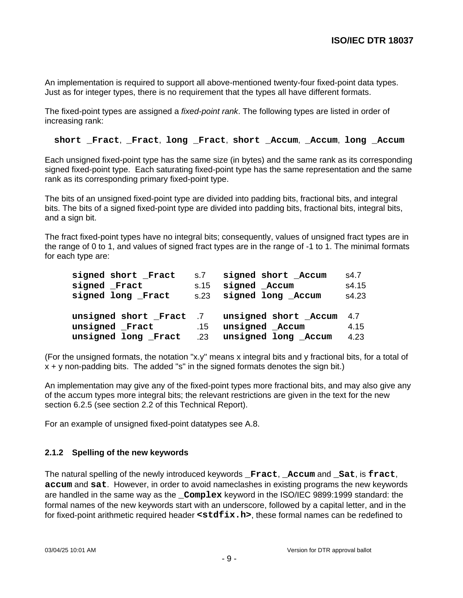An implementation is required to support all above-mentioned twenty-four fixed-point data types. Just as for integer types, there is no requirement that the types all have different formats.

The fixed-point types are assigned a fixed-point rank. The following types are listed in order of increasing rank:

**short \_Fract**, **\_Fract**, **long \_Fract**, **short \_Accum**, **\_Accum**, **long \_Accum**

Each unsigned fixed-point type has the same size (in bytes) and the same rank as its corresponding signed fixed-point type. Each saturating fixed-point type has the same representation and the same rank as its corresponding primary fixed-point type.

The bits of an unsigned fixed-point type are divided into padding bits, fractional bits, and integral bits. The bits of a signed fixed-point type are divided into padding bits, fractional bits, integral bits, and a sign bit.

The fract fixed-point types have no integral bits; consequently, values of unsigned fract types are in the range of 0 to 1, and values of signed fract types are in the range of -1 to 1. The minimal formats for each type are:

| signed short Fract     | S.7  | signed short Accum     | s4.7  |
|------------------------|------|------------------------|-------|
| signed Fract           | s.15 | signed Accum           | s4.15 |
| signed long Fract      |      | s.23 signed long Accum | s4.23 |
|                        |      |                        |       |
|                        |      |                        |       |
| unsigned short Fract 7 |      | unsigned short Accum   | 4.7   |
| unsigned Fract         | .15  | unsigned Accum         | 4.15  |

(For the unsigned formats, the notation "x.y" means x integral bits and y fractional bits, for a total of  $x + y$  non-padding bits. The added "s" in the signed formats denotes the sign bit.)

An implementation may give any of the fixed-point types more fractional bits, and may also give any of the accum types more integral bits; the relevant restrictions are given in the text for the new section 6.2.5 (see section 2.2 of this Technical Report).

For an example of unsigned fixed-point datatypes see A.8.

### **2.1.2 Spelling of the new keywords**

The natural spelling of the newly introduced keywords **\_Fract**, **\_Accum** and **\_Sat**, is **fract**, **accum** and **sat**. However, in order to avoid nameclashes in existing programs the new keywords are handled in the same way as the **\_Complex** keyword in the ISO/IEC 9899:1999 standard: the formal names of the new keywords start with an underscore, followed by a capital letter, and in the for fixed-point arithmetic required header **<stdfix.h>**, these formal names can be redefined to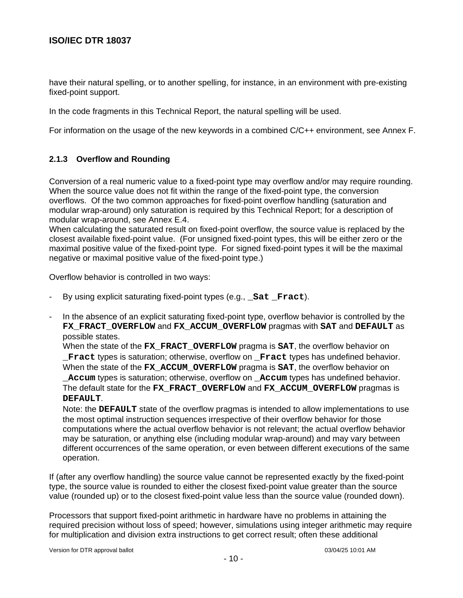have their natural spelling, or to another spelling, for instance, in an environment with pre-existing fixed-point support.

In the code fragments in this Technical Report, the natural spelling will be used.

For information on the usage of the new keywords in a combined C/C++ environment, see Annex F.

### **2.1.3 Overflow and Rounding**

Conversion of a real numeric value to a fixed-point type may overflow and/or may require rounding. When the source value does not fit within the range of the fixed-point type, the conversion overflows. Of the two common approaches for fixed-point overflow handling (saturation and modular wrap-around) only saturation is required by this Technical Report; for a description of modular wrap-around, see Annex E.4.

When calculating the saturated result on fixed-point overflow, the source value is replaced by the closest available fixed-point value. (For unsigned fixed-point types, this will be either zero or the maximal positive value of the fixed-point type. For signed fixed-point types it will be the maximal negative or maximal positive value of the fixed-point type.)

Overflow behavior is controlled in two ways:

- By using explicit saturating fixed-point types (e.g., **Sat Fract**).
- In the absence of an explicit saturating fixed-point type, overflow behavior is controlled by the **FX\_FRACT\_OVERFLOW** and **FX\_ACCUM\_OVERFLOW** pragmas with **SAT** and **DEFAULT** as possible states.

When the state of the **FX\_FRACT\_OVERFLOW** pragma is **SAT**, the overflow behavior on **\_Fract** types is saturation; otherwise, overflow on **\_Fract** types has undefined behavior. When the state of the **FX\_ACCUM\_OVERFLOW** pragma is **SAT**, the overflow behavior on

**\_Accum** types is saturation; otherwise, overflow on **\_Accum** types has undefined behavior. The default state for the **FX\_FRACT\_OVERFLOW** and **FX\_ACCUM\_OVERFLOW** pragmas is **DEFAULT**.

Note: the **DEFAULT** state of the overflow pragmas is intended to allow implementations to use the most optimal instruction sequences irrespective of their overflow behavior for those computations where the actual overflow behavior is not relevant; the actual overflow behavior may be saturation, or anything else (including modular wrap-around) and may vary between different occurrences of the same operation, or even between different executions of the same operation.

If (after any overflow handling) the source value cannot be represented exactly by the fixed-point type, the source value is rounded to either the closest fixed-point value greater than the source value (rounded up) or to the closest fixed-point value less than the source value (rounded down).

Processors that support fixed-point arithmetic in hardware have no problems in attaining the required precision without loss of speed; however, simulations using integer arithmetic may require for multiplication and division extra instructions to get correct result; often these additional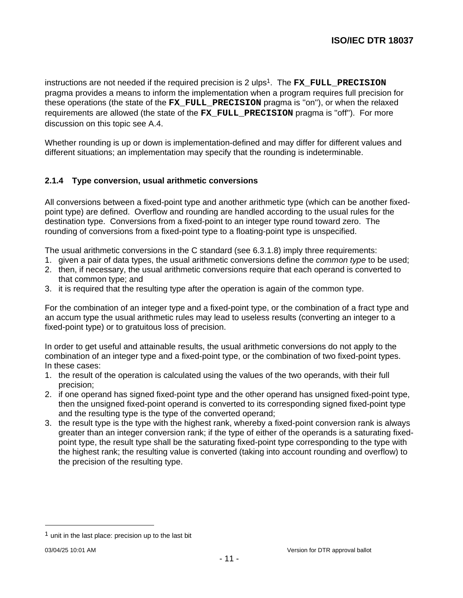instructions are not needed if the required precision is 2 ulps <sup>1</sup>. The **FX\_FULL\_PRECISION** pragma provides a means to inform the implementation when a program requires full precision for these operations (the state of the **FX\_FULL\_PRECISION** pragma is ''on''), or when the relaxed requirements are allowed (the state of the **FX\_FULL\_PRECISION** pragma is ''off''). For more discussion on this topic see A.4.

Whether rounding is up or down is implementation-defined and may differ for different values and different situations; an implementation may specify that the rounding is indeterminable.

# **2.1.4 Type conversion, usual arithmetic conversions**

All conversions between a fixed-point type and another arithmetic type (which can be another fixedpoint type) are defined. Overflow and rounding are handled according to the usual rules for the destination type. Conversions from a fixed-point to an integer type round toward zero. The rounding of conversions from a fixed-point type to a floating-point type is unspecified.

The usual arithmetic conversions in the C standard (see 6.3.1.8) imply three requirements:

- 1. given a pair of data types, the usual arithmetic conversions define the *common type* to be used;
- 2. then, if necessary, the usual arithmetic conversions require that each operand is converted to that common type; and
- 3. it is required that the resulting type after the operation is again of the common type.

For the combination of an integer type and a fixed-point type, or the combination of a fract type and an accum type the usual arithmetic rules may lead to useless results (converting an integer to a fixed-point type) or to gratuitous loss of precision.

In order to get useful and attainable results, the usual arithmetic conversions do not apply to the combination of an integer type and a fixed-point type, or the combination of two fixed-point types. In these cases:

- 1. the result of the operation is calculated using the values of the two operands, with their full precision;
- 2. if one operand has signed fixed-point type and the other operand has unsigned fixed-point type, then the unsigned fixed-point operand is converted to its corresponding signed fixed-point type and the resulting type is the type of the converted operand;
- 3. the result type is the type with the highest rank, whereby a fixed-point conversion rank is always greater than an integer conversion rank; if the type of either of the operands is a saturating fixedpoint type, the result type shall be the saturating fixed-point type corresponding to the type with the highest rank; the resulting value is converted (taking into account rounding and overflow) to the precision of the resulting type.

-

 $<sup>1</sup>$  unit in the last place: precision up to the last bit</sup>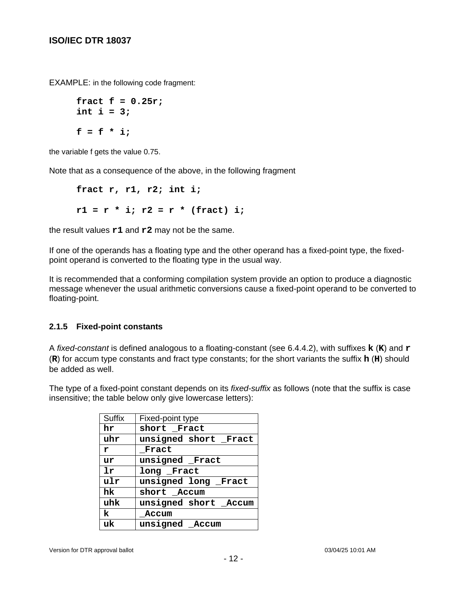EXAMPLE: in the following code fragment:

```
fract f = 0.25r;
int i = 3;
f = f * i;
```
the variable f gets the value 0.75.

Note that as a consequence of the above, in the following fragment

**fract r, r1, r2; int i; r1 = r \* i; r2 = r \* (fract) i;**

the result values **r1** and **r2** may not be the same.

If one of the operands has a floating type and the other operand has a fixed-point type, the fixedpoint operand is converted to the floating type in the usual way.

It is recommended that a conforming compilation system provide an option to produce a diagnostic message whenever the usual arithmetic conversions cause a fixed-point operand to be converted to floating-point.

### **2.1.5 Fixed-point constants**

A fixed-constant is defined analogous to a floating-constant (see 6.4.4.2), with suffixes **k** (**K**) and **r** (**R**) for accum type constants and fract type constants; for the short variants the suffix **h** (**H**) should be added as well.

The type of a fixed-point constant depends on its fixed-suffix as follows (note that the suffix is case insensitive; the table below only give lowercase letters):

| Suffix       | Fixed-point type      |
|--------------|-----------------------|
| hr           | short Fract           |
| uhr          | unsigned short _Fract |
| $\mathbf{r}$ | Fract                 |
| ur           | unsigned Fract        |
| 1r           | long Fract            |
| ulr          | unsigned long Fract   |
| hk           | short Accum           |
| uhk          | unsigned short _Accum |
| k            | Accum                 |
| uk           | unsigned Accum        |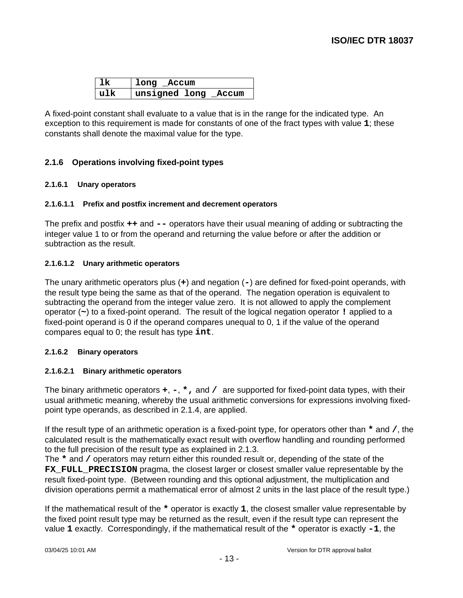| 1k  | long _Accum          |  |
|-----|----------------------|--|
| n1k | unsigned long _Accum |  |

A fixed-point constant shall evaluate to a value that is in the range for the indicated type. An exception to this requirement is made for constants of one of the fract types with value **1**; these constants shall denote the maximal value for the type.

# **2.1.6 Operations involving fixed-point types**

### **2.1.6.1 Unary operators**

#### **2.1.6.1.1 Prefix and postfix increment and decrement operators**

The prefix and postfix **++** and **--** operators have their usual meaning of adding or subtracting the integer value 1 to or from the operand and returning the value before or after the addition or subtraction as the result.

#### **2.1.6.1.2 Unary arithmetic operators**

The unary arithmetic operators plus (**+**) and negation (**-**) are defined for fixed-point operands, with the result type being the same as that of the operand. The negation operation is equivalent to subtracting the operand from the integer value zero. It is not allowed to apply the complement operator (**~**) to a fixed-point operand. The result of the logical negation operator **!** applied to a fixed-point operand is 0 if the operand compares unequal to 0, 1 if the value of the operand compares equal to 0; the result has type **int**.

#### **2.1.6.2 Binary operators**

#### **2.1.6.2.1 Binary arithmetic operators**

The binary arithmetic operators **+**, **-**, **\*,** and **/** are supported for fixed-point data types, with their usual arithmetic meaning, whereby the usual arithmetic conversions for expressions involving fixedpoint type operands, as described in 2.1.4, are applied.

If the result type of an arithmetic operation is a fixed-point type, for operators other than **\*** and **/**, the calculated result is the mathematically exact result with overflow handling and rounding performed to the full precision of the result type as explained in 2.1.3.

The **\*** and **/** operators may return either this rounded result or, depending of the state of the **FX\_FULL\_PRECISION** pragma, the closest larger or closest smaller value representable by the result fixed-point type. (Between rounding and this optional adjustment, the multiplication and division operations permit a mathematical error of almost 2 units in the last place of the result type.)

If the mathematical result of the **\*** operator is exactly **1**, the closest smaller value representable by the fixed point result type may be returned as the result, even if the result type can represent the value **1** exactly. Correspondingly, if the mathematical result of the **\*** operator is exactly **-1**, the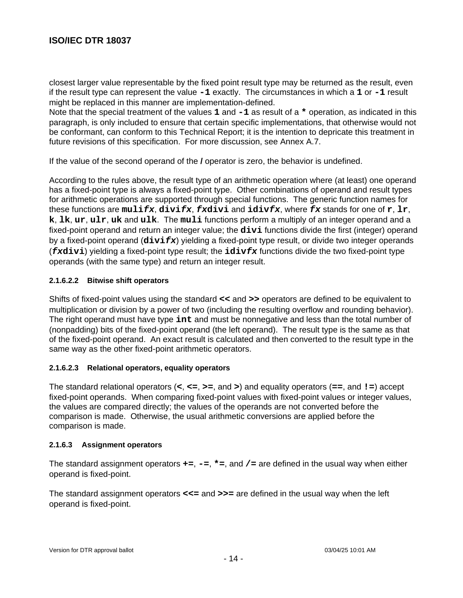closest larger value representable by the fixed point result type may be returned as the result, even if the result type can represent the value **-1** exactly. The circumstances in which a **1** or **-1** result might be replaced in this manner are implementation-defined.

Note that the special treatment of the values **1** and **-1** as result of a **\*** operation, as indicated in this paragraph, is only included to ensure that certain specific implementations, that otherwise would not be conformant, can conform to this Technical Report; it is the intention to depricate this treatment in future revisions of this specification. For more discussion, see Annex A.7.

If the value of the second operand of the **/** operator is zero, the behavior is undefined.

According to the rules above, the result type of an arithmetic operation where (at least) one operand has a fixed-point type is always a fixed-point type. Other combinations of operand and result types for arithmetic operations are supported through special functions. The generic function names for these functions are **mulifx**, **divifx**, **fxdivi** and **idivfx**, where **fx** stands for one of **r**, **lr**, **k**, **lk**, **ur**, **ulr**, **uk** and **ulk**. The **muli** functions perform a multiply of an integer operand and a fixed-point operand and return an integer value; the **divi** functions divide the first (integer) operand by a fixed-point operand (**divifx**) yielding a fixed-point type result, or divide two integer operands (**fxdivi**) yielding a fixed-point type result; the **idivfx** functions divide the two fixed-point type operands (with the same type) and return an integer result.

### **2.1.6.2.2 Bitwise shift operators**

Shifts of fixed-point values using the standard **<<** and **>>** operators are defined to be equivalent to multiplication or division by a power of two (including the resulting overflow and rounding behavior). The right operand must have type **int** and must be nonnegative and less than the total number of (nonpadding) bits of the fixed-point operand (the left operand). The result type is the same as that of the fixed-point operand. An exact result is calculated and then converted to the result type in the same way as the other fixed-point arithmetic operators.

### **2.1.6.2.3 Relational operators, equality operators**

The standard relational operators (**<**, **<=**, **>=**, and **>**) and equality operators (**==**, and **!=**) accept fixed-point operands. When comparing fixed-point values with fixed-point values or integer values, the values are compared directly; the values of the operands are not converted before the comparison is made. Otherwise, the usual arithmetic conversions are applied before the comparison is made.

#### **2.1.6.3 Assignment operators**

The standard assignment operators **+=**, **-=**, **\*=**, and **/=** are defined in the usual way when either operand is fixed-point.

The standard assignment operators **<<=** and **>>=** are defined in the usual way when the left operand is fixed-point.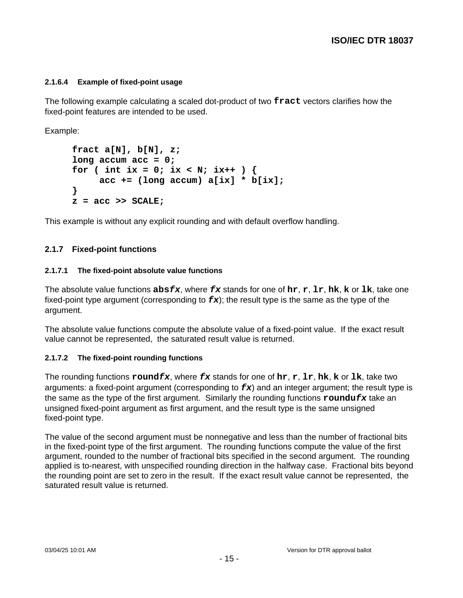### **2.1.6.4 Example of fixed-point usage**

The following example calculating a scaled dot-product of two **fract** vectors clarifies how the fixed-point features are intended to be used.

Example:

```
fract a[N], b[N], z;
long accum acc = 0;
for ( int ix = 0; ix < N; ix++ ) {
     acc += (long accum) a[ix] * b[ix];
}
z = acc >> SCALE;
```
This example is without any explicit rounding and with default overflow handling.

# **2.1.7 Fixed-point functions**

#### **2.1.7.1 The fixed-point absolute value functions**

The absolute value functions **absfx**, where **fx** stands for one of **hr**, **r**, **lr**, **hk**, **k** or **lk**, take one fixed-point type argument (corresponding to  $f\mathbf{x}$ ); the result type is the same as the type of the argument.

The absolute value functions compute the absolute value of a fixed-point value. If the exact result value cannot be represented, the saturated result value is returned.

### **2.1.7.2 The fixed-point rounding functions**

The rounding functions **roundfx**, where **fx** stands for one of **hr**, **r**, **lr**, **hk**, **k** or **lk**, take two arguments: a fixed-point argument (corresponding to **fx**) and an integer argument; the result type is the same as the type of the first argument. Similarly the rounding functions **roundufx** take an unsigned fixed-point argument as first argument, and the result type is the same unsigned fixed-point type.

The value of the second argument must be nonnegative and less than the number of fractional bits in the fixed-point type of the first argument. The rounding functions compute the value of the first argument, rounded to the number of fractional bits specified in the second argument. The rounding applied is to-nearest, with unspecified rounding direction in the halfway case. Fractional bits beyond the rounding point are set to zero in the result. If the exact result value cannot be represented, the saturated result value is returned.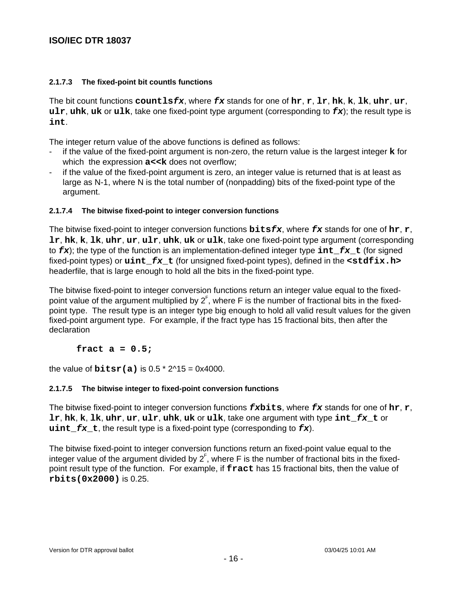#### **2.1.7.3 The fixed-point bit countls functions**

The bit count functions **countlsfx**, where **fx** stands for one of **hr**, **r**, **lr**, **hk**, **k**, **lk**, **uhr**, **ur**, **ulr**, **uhk**, **uk** or **ulk**, take one fixed-point type argument (corresponding to **fx**); the result type is **int**.

The integer return value of the above functions is defined as follows:

- if the value of the fixed-point argument is non-zero, the return value is the largest integer **k** for which the expression  $a$  << k does not overflow;
- if the value of the fixed-point argument is zero, an integer value is returned that is at least as large as N-1, where N is the total number of (nonpadding) bits of the fixed-point type of the argument.

#### **2.1.7.4 The bitwise fixed-point to integer conversion functions**

The bitwise fixed-point to integer conversion functions **bitsfx**, where **fx** stands for one of **hr**, **r**, **lr**, **hk**, **k**, **lk**, **uhr**, **ur**, **ulr**, **uhk**, **uk** or **ulk**, take one fixed-point type argument (corresponding to **fx**); the type of the function is an implementation-defined integer type **int\_fx\_t** (for signed fixed-point types) or **uint\_fx\_t** (for unsigned fixed-point types), defined in the **<stdfix.h>** headerfile, that is large enough to hold all the bits in the fixed-point type.

The bitwise fixed-point to integer conversion functions return an integer value equal to the fixedpoint value of the argument multiplied by  $2^{\mathsf{F}}$ , where F is the number of fractional bits in the fixedpoint type. The result type is an integer type big enough to hold all valid result values for the given fixed-point argument type. For example, if the fract type has 15 fractional bits, then after the declaration

**fract a = 0.5;**

the value of  $\text{bitsr(a)}$  is 0.5  $*$  2 $\text{15} = 0 \times 4000$ .

### **2.1.7.5 The bitwise integer to fixed-point conversion functions**

The bitwise fixed-point to integer conversion functions **fxbits**, where **fx** stands for one of **hr**, **r**, **lr**, **hk**, **k**, **lk**, **uhr**, **ur**, **ulr**, **uhk**, **uk** or **ulk**, take one argument with type **int\_fx\_t** or **uint**  $f x$  **t**, the result type is a fixed-point type (corresponding to  $f x$ ).

The bitwise fixed-point to integer conversion functions return an fixed-point value equal to the integer value of the argument divided by  $2^{\text{F}}$ , where F is the number of fractional bits in the fixedpoint result type of the function. For example, if **fract** has 15 fractional bits, then the value of **rbits(0x2000)** is 0.25.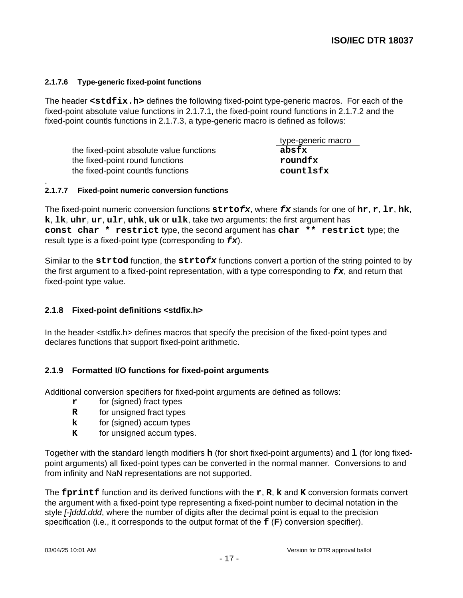#### **2.1.7.6 Type-generic fixed-point functions**

The header **<stdfix.h>** defines the following fixed-point type-generic macros. For each of the fixed-point absolute value functions in 2.1.7.1, the fixed-point round functions in 2.1.7.2 and the fixed-point countls functions in 2.1.7.3, a type-generic macro is defined as follows:

|                                          | type-generic macro |
|------------------------------------------|--------------------|
| the fixed-point absolute value functions | absfx              |
| the fixed-point round functions          | roundfx            |
| the fixed-point countls functions        | countlsfx          |

#### **2.1.7.7 Fixed-point numeric conversion functions**

.

The fixed-point numeric conversion functions **strtofx**, where **fx** stands for one of **hr**, **r**, **lr**, **hk**, **k**, **lk**, **uhr**, **ur**, **ulr**, **uhk**, **uk** or **ulk**, take two arguments: the first argument has **const char \* restrict** type, the second argument has **char \*\* restrict** type; the result type is a fixed-point type (corresponding to **fx**).

Similar to the **strtod** function, the **strtofx** functions convert a portion of the string pointed to by the first argument to a fixed-point representation, with a type corresponding to **fx**, and return that fixed-point type value.

### **2.1.8 Fixed-point definitions <stdfix.h>**

In the header <stdfix.h> defines macros that specify the precision of the fixed-point types and declares functions that support fixed-point arithmetic.

### **2.1.9 Formatted I/O functions for fixed-point arguments**

Additional conversion specifiers for fixed-point arguments are defined as follows:

- **r** for (signed) fract types
- **R** for unsigned fract types
- **k** for (signed) accum types
- **K** for unsigned accum types.

Together with the standard length modifiers **h** (for short fixed-point arguments) and **l** (for long fixedpoint arguments) all fixed-point types can be converted in the normal manner. Conversions to and from infinity and NaN representations are not supported.

The **fprintf** function and its derived functions with the **r**, **R**, **k** and **K** conversion formats convert the argument with a fixed-point type representing a fixed-point number to decimal notation in the style [-]ddd.ddd, where the number of digits after the decimal point is equal to the precision specification (i.e., it corresponds to the output format of the **f** (**F**) conversion specifier).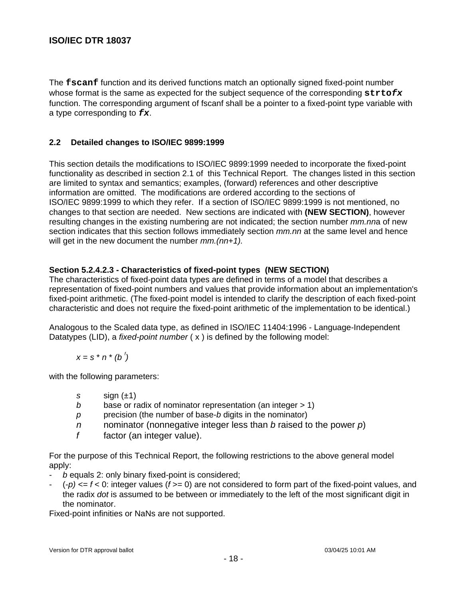The **fscanf** function and its derived functions match an optionally signed fixed-point number whose format is the same as expected for the subject sequence of the corresponding **strtofx** function. The corresponding argument of fscanf shall be a pointer to a fixed-point type variable with a type corresponding to **fx**.

# **2.2 Detailed changes to ISO/IEC 9899:1999**

This section details the modifications to ISO/IEC 9899:1999 needed to incorporate the fixed-point functionality as described in section 2.1 of this Technical Report. The changes listed in this section are limited to syntax and semantics; examples, (forward) references and other descriptive information are omitted. The modifications are ordered according to the sections of ISO/IEC 9899:1999 to which they refer. If a section of ISO/IEC 9899:1999 is not mentioned, no changes to that section are needed. New sections are indicated with **(NEW SECTION)**, however resulting changes in the existing numbering are not indicated; the section number mm.nna of new section indicates that this section follows immediately section  $mmnn$  at the same level and hence will get in the new document the number  $mm(m+1)$ .

# **Section 5.2.4.2.3 - Characteristics of fixed-point types (NEW SECTION)**

The characteristics of fixed-point data types are defined in terms of a model that describes a representation of fixed-point numbers and values that provide information about an implementation's fixed-point arithmetic. (The fixed-point model is intended to clarify the description of each fixed-point characteristic and does not require the fixed-point arithmetic of the implementation to be identical.)

Analogous to the Scaled data type, as defined in ISO/IEC 11404:1996 - Language-Independent Datatypes (LID), a *fixed-point number*  $(x)$  is defined by the following model:

 $x = s * n * (b')$ 

with the following parameters:

- s  $s$  sign  $(\pm 1)$
- b base or radix of nominator representation (an integer  $> 1$ )
- $p$  precision (the number of base-b digits in the nominator)
- n nominator (nonnegative integer less than b raised to the power  $p$ )
- $f$  factor (an integer value).

For the purpose of this Technical Report, the following restrictions to the above general model apply:

- b equals 2: only binary fixed-point is considered;
- $(-p) \leq f \leq 0$ : integer values ( $f \geq 0$ ) are not considered to form part of the fixed-point values, and the radix dot is assumed to be between or immediately to the left of the most significant digit in the nominator.

Fixed-point infinities or NaNs are not supported.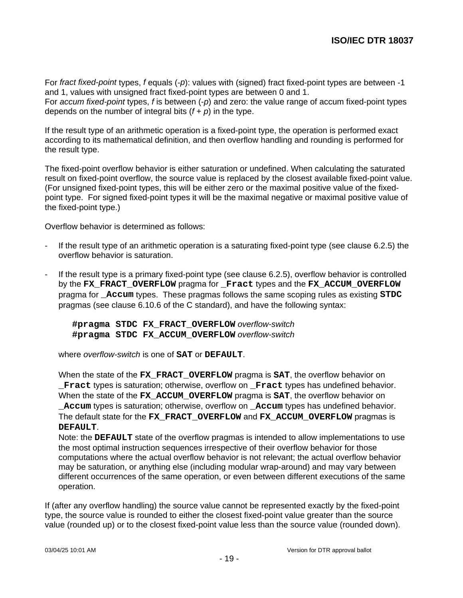For fract fixed-point types, f equals (-p): values with (signed) fract fixed-point types are between -1 and 1, values with unsigned fract fixed-point types are between 0 and 1.

For *accum fixed-point* types, f is between  $(-p)$  and zero: the value range of accum fixed-point types depends on the number of integral bits  $(f + p)$  in the type.

If the result type of an arithmetic operation is a fixed-point type, the operation is performed exact according to its mathematical definition, and then overflow handling and rounding is performed for the result type.

The fixed-point overflow behavior is either saturation or undefined. When calculating the saturated result on fixed-point overflow, the source value is replaced by the closest available fixed-point value. (For unsigned fixed-point types, this will be either zero or the maximal positive value of the fixedpoint type. For signed fixed-point types it will be the maximal negative or maximal positive value of the fixed-point type.)

Overflow behavior is determined as follows:

- If the result type of an arithmetic operation is a saturating fixed-point type (see clause 6.2.5) the overflow behavior is saturation.
- If the result type is a primary fixed-point type (see clause 6.2.5), overflow behavior is controlled by the **FX\_FRACT\_OVERFLOW** pragma for **\_Fract** types and the **FX\_ACCUM\_OVERFLOW** pragma for **\_Accum** types. These pragmas follows the same scoping rules as existing **STDC** pragmas (see clause 6.10.6 of the C standard), and have the following syntax:

**#pragma STDC FX\_FRACT\_OVERFLOW** overflow-switch **#pragma STDC FX\_ACCUM\_OVERFLOW** overflow-switch

where overflow-switch is one of **SAT** or **DEFAULT**.

When the state of the **FX\_FRACT\_OVERFLOW** pragma is **SAT**, the overflow behavior on **\_Fract** types is saturation; otherwise, overflow on **\_Fract** types has undefined behavior. When the state of the **FX\_ACCUM\_OVERFLOW** pragma is **SAT**, the overflow behavior on **\_Accum** types is saturation; otherwise, overflow on **\_Accum** types has undefined behavior. The default state for the **FX\_FRACT\_OVERFLOW** and **FX\_ACCUM\_OVERFLOW** pragmas is **DEFAULT**.

Note: the **DEFAULT** state of the overflow pragmas is intended to allow implementations to use the most optimal instruction sequences irrespective of their overflow behavior for those computations where the actual overflow behavior is not relevant; the actual overflow behavior may be saturation, or anything else (including modular wrap-around) and may vary between different occurrences of the same operation, or even between different executions of the same operation.

If (after any overflow handling) the source value cannot be represented exactly by the fixed-point type, the source value is rounded to either the closest fixed-point value greater than the source value (rounded up) or to the closest fixed-point value less than the source value (rounded down).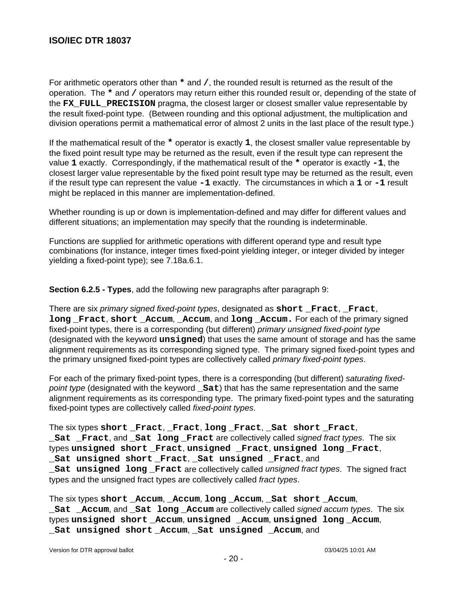For arithmetic operators other than **\*** and **/**, the rounded result is returned as the result of the operation. The **\*** and **/** operators may return either this rounded result or, depending of the state of the **FX\_FULL\_PRECISION** pragma, the closest larger or closest smaller value representable by the result fixed-point type. (Between rounding and this optional adjustment, the multiplication and division operations permit a mathematical error of almost 2 units in the last place of the result type.)

If the mathematical result of the **\*** operator is exactly **1**, the closest smaller value representable by the fixed point result type may be returned as the result, even if the result type can represent the value **1** exactly. Correspondingly, if the mathematical result of the **\*** operator is exactly **-1**, the closest larger value representable by the fixed point result type may be returned as the result, even if the result type can represent the value **-1** exactly. The circumstances in which a **1** or **-1** result might be replaced in this manner are implementation-defined.

Whether rounding is up or down is implementation-defined and may differ for different values and different situations; an implementation may specify that the rounding is indeterminable.

Functions are supplied for arithmetic operations with different operand type and result type combinations (for instance, integer times fixed-point yielding integer, or integer divided by integer yielding a fixed-point type); see 7.18a.6.1.

**Section 6.2.5 - Types**, add the following new paragraphs after paragraph 9:

There are six primary signed fixed-point types, designated as **short \_Fract**, **\_Fract**, **long \_Fract**, **short \_Accum**, **\_Accum**, and **long \_Accum.** For each of the primary signed fixed-point types, there is a corresponding (but different) primary unsigned fixed-point type (designated with the keyword **unsigned**) that uses the same amount of storage and has the same alignment requirements as its corresponding signed type. The primary signed fixed-point types and the primary unsigned fixed-point types are collectively called primary fixed-point types.

For each of the primary fixed-point types, there is a corresponding (but different) saturating fixedpoint type (designated with the keyword **Sat**) that has the same representation and the same alignment requirements as its corresponding type. The primary fixed-point types and the saturating fixed-point types are collectively called fixed-point types.

The six types **short \_Fract**, **\_Fract**, **long \_Fract**, **\_Sat short \_Fract**, **\_Sat \_Fract**, and **\_Sat long \_Fract** are collectively called signed fract types. The six types **unsigned short \_Fract**, **unsigned \_Fract**, **unsigned long \_Fract**, **\_Sat unsigned short \_Fract**, **\_Sat unsigned \_Fract**, and

**\_Sat unsigned long \_Fract** are collectively called unsigned fract types. The signed fract types and the unsigned fract types are collectively called fract types.

The six types **short \_Accum**, **\_Accum**, **long \_Accum**, **\_Sat short \_Accum**, **\_Sat \_Accum**, and **\_Sat long \_Accum** are collectively called signed accum types. The six types **unsigned short \_Accum**, **unsigned \_Accum**, **unsigned long \_Accum**, **\_Sat unsigned short \_Accum**, **\_Sat unsigned \_Accum**, and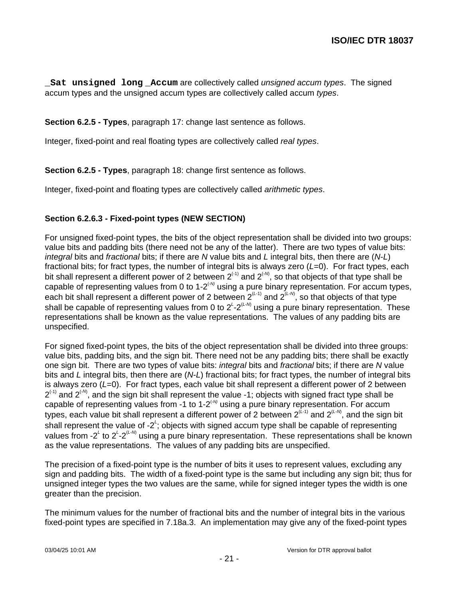**\_Sat unsigned long \_Accum** are collectively called unsigned accum types. The signed accum types and the unsigned accum types are collectively called accum types.

**Section 6.2.5 - Types**, paragraph 17: change last sentence as follows.

Integer, fixed-point and real floating types are collectively called real types.

**Section 6.2.5 - Types**, paragraph 18: change first sentence as follows.

Integer, fixed-point and floating types are collectively called arithmetic types.

# **Section 6.2.6.3 - Fixed-point types (NEW SECTION)**

For unsigned fixed-point types, the bits of the object representation shall be divided into two groups: value bits and padding bits (there need not be any of the latter). There are two types of value bits: integral bits and fractional bits; if there are N value bits and L integral bits, then there are  $(N-L)$ fractional bits; for fract types, the number of integral bits is always zero  $(L=0)$ . For fract types, each bit shall represent a different power of 2 between 2<sup>(-1)</sup> and 2<sup>(-M</sup>, so that objects of that type shall be capable of representing values from 0 to 1-2 $\alpha$  using a pure binary representation. For accum types, each bit shall represent a different power of 2 between  $2^{(L-1)}$  and  $2^{(L-N)}$ , so that objects of that type shall be capable of representing values from 0 to 2<sup>L</sup>-2<sup>(L-M)</sup> using a pure binary representation. These representations shall be known as the value representations. The values of any padding bits are unspecified.

For signed fixed-point types, the bits of the object representation shall be divided into three groups: value bits, padding bits, and the sign bit. There need not be any padding bits; there shall be exactly one sign bit. There are two types of value bits: *integral* bits and fractional bits; if there are N value bits and L integral bits, then there are  $(N-L)$  fractional bits; for fract types, the number of integral bits is always zero  $(L=0)$ . For fract types, each value bit shall represent a different power of 2 between  $2^{(1)}$  and  $2^{(1)}$ , and the sign bit shall represent the value -1; objects with signed fract type shall be capable of representing values from -1 to 1-2 $\cdot^{\scriptscriptstyle{(M)}}$  using a pure binary representation. For accum types, each value bit shall represent a different power of 2 between  $2^{(L\text{-}1)}$  and  $2^{(L\text{-}M)}$ , and the sign bit shall represent the value of -2<sup>L</sup>; objects with signed accum type shall be capable of representing values from -2<sup>L</sup> to 2<sup>L</sup>-2<sup>(L-M)</sup> using a pure binary representation. These representations shall be known as the value representations. The values of any padding bits are unspecified.

The precision of a fixed-point type is the number of bits it uses to represent values, excluding any sign and padding bits. The width of a fixed-point type is the same but including any sign bit; thus for unsigned integer types the two values are the same, while for signed integer types the width is one greater than the precision.

The minimum values for the number of fractional bits and the number of integral bits in the various fixed-point types are specified in 7.18a.3. An implementation may give any of the fixed-point types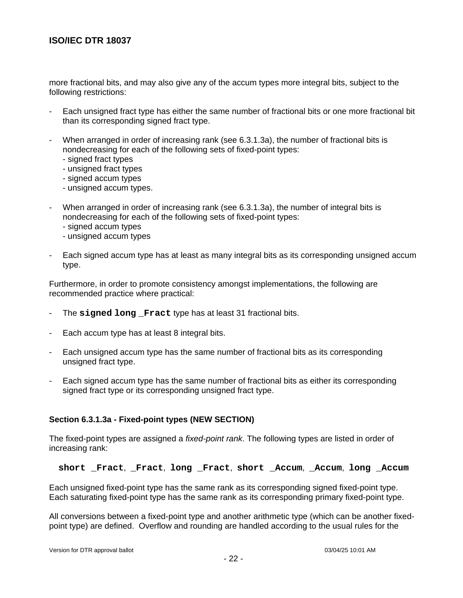more fractional bits, and may also give any of the accum types more integral bits, subject to the following restrictions:

- Each unsigned fract type has either the same number of fractional bits or one more fractional bit than its corresponding signed fract type.
- When arranged in order of increasing rank (see 6.3.1.3a), the number of fractional bits is nondecreasing for each of the following sets of fixed-point types:
	- signed fract types
	- unsigned fract types
	- signed accum types
	- unsigned accum types.
- When arranged in order of increasing rank (see 6.3.1.3a), the number of integral bits is nondecreasing for each of the following sets of fixed-point types:
	- signed accum types
	- unsigned accum types
- Each signed accum type has at least as many integral bits as its corresponding unsigned accum type.

Furthermore, in order to promote consistency amongst implementations, the following are recommended practice where practical:

- The **signed long \_Fract** type has at least 31 fractional bits.
- Each accum type has at least 8 integral bits.
- Each unsigned accum type has the same number of fractional bits as its corresponding unsigned fract type.
- Each signed accum type has the same number of fractional bits as either its corresponding signed fract type or its corresponding unsigned fract type.

### **Section 6.3.1.3a - Fixed-point types (NEW SECTION)**

The fixed-point types are assigned a *fixed-point rank*. The following types are listed in order of increasing rank:

#### **short \_Fract**, **\_Fract**, **long \_Fract**, **short \_Accum**, **\_Accum**, **long \_Accum**

Each unsigned fixed-point type has the same rank as its corresponding signed fixed-point type. Each saturating fixed-point type has the same rank as its corresponding primary fixed-point type.

All conversions between a fixed-point type and another arithmetic type (which can be another fixedpoint type) are defined. Overflow and rounding are handled according to the usual rules for the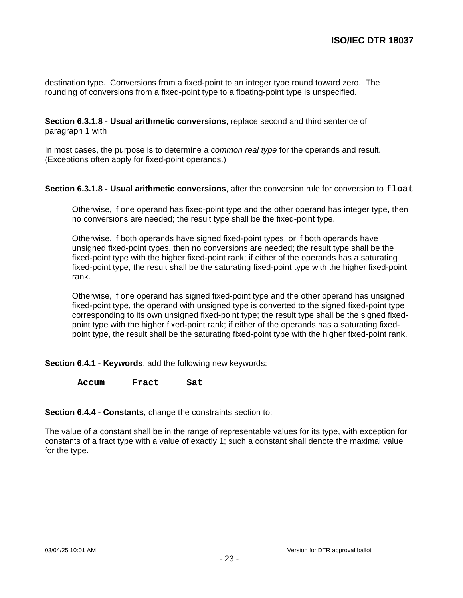destination type. Conversions from a fixed-point to an integer type round toward zero. The rounding of conversions from a fixed-point type to a floating-point type is unspecified.

#### **Section 6.3.1.8 - Usual arithmetic conversions**, replace second and third sentence of paragraph 1 with

In most cases, the purpose is to determine a *common real type* for the operands and result. (Exceptions often apply for fixed-point operands.)

### **Section 6.3.1.8 - Usual arithmetic conversions**, after the conversion rule for conversion to **float**

Otherwise, if one operand has fixed-point type and the other operand has integer type, then no conversions are needed; the result type shall be the fixed-point type.

Otherwise, if both operands have signed fixed-point types, or if both operands have unsigned fixed-point types, then no conversions are needed; the result type shall be the fixed-point type with the higher fixed-point rank; if either of the operands has a saturating fixed-point type, the result shall be the saturating fixed-point type with the higher fixed-point rank.

Otherwise, if one operand has signed fixed-point type and the other operand has unsigned fixed-point type, the operand with unsigned type is converted to the signed fixed-point type corresponding to its own unsigned fixed-point type; the result type shall be the signed fixedpoint type with the higher fixed-point rank; if either of the operands has a saturating fixedpoint type, the result shall be the saturating fixed-point type with the higher fixed-point rank.

**Section 6.4.1 - Keywords**, add the following new keywords:

**\_Accum \_Fract \_Sat**

**Section 6.4.4 - Constants**, change the constraints section to:

The value of a constant shall be in the range of representable values for its type, with exception for constants of a fract type with a value of exactly 1; such a constant shall denote the maximal value for the type.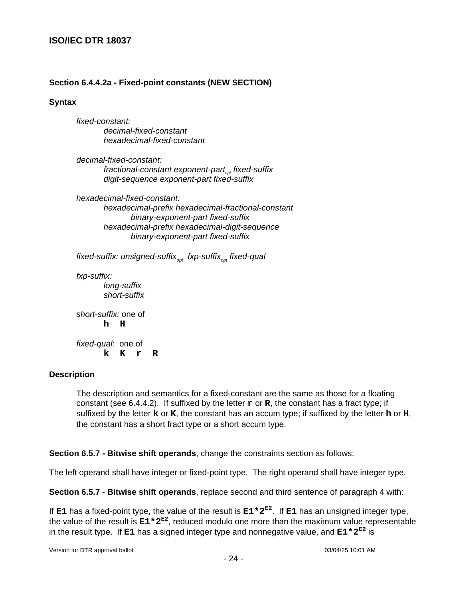# **Section 6.4.4.2a - Fixed-point constants (NEW SECTION)**

#### **Syntax**

fixed-constant: decimal-fixed-constant hexadecimal-fixed-constant

decimal-fixed-constant: fractional-constant exponent-part<sub><sub>ort</sub> fixed-suffix</sub> digit-sequence exponent-part fixed-suffix

hexadecimal-fixed-constant: hexadecimal-prefix hexadecimal-fractional-constant binary-exponent-part fixed-suffix hexadecimal-prefix hexadecimal-digit-sequence binary-exponent-part fixed-suffix

fixed-suffix: unsigned-suffix<sub>opt</sub>\_fxp-suffix<sub>opt</sub> fixed-qual

fxp-suffix: long-suffix short-suffix

short-suffix: one of **h H**

fixed-qual: one of **k K r R**

### **Description**

The description and semantics for a fixed-constant are the same as those for a floating constant (see 6.4.4.2). If suffixed by the letter **r** or **R**, the constant has a fract type; if suffixed by the letter **k** or **K**, the constant has an accum type; if suffixed by the letter **h** or **H**, the constant has a short fract type or a short accum type.

**Section 6.5.7 - Bitwise shift operands**, change the constraints section as follows:

The left operand shall have integer or fixed-point type. The right operand shall have integer type.

**Section 6.5.7 - Bitwise shift operands**, replace second and third sentence of paragraph 4 with:

If **E1** has a fixed-point type, the value of the result is **E1\*2E2**. If **E1** has an unsigned integer type, the value of the result is **E1\*2E2** , reduced modulo one more than the maximum value representable in the result type. If **E1** has a signed integer type and nonnegative value, and **E1\*2E2** is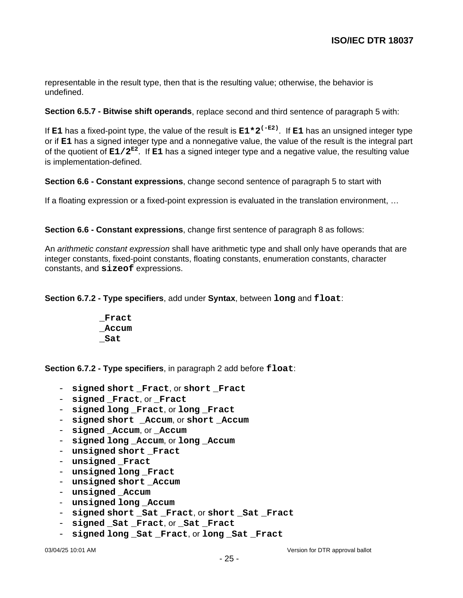representable in the result type, then that is the resulting value; otherwise, the behavior is undefined.

**Section 6.5.7 - Bitwise shift operands**, replace second and third sentence of paragraph 5 with:

If **E1** has a fixed-point type, the value of the result is **E1\*2(-E2)**. If **E1** has an unsigned integer type or if **E1** has a signed integer type and a nonnegative value, the value of the result is the integral part of the quotient of **E1/2E2**. If **E1** has a signed integer type and a negative value, the resulting value is implementation-defined.

**Section 6.6 - Constant expressions**, change second sentence of paragraph 5 to start with

If a floating expression or a fixed-point expression is evaluated in the translation environment, …

**Section 6.6 - Constant expressions**, change first sentence of paragraph 8 as follows:

An arithmetic constant expression shall have arithmetic type and shall only have operands that are integer constants, fixed-point constants, floating constants, enumeration constants, character constants, and **sizeof** expressions.

**Section 6.7.2 - Type specifiers**, add under **Syntax**, between **long** and **float**:

**\_Fract \_Accum \_Sat**

**Section 6.7.2 - Type specifiers**, in paragraph 2 add before **float**:

- **signed short \_Fract**, or **short \_Fract**
- **signed \_Fract**, or **\_Fract**
- **signed long \_Fract**, or **long \_Fract**
- **signed short \_Accum**, or **short \_Accum**
- signed **Accum**, or **Accum**
- **signed long \_Accum**, or **long \_Accum**
- **unsigned short \_Fract**
- **unsigned \_Fract**
- unsigned long **Fract**
- unsigned short **Accum**
- unsigned Accum
- **unsigned long \_Accum**
- **signed short \_Sat \_Fract**, or **short \_Sat \_Fract**
- **signed \_Sat \_Fract**, or **\_Sat \_Fract**
- **signed long \_Sat \_Fract**, or **long \_Sat \_Fract**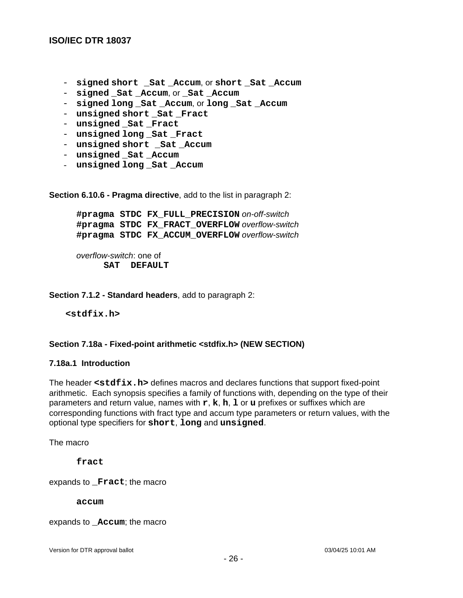- **signed short \_Sat \_Accum**, or **short \_Sat \_Accum**
- **signed \_Sat \_Accum**, or **\_Sat \_Accum**
- **signed long \_Sat \_Accum**, or **long \_Sat \_Accum**
- **unsigned short \_Sat \_Fract**
- **unsigned \_Sat \_Fract**
- **unsigned long \_Sat \_Fract**
- **unsigned short \_Sat \_Accum**
- unsigned Sat Accum
- **unsigned long \_Sat \_Accum**

**Section 6.10.6 - Pragma directive**, add to the list in paragraph 2:

**#pragma STDC FX\_FULL\_PRECISION** on-off-switch **#pragma STDC FX\_FRACT\_OVERFLOW** overflow-switch **#pragma STDC FX\_ACCUM\_OVERFLOW** overflow-switch

overflow-switch: one of **SAT DEFAULT**

**Section 7.1.2 - Standard headers**, add to paragraph 2:

**<stdfix.h>**

#### **Section 7.18a - Fixed-point arithmetic <stdfix.h> (NEW SECTION)**

#### **7.18a.1 Introduction**

The header **<stdfix.h>** defines macros and declares functions that support fixed-point arithmetic. Each synopsis specifies a family of functions with, depending on the type of their parameters and return value, names with **r**, **k**, **h**, **l** or **u** prefixes or suffixes which are corresponding functions with fract type and accum type parameters or return values, with the optional type specifiers for **short**, **long** and **unsigned**.

The macro

**fract**

expands to **Fract**; the macro

**accum**

expands to **\_Accum**; the macro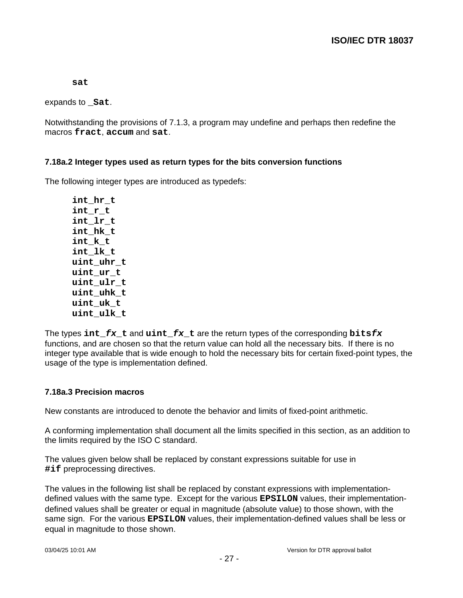**sat**

expands to **\_Sat**.

Notwithstanding the provisions of 7.1.3, a program may undefine and perhaps then redefine the macros **fract**, **accum** and **sat**.

### **7.18a.2 Integer types used as return types for the bits conversion functions**

The following integer types are introduced as typedefs:

**int\_hr\_t int\_r\_t int\_lr\_t int\_hk\_t int\_k\_t int\_lk\_t uint\_uhr\_t uint\_ur\_t uint\_ulr\_t uint\_uhk\_t uint\_uk\_t uint\_ulk\_t**

The types **int\_fx\_t** and **uint\_fx\_t** are the return types of the corresponding **bitsfx** functions, and are chosen so that the return value can hold all the necessary bits. If there is no integer type available that is wide enough to hold the necessary bits for certain fixed-point types, the usage of the type is implementation defined.

### **7.18a.3 Precision macros**

New constants are introduced to denote the behavior and limits of fixed-point arithmetic.

A conforming implementation shall document all the limits specified in this section, as an addition to the limits required by the ISO C standard.

The values given below shall be replaced by constant expressions suitable for use in **#if** preprocessing directives.

The values in the following list shall be replaced by constant expressions with implementationdefined values with the same type. Except for the various **EPSILON** values, their implementationdefined values shall be greater or equal in magnitude (absolute value) to those shown, with the same sign. For the various **EPSILON** values, their implementation-defined values shall be less or equal in magnitude to those shown.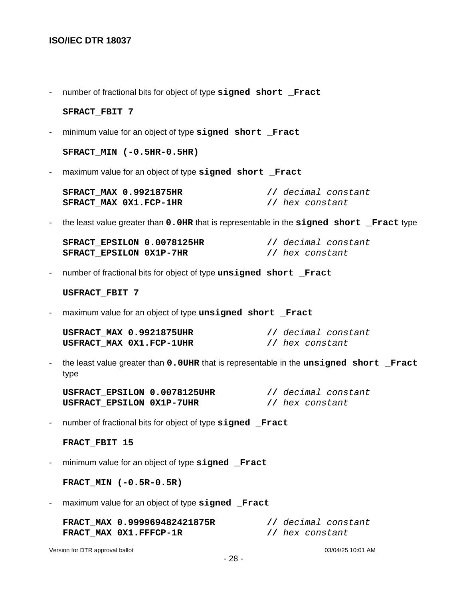- number of fractional bits for object of type **signed short \_Fract**

#### **SFRACT\_FBIT 7**

- minimum value for an object of type **signed short \_Fract**

**SFRACT\_MIN (-0.5HR-0.5HR)**

- maximum value for an object of type **signed short \_Fract**

| <b>SFRACT MAX 0.9921875HR</b> | // decimal constant |
|-------------------------------|---------------------|
| SFRACT MAX 0X1.FCP-1HR        | // hex constant     |

- the least value greater than **0.0HR** that is representable in the **signed short \_Fract** type

| SFRACT EPSILON 0.0078125HR | // decimal constant |
|----------------------------|---------------------|
| SFRACT EPSILON 0X1P-7HR    | // hex constant     |

- number of fractional bits for object of type **unsigned short \_Fract**

**USFRACT\_FBIT 7**

- maximum value for an object of type **unsigned short \_Fract**

| USFRACT MAX 0.9921875UHR | // decimal constant |
|--------------------------|---------------------|
| USFRACT MAX 0X1.FCP-1UHR | // hex constant     |

- the least value greater than **0.0UHR** that is representable in the **unsigned short \_Fract** type

| USFRACT EPSILON 0.0078125UHR | // decimal constant |
|------------------------------|---------------------|
| USFRACT EPSILON 0X1P-7UHR    | // hex constant     |

- number of fractional bits for object of type **signed \_Fract**

#### **FRACT\_FBIT 15**

- minimum value for an object of type **signed \_Fract**

**FRACT\_MIN (-0.5R-0.5R)**

- maximum value for an object of type **signed \_Fract**

**FRACT\_MAX 0.999969482421875R //** decimal constant **FRACT\_MAX 0X1.FFFCP-1R //** hex constant

Version for DTR approval ballot 03/04/25 10:01 AM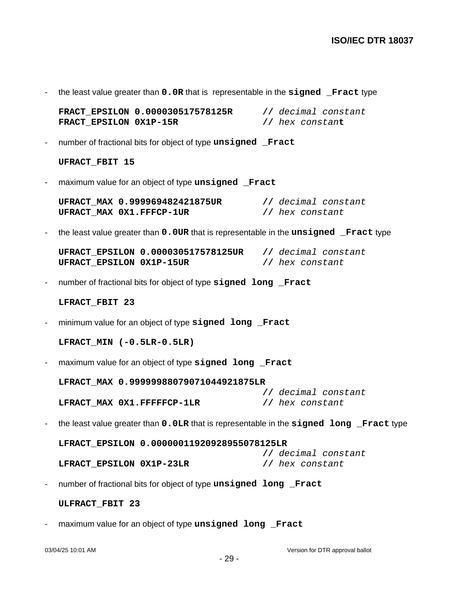- the least value greater than **0.0R** that is representable in the **signed \_Fract** type

**FRACT\_EPSILON 0.000030517578125R //** decimal constant **FRACT\_EPSILON 0X1P-15R //** hex constan**t**

- number of fractional bits for object of type **unsigned \_Fract**

**UFRACT\_FBIT 15**

- maximum value for an object of type **unsigned \_Fract**

**UFRACT\_MAX 0.999969482421875UR //** decimal constant **UFRACT\_MAX 0X1.FFFCP-1UR //** hex constant

- the least value greater than **0.0UR** that is representable in the **unsigned \_Fract** type

**UFRACT\_EPSILON 0.000030517578125UR //** decimal constant **UFRACT\_EPSILON 0X1P-15UR //** hex constant

- number of fractional bits for object of type **signed long \_Fract**

#### **LFRACT\_FBIT 23**

- minimum value for an object of type **signed long \_Fract**

**LFRACT\_MIN (-0.5LR-0.5LR)**

- maximum value for an object of type signed long Fract

**LFRACT\_MAX 0.99999988079071044921875LR //** decimal constant **LFRACT\_MAX 0X1.FFFFFCP-1LR //** hex constant

- the least value greater than **0.0LR** that is representable in the **signed long \_Fract** type

**LFRACT\_EPSILON 0.00000011920928955078125LR //** decimal constant **LFRACT\_EPSILON 0X1P-23LR //** hex constant

- number of fractional bits for object of type **unsigned long \_Fract**

**ULFRACT\_FBIT 23**

maximum value for an object of type **unsigned long** Fract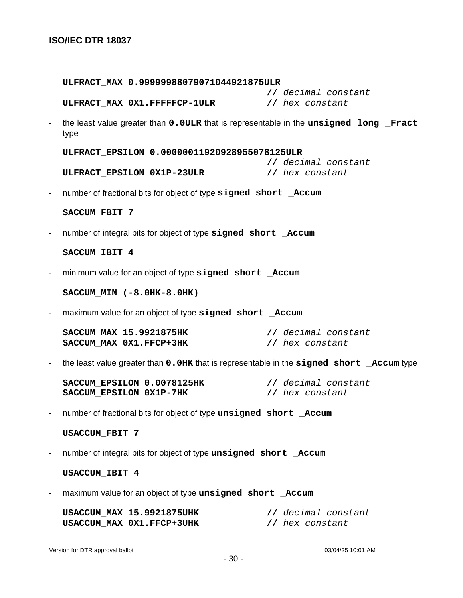**ULFRACT\_MAX 0.99999988079071044921875ULR //** decimal constant **ULFRACT\_MAX 0X1.FFFFFCP-1ULR //** hex constant - the least value greater than **0.0ULR** that is representable in the **unsigned long \_Fract** type **ULFRACT\_EPSILON 0.00000011920928955078125ULR //** decimal constant **ULFRACT\_EPSILON 0X1P-23ULR //** hex constant - number of fractional bits for object of type **signed short \_Accum SACCUM\_FBIT 7** - number of integral bits for object of type **signed short \_Accum SACCUM\_IBIT 4** - minimum value for an object of type **signed short \_Accum SACCUM\_MIN (-8.0HK-8.0HK)** - maximum value for an object of type signed short Accum **SACCUM\_MAX 15.9921875HK //** decimal constant **SACCUM\_MAX 0X1.FFCP+3HK //** hex constant - the least value greater than **0.0HK** that is representable in the **signed short \_Accum** type **SACCUM\_EPSILON 0.0078125HK //** decimal constant **SACCUM\_EPSILON 0X1P-7HK //** hex constant - number of fractional bits for object of type **unsigned short \_Accum USACCUM\_FBIT 7** - number of integral bits for object of type unsigned short Accum **USACCUM\_IBIT 4** - maximum value for an object of type **unsigned short \_Accum USACCUM\_MAX 15.9921875UHK //** decimal constant **USACCUM\_MAX 0X1.FFCP+3UHK //** hex constant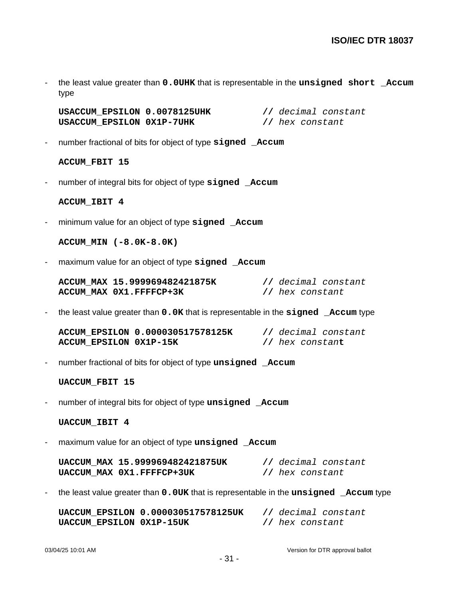- the least value greater than **0.0UHK** that is representable in the **unsigned short \_Accum** type

**USACCUM\_EPSILON 0.0078125UHK //** decimal constant **USACCUM\_EPSILON 0X1P-7UHK //** hex constant

- number fractional of bits for object of type **signed \_Accum**

**ACCUM\_FBIT 15**

- number of integral bits for object of type **signed \_Accum**

**ACCUM\_IBIT 4**

- minimum value for an object of type **signed \_Accum**

**ACCUM\_MIN (-8.0K-8.0K)**

- maximum value for an object of type **signed \_Accum**

| ACCUM MAX 15.999969482421875K |                 | // decimal constant |
|-------------------------------|-----------------|---------------------|
| ACCUM MAX 0X1.FFFFCP+3K       | // hex constant |                     |

- the least value greater than **0.0K** that is representable in the **signed \_Accum** type

**ACCUM\_EPSILON 0.000030517578125K //** decimal constant **ACCUM\_EPSILON 0X1P-15K //** hex constan**t**

- number fractional of bits for object of type **unsigned \_Accum**

**UACCUM\_FBIT 15**

- number of integral bits for object of type **unsigned \_Accum**

**UACCUM\_IBIT 4**

- maximum value for an object of type **unsigned \_Accum**

**UACCUM\_MAX 15.999969482421875UK //** decimal constant **UACCUM\_MAX 0X1.FFFFCP+3UK //** hex constant

- the least value greater than **0.0UK** that is representable in the **unsigned \_Accum** type

**UACCUM\_EPSILON 0.000030517578125UK //** decimal constant **UACCUM\_EPSILON 0X1P-15UK //** hex constant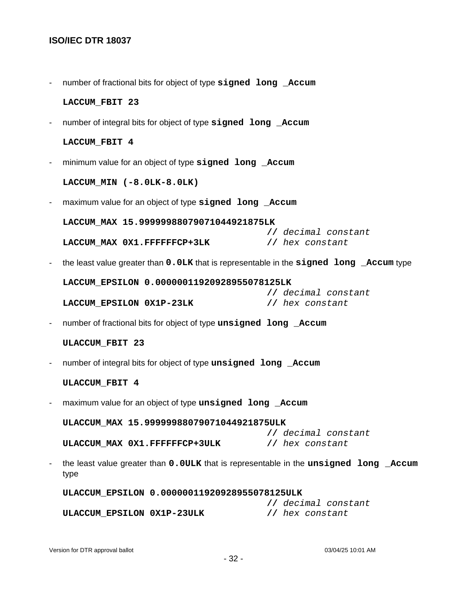- number of fractional bits for object of type **signed long \_Accum**

**LACCUM\_FBIT 23**

- number of integral bits for object of type **signed long \_Accum**

#### **LACCUM\_FBIT 4**

- minimum value for an object of type **signed long \_Accum**

**LACCUM\_MIN (-8.0LK-8.0LK)**

- maximum value for an object of type **signed long \_Accum**

**LACCUM\_MAX 15.99999988079071044921875LK //** decimal constant **LACCUM\_MAX 0X1.FFFFFFCP+3LK //** hex constant

- the least value greater than **0.0LK** that is representable in the **signed long \_Accum** type

**LACCUM\_EPSILON 0.00000011920928955078125LK //** decimal constant

**LACCUM\_EPSILON 0X1P-23LK //** hex constant

- number of fractional bits for object of type **unsigned long \_Accum**

#### **ULACCUM\_FBIT 23**

- number of integral bits for object of type **unsigned long \_Accum**

#### **ULACCUM\_FBIT 4**

- maximum value for an object of type **unsigned long \_Accum**

**ULACCUM\_MAX 15.99999988079071044921875ULK //** decimal constant **ULACCUM\_MAX 0X1.FFFFFFCP+3ULK //** hex constant

- the least value greater than **0.0ULK** that is representable in the **unsigned long \_Accum** type

**ULACCUM\_EPSILON 0.00000011920928955078125ULK //** decimal constant **ULACCUM\_EPSILON 0X1P-23ULK //** hex constant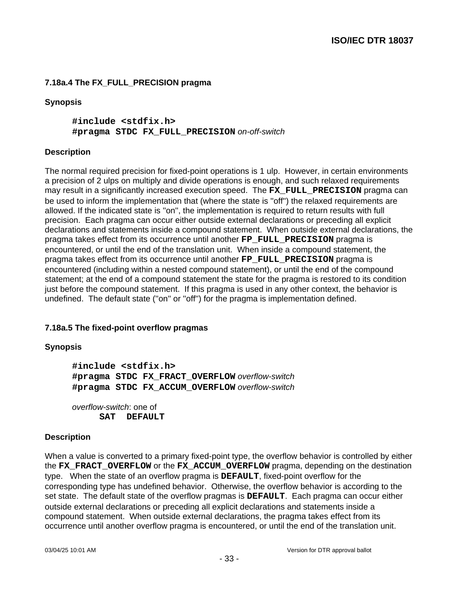# **7.18a.4 The FX\_FULL\_PRECISION pragma**

### **Synopsis**

**#include <stdfix.h> #pragma STDC FX\_FULL\_PRECISION** on-off-switch

### **Description**

The normal required precision for fixed-point operations is 1 ulp. However, in certain environments a precision of 2 ulps on multiply and divide operations is enough, and such relaxed requirements may result in a significantly increased execution speed. The **FX\_FULL\_PRECISION** pragma can be used to inform the implementation that (where the state is ''off'') the relaxed requirements are allowed. If the indicated state is ''on'', the implementation is required to return results with full precision. Each pragma can occur either outside external declarations or preceding all explicit declarations and statements inside a compound statement. When outside external declarations, the pragma takes effect from its occurrence until another **FP\_FULL\_PRECISION** pragma is encountered, or until the end of the translation unit. When inside a compound statement, the pragma takes effect from its occurrence until another **FP\_FULL\_PRECISION** pragma is encountered (including within a nested compound statement), or until the end of the compound statement; at the end of a compound statement the state for the pragma is restored to its condition just before the compound statement. If this pragma is used in any other context, the behavior is undefined. The default state (''on'' or ''off'') for the pragma is implementation defined.

# **7.18a.5 The fixed-point overflow pragmas**

### **Synopsis**

**#include <stdfix.h> #pragma STDC FX\_FRACT\_OVERFLOW** overflow-switch **#pragma STDC FX\_ACCUM\_OVERFLOW** overflow-switch

overflow-switch: one of **SAT DEFAULT**

### **Description**

When a value is converted to a primary fixed-point type, the overflow behavior is controlled by either the **FX\_FRACT\_OVERFLOW** or the **FX\_ACCUM\_OVERFLOW** pragma, depending on the destination type. When the state of an overflow pragma is **DEFAULT**, fixed-point overflow for the corresponding type has undefined behavior. Otherwise, the overflow behavior is according to the set state. The default state of the overflow pragmas is **DEFAULT**. Each pragma can occur either outside external declarations or preceding all explicit declarations and statements inside a compound statement. When outside external declarations, the pragma takes effect from its occurrence until another overflow pragma is encountered, or until the end of the translation unit.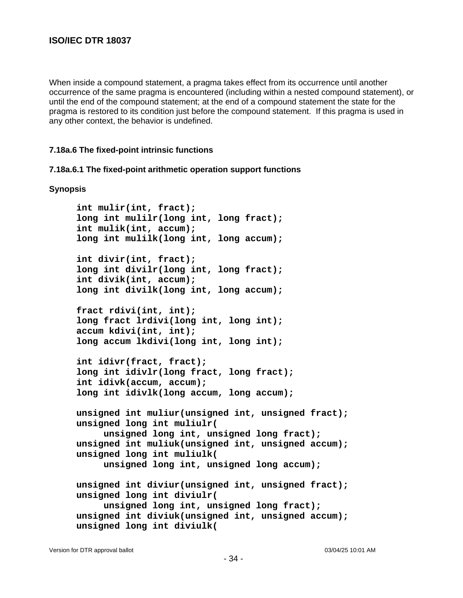When inside a compound statement, a pragma takes effect from its occurrence until another occurrence of the same pragma is encountered (including within a nested compound statement), or until the end of the compound statement; at the end of a compound statement the state for the pragma is restored to its condition just before the compound statement. If this pragma is used in any other context, the behavior is undefined.

#### **7.18a.6 The fixed-point intrinsic functions**

#### **7.18a.6.1 The fixed-point arithmetic operation support functions**

#### **Synopsis**

**int mulir(int, fract); long int mulilr(long int, long fract); int mulik(int, accum); long int mulilk(long int, long accum); int divir(int, fract); long int divilr(long int, long fract); int divik(int, accum); long int divilk(long int, long accum); fract rdivi(int, int); long fract lrdivi(long int, long int); accum kdivi(int, int); long accum lkdivi(long int, long int); int idivr(fract, fract); long int idivlr(long fract, long fract); int idivk(accum, accum); long int idivlk(long accum, long accum); unsigned int muliur(unsigned int, unsigned fract); unsigned long int muliulr( unsigned long int, unsigned long fract); unsigned int muliuk(unsigned int, unsigned accum); unsigned long int muliulk( unsigned long int, unsigned long accum); unsigned int diviur(unsigned int, unsigned fract); unsigned long int diviulr( unsigned long int, unsigned long fract); unsigned int diviuk(unsigned int, unsigned accum); unsigned long int diviulk(**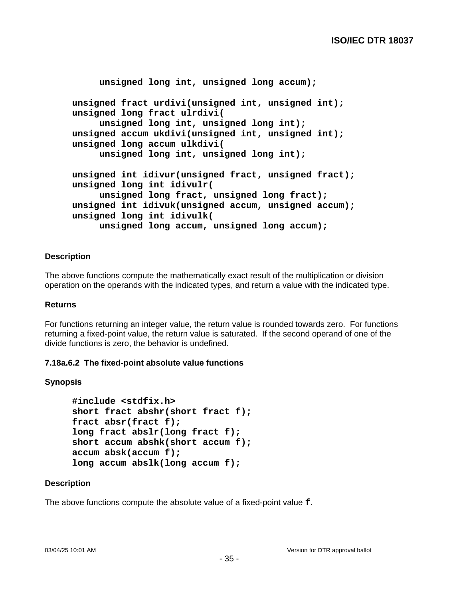```
unsigned long int, unsigned long accum);
unsigned fract urdivi(unsigned int, unsigned int);
unsigned long fract ulrdivi(
     unsigned long int, unsigned long int);
unsigned accum ukdivi(unsigned int, unsigned int);
unsigned long accum ulkdivi(
     unsigned long int, unsigned long int);
unsigned int idivur(unsigned fract, unsigned fract);
unsigned long int idivulr(
     unsigned long fract, unsigned long fract);
unsigned int idivuk(unsigned accum, unsigned accum);
unsigned long int idivulk(
     unsigned long accum, unsigned long accum);
```
### **Description**

The above functions compute the mathematically exact result of the multiplication or division operation on the operands with the indicated types, and return a value with the indicated type.

#### **Returns**

For functions returning an integer value, the return value is rounded towards zero. For functions returning a fixed-point value, the return value is saturated. If the second operand of one of the divide functions is zero, the behavior is undefined.

#### **7.18a.6.2 The fixed-point absolute value functions**

#### **Synopsis**

```
#include <stdfix.h>
short fract abshr(short fract f);
fract absr(fract f);
long fract abslr(long fract f);
short accum abshk(short accum f);
accum absk(accum f);
long accum abslk(long accum f);
```
### **Description**

The above functions compute the absolute value of a fixed-point value **f**.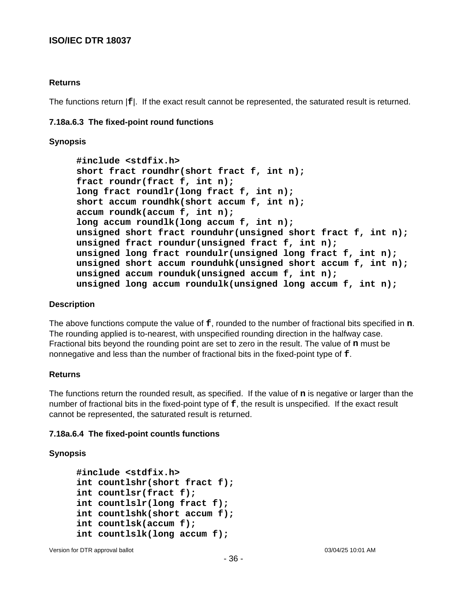### **Returns**

The functions return |**f**|. If the exact result cannot be represented, the saturated result is returned.

#### **7.18a.6.3 The fixed-point round functions**

#### **Synopsis**

**#include <stdfix.h> short fract roundhr(short fract f, int n); fract roundr(fract f, int n); long fract roundlr(long fract f, int n); short accum roundhk(short accum f, int n); accum roundk(accum f, int n); long accum roundlk(long accum f, int n); unsigned short fract rounduhr(unsigned short fract f, int n); unsigned fract roundur(unsigned fract f, int n); unsigned long fract roundulr(unsigned long fract f, int n); unsigned short accum rounduhk(unsigned short accum f, int n); unsigned accum rounduk(unsigned accum f, int n); unsigned long accum roundulk(unsigned long accum f, int n);**

#### **Description**

The above functions compute the value of **f**, rounded to the number of fractional bits specified in **n**. The rounding applied is to-nearest, with unspecified rounding direction in the halfway case. Fractional bits beyond the rounding point are set to zero in the result. The value of **n** must be nonnegative and less than the number of fractional bits in the fixed-point type of **f**.

#### **Returns**

The functions return the rounded result, as specified. If the value of **n** is negative or larger than the number of fractional bits in the fixed-point type of **f**, the result is unspecified. If the exact result cannot be represented, the saturated result is returned.

#### **7.18a.6.4 The fixed-point countls functions**

#### **Synopsis**

```
#include <stdfix.h>
int countlshr(short fract f);
int countlsr(fract f);
int countlslr(long fract f);
int countlshk(short accum f);
int countlsk(accum f);
int countlslk(long accum f);
```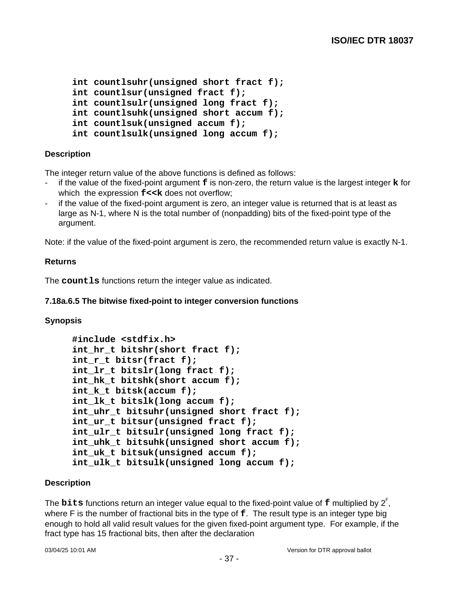```
int countlsuhr(unsigned short fract f);
int countlsur(unsigned fract f);
int countlsulr(unsigned long fract f);
int countlsuhk(unsigned short accum f);
int countlsuk(unsigned accum f);
int countlsulk(unsigned long accum f);
```
## **Description**

The integer return value of the above functions is defined as follows:

- if the value of the fixed-point argument **f** is non-zero, the return value is the largest integer **k** for which the expression  $f<< k$  does not overflow;
- if the value of the fixed-point argument is zero, an integer value is returned that is at least as large as N-1, where N is the total number of (nonpadding) bits of the fixed-point type of the argument.

Note: if the value of the fixed-point argument is zero, the recommended return value is exactly N-1.

### **Returns**

The **countls** functions return the integer value as indicated.

## **7.18a.6.5 The bitwise fixed-point to integer conversion functions**

#### **Synopsis**

```
#include <stdfix.h>
int_hr_t bitshr(short fract f);
int_r_t bitsr(fract f);
int_lr_t bitslr(long fract f);
int_hk_t bitshk(short accum f);
int_k_t bitsk(accum f);
int_lk_t bitslk(long accum f);
int_uhr_t bitsuhr(unsigned short fract f);
int_ur_t bitsur(unsigned fract f);
int_ulr_t bitsulr(unsigned long fract f);
int uhk t bitsuhk(unsigned short accum f);
int_uk_t bitsuk(unsigned accum f);
int ulk t bitsulk(unsigned long accum f);
```
## **Description**

The **bits** functions return an integer value equal to the fixed-point value of **f** multiplied by 2 F , where F is the number of fractional bits in the type of **f**. The result type is an integer type big enough to hold all valid result values for the given fixed-point argument type. For example, if the fract type has 15 fractional bits, then after the declaration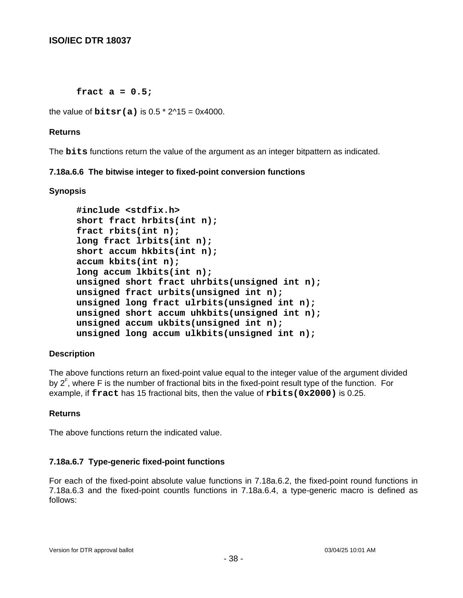**fract a = 0.5;**

the value of  $bitsr(a)$  is  $0.5 * 2^1/15 = 0 \times 4000$ .

## **Returns**

The **bits** functions return the value of the argument as an integer bitpattern as indicated.

## **7.18a.6.6 The bitwise integer to fixed-point conversion functions**

## **Synopsis**

```
#include <stdfix.h>
short fract hrbits(int n);
fract rbits(int n);
long fract lrbits(int n);
short accum hkbits(int n);
accum kbits(int n);
long accum lkbits(int n);
unsigned short fract uhrbits(unsigned int n);
unsigned fract urbits(unsigned int n);
unsigned long fract ulrbits(unsigned int n);
unsigned short accum uhkbits(unsigned int n);
unsigned accum ukbits(unsigned int n);
unsigned long accum ulkbits(unsigned int n);
```
# **Description**

The above functions return an fixed-point value equal to the integer value of the argument divided by 2<sup>F</sup>, where F is the number of fractional bits in the fixed-point result type of the function. For example, if **fract** has 15 fractional bits, then the value of **rbits(0x2000)** is 0.25.

## **Returns**

The above functions return the indicated value.

# **7.18a.6.7 Type-generic fixed-point functions**

For each of the fixed-point absolute value functions in 7.18a.6.2, the fixed-point round functions in 7.18a.6.3 and the fixed-point countls functions in 7.18a.6.4, a type-generic macro is defined as follows: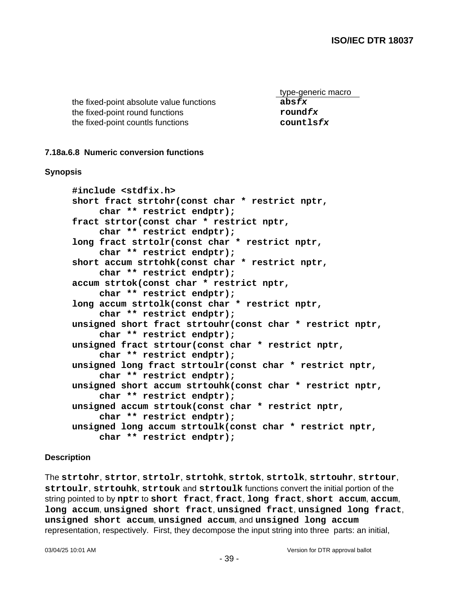the fixed-point absolute value functions **absfx** the fixed-point round functions **roundfx** the fixed-point countls functions **countlsfx**

type-generic macro

## **7.18a.6.8 Numeric conversion functions**

### **Synopsis**

**#include <stdfix.h> short fract strtohr(const char \* restrict nptr, char \*\* restrict endptr); fract strtor(const char \* restrict nptr, char \*\* restrict endptr); long fract strtolr(const char \* restrict nptr, char \*\* restrict endptr); short accum strtohk(const char \* restrict nptr, char \*\* restrict endptr); accum strtok(const char \* restrict nptr, char \*\* restrict endptr); long accum strtolk(const char \* restrict nptr, char \*\* restrict endptr); unsigned short fract strtouhr(const char \* restrict nptr, char \*\* restrict endptr); unsigned fract strtour(const char \* restrict nptr, char \*\* restrict endptr); unsigned long fract strtoulr(const char \* restrict nptr, char \*\* restrict endptr); unsigned short accum strtouhk(const char \* restrict nptr, char \*\* restrict endptr); unsigned accum strtouk(const char \* restrict nptr, char \*\* restrict endptr); unsigned long accum strtoulk(const char \* restrict nptr, char \*\* restrict endptr);**

## **Description**

The **strtohr**, **strtor**, **strtolr**, **strtohk**, **strtok**, **strtolk**, **strtouhr**, **strtour**, **strtoulr**, **strtouhk**, **strtouk** and **strtoulk** functions convert the initial portion of the string pointed to by **nptr** to **short fract**, **fract**, **long fract**, **short accum**, **accum**, **long accum**, **unsigned short fract**, **unsigned fract**, **unsigned long fract**, **unsigned short accum**, **unsigned accum**, and **unsigned long accum** representation, respectively. First, they decompose the input string into three parts: an initial,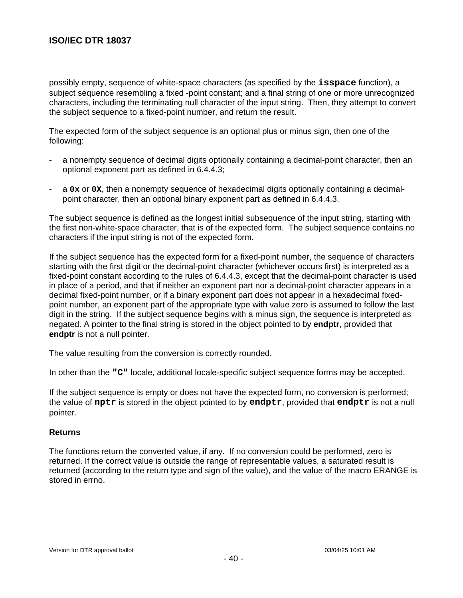possibly empty, sequence of white-space characters (as specified by the **isspace** function), a subject sequence resembling a fixed -point constant; and a final string of one or more unrecognized characters, including the terminating null character of the input string. Then, they attempt to convert the subject sequence to a fixed-point number, and return the result.

The expected form of the subject sequence is an optional plus or minus sign, then one of the following:

- a nonempty sequence of decimal digits optionally containing a decimal-point character, then an optional exponent part as defined in 6.4.4.3;
- a **0x** or **0X**, then a nonempty sequence of hexadecimal digits optionally containing a decimalpoint character, then an optional binary exponent part as defined in 6.4.4.3.

The subject sequence is defined as the longest initial subsequence of the input string, starting with the first non-white-space character, that is of the expected form. The subject sequence contains no characters if the input string is not of the expected form.

If the subject sequence has the expected form for a fixed-point number, the sequence of characters starting with the first digit or the decimal-point character (whichever occurs first) is interpreted as a fixed-point constant according to the rules of 6.4.4.3, except that the decimal-point character is used in place of a period, and that if neither an exponent part nor a decimal-point character appears in a decimal fixed-point number, or if a binary exponent part does not appear in a hexadecimal fixedpoint number, an exponent part of the appropriate type with value zero is assumed to follow the last digit in the string. If the subject sequence begins with a minus sign, the sequence is interpreted as negated. A pointer to the final string is stored in the object pointed to by **endptr**, provided that **endptr** is not a null pointer.

The value resulting from the conversion is correctly rounded.

In other than the **"C"** locale, additional locale-specific subject sequence forms may be accepted.

If the subject sequence is empty or does not have the expected form, no conversion is performed; the value of **nptr** is stored in the object pointed to by **endptr**, provided that **endptr** is not a null pointer.

#### **Returns**

The functions return the converted value, if any. If no conversion could be performed, zero is returned. If the correct value is outside the range of representable values, a saturated result is returned (according to the return type and sign of the value), and the value of the macro ERANGE is stored in errno.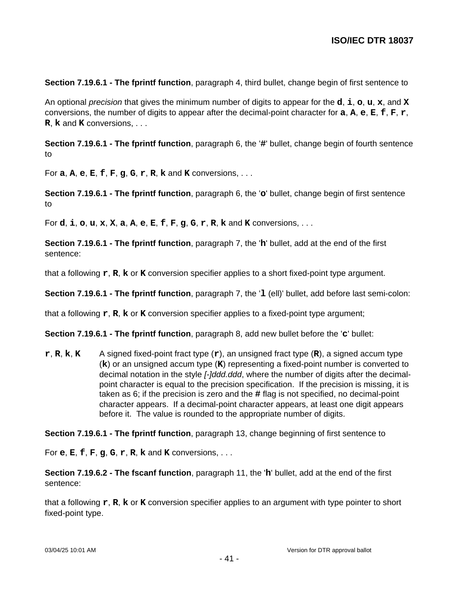**Section 7.19.6.1 - The fprintf function**, paragraph 4, third bullet, change begin of first sentence to

An optional precision that gives the minimum number of digits to appear for the **d**, **i**, **o**, **u**, **x**, and **X** conversions, the number of digits to appear after the decimal-point character for **a**, **A**, **e**, **E**, **f**, **F**, **r**, **R**, **k** and **K** conversions, . . .

**Section 7.19.6.1 - The fprintf function**, paragraph 6, the '**#**' bullet, change begin of fourth sentence to

For **a**, **A**, **e**, **E**, **f**, **F**, **g**, **G**, **r**, **R**, **k** and **K** conversions, . . .

**Section 7.19.6.1 - The fprintf function**, paragraph 6, the '**o**' bullet, change begin of first sentence to

For **d**, **i**, **o**, **u**, **x**, **X**, **a**, **A**, **e**, **E**, **f**, **F**, **g**, **G**, **r**, **R**, **k** and **K** conversions, . . .

**Section 7.19.6.1 - The fprintf function**, paragraph 7, the '**h**' bullet, add at the end of the first sentence:

that a following **r**, **R**, **k** or **K** conversion specifier applies to a short fixed-point type argument.

**Section 7.19.6.1 - The fprintf function**, paragraph 7, the '**l** (ell)' bullet, add before last semi-colon:

that a following **r**, **R**, **k** or **K** conversion specifier applies to a fixed-point type argument;

**Section 7.19.6.1 - The fprintf function**, paragraph 8, add new bullet before the '**c**' bullet:

**r**, **R**, **k**, **K** A signed fixed-point fract type (**r**), an unsigned fract type (**R**), a signed accum type (**k**) or an unsigned accum type (**K**) representing a fixed-point number is converted to decimal notation in the style *[-]ddd.ddd*, where the number of digits after the decimalpoint character is equal to the precision specification. If the precision is missing, it is taken as 6; if the precision is zero and the **#** flag is not specified, no decimal-point character appears. If a decimal-point character appears, at least one digit appears before it. The value is rounded to the appropriate number of digits.

**Section 7.19.6.1 - The fprintf function**, paragraph 13, change beginning of first sentence to

For **e**, **E**, **f**, **F**, **g**, **G**, **r**, **R**, **k** and **K** conversions, . . .

**Section 7.19.6.2 - The fscanf function**, paragraph 11, the '**h**' bullet, add at the end of the first sentence:

that a following **r**, **R**, **k** or **K** conversion specifier applies to an argument with type pointer to short fixed-point type.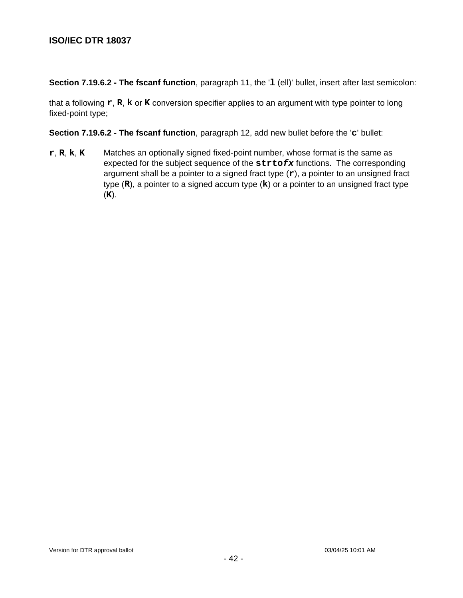**Section 7.19.6.2 - The fscanf function**, paragraph 11, the '**l** (ell)' bullet, insert after last semicolon:

that a following **r**, **R**, **k** or **K** conversion specifier applies to an argument with type pointer to long fixed-point type;

**Section 7.19.6.2 - The fscanf function**, paragraph 12, add new bullet before the '**c**' bullet:

**r**, **R**, **k**, **K** Matches an optionally signed fixed-point number, whose format is the same as expected for the subject sequence of the **strtofx** functions. The corresponding argument shall be a pointer to a signed fract type (**r**), a pointer to an unsigned fract type (**R**), a pointer to a signed accum type (**k**) or a pointer to an unsigned fract type (**K**).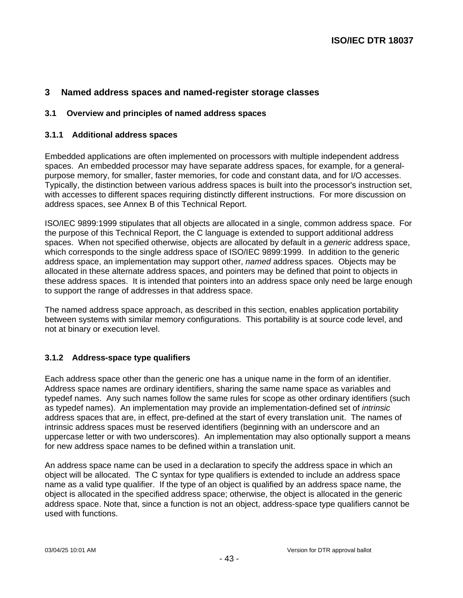## **3 Named address spaces and named-register storage classes**

### **3.1 Overview and principles of named address spaces**

#### **3.1.1 Additional address spaces**

Embedded applications are often implemented on processors with multiple independent address spaces. An embedded processor may have separate address spaces, for example, for a generalpurpose memory, for smaller, faster memories, for code and constant data, and for I/O accesses. Typically, the distinction between various address spaces is built into the processor's instruction set, with accesses to different spaces requiring distinctly different instructions. For more discussion on address spaces, see Annex B of this Technical Report.

ISO/IEC 9899:1999 stipulates that all objects are allocated in a single, common address space. For the purpose of this Technical Report, the C language is extended to support additional address spaces. When not specified otherwise, objects are allocated by default in a *generic* address space, which corresponds to the single address space of ISO/IEC 9899:1999. In addition to the generic address space, an implementation may support other, named address spaces. Objects may be allocated in these alternate address spaces, and pointers may be defined that point to objects in these address spaces. It is intended that pointers into an address space only need be large enough to support the range of addresses in that address space.

The named address space approach, as described in this section, enables application portability between systems with similar memory configurations. This portability is at source code level, and not at binary or execution level.

## **3.1.2 Address-space type qualifiers**

Each address space other than the generic one has a unique name in the form of an identifier. Address space names are ordinary identifiers, sharing the same name space as variables and typedef names. Any such names follow the same rules for scope as other ordinary identifiers (such as typedef names). An implementation may provide an implementation-defined set of intrinsic address spaces that are, in effect, pre-defined at the start of every translation unit. The names of intrinsic address spaces must be reserved identifiers (beginning with an underscore and an uppercase letter or with two underscores). An implementation may also optionally support a means for new address space names to be defined within a translation unit.

An address space name can be used in a declaration to specify the address space in which an object will be allocated. The C syntax for type qualifiers is extended to include an address space name as a valid type qualifier. If the type of an object is qualified by an address space name, the object is allocated in the specified address space; otherwise, the object is allocated in the generic address space. Note that, since a function is not an object, address-space type qualifiers cannot be used with functions.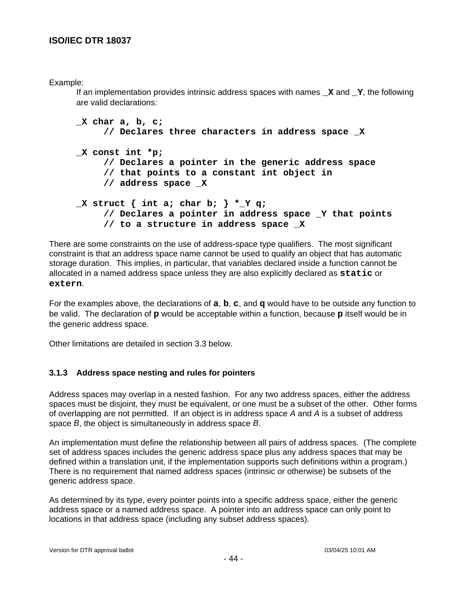## Example:

If an implementation provides intrinsic address spaces with names **\_X** and **\_Y**, the following are valid declarations:

```
_X char a, b, c;
     // Declares three characters in address space _X
_X const int *p;
     // Declares a pointer in the generic address space
     // that points to a constant int object in
     // address space _X
_X struct { int a; char b; } *_Y q;
     // Declares a pointer in address space _Y that points
     // to a structure in address space _X
```
There are some constraints on the use of address-space type qualifiers. The most significant constraint is that an address space name cannot be used to qualify an object that has automatic storage duration. This implies, in particular, that variables declared inside a function cannot be allocated in a named address space unless they are also explicitly declared as **static** or **extern**.

For the examples above, the declarations of **a**, **b**, **c**, and **q** would have to be outside any function to be valid. The declaration of **p** would be acceptable within a function, because **p** itself would be in the generic address space.

Other limitations are detailed in section 3.3 below.

## **3.1.3 Address space nesting and rules for pointers**

Address spaces may overlap in a nested fashion. For any two address spaces, either the address spaces must be disjoint, they must be equivalent, or one must be a subset of the other. Other forms of overlapping are not permitted. If an object is in address space A and A is a subset of address space B, the object is simultaneously in address space B.

An implementation must define the relationship between all pairs of address spaces. (The complete set of address spaces includes the generic address space plus any address spaces that may be defined within a translation unit, if the implementation supports such definitions within a program.) There is no requirement that named address spaces (intrinsic or otherwise) be subsets of the generic address space.

As determined by its type, every pointer points into a specific address space, either the generic address space or a named address space. A pointer into an address space can only point to locations in that address space (including any subset address spaces).

- 44 -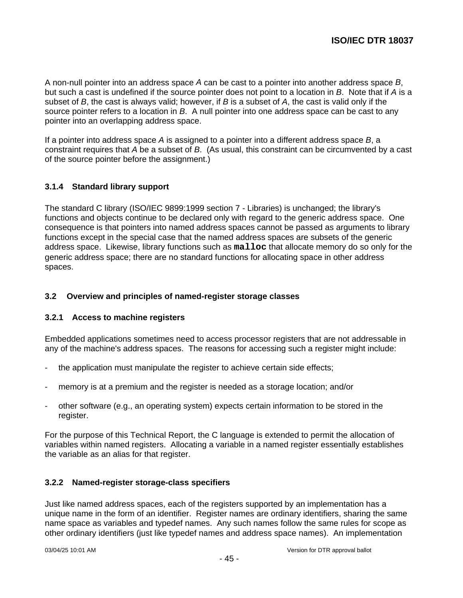A non-null pointer into an address space A can be cast to a pointer into another address space B, but such a cast is undefined if the source pointer does not point to a location in B. Note that if A is a subset of  $B$ , the cast is always valid; however, if  $B$  is a subset of  $A$ , the cast is valid only if the source pointer refers to a location in B. A null pointer into one address space can be cast to any pointer into an overlapping address space.

If a pointer into address space  $A$  is assigned to a pointer into a different address space  $B$ , a constraint requires that A be a subset of B. (As usual, this constraint can be circumvented by a cast of the source pointer before the assignment.)

## **3.1.4 Standard library support**

The standard C library (ISO/IEC 9899:1999 section 7 - Libraries) is unchanged; the library's functions and objects continue to be declared only with regard to the generic address space. One consequence is that pointers into named address spaces cannot be passed as arguments to library functions except in the special case that the named address spaces are subsets of the generic address space. Likewise, library functions such as **malloc** that allocate memory do so only for the generic address space; there are no standard functions for allocating space in other address spaces.

## **3.2 Overview and principles of named-register storage classes**

## **3.2.1 Access to machine registers**

Embedded applications sometimes need to access processor registers that are not addressable in any of the machine's address spaces. The reasons for accessing such a register might include:

- the application must manipulate the register to achieve certain side effects;
- memory is at a premium and the register is needed as a storage location; and/or
- other software (e.g., an operating system) expects certain information to be stored in the register.

For the purpose of this Technical Report, the C language is extended to permit the allocation of variables within named registers. Allocating a variable in a named register essentially establishes the variable as an alias for that register.

## **3.2.2 Named-register storage-class specifiers**

Just like named address spaces, each of the registers supported by an implementation has a unique name in the form of an identifier. Register names are ordinary identifiers, sharing the same name space as variables and typedef names. Any such names follow the same rules for scope as other ordinary identifiers (just like typedef names and address space names). An implementation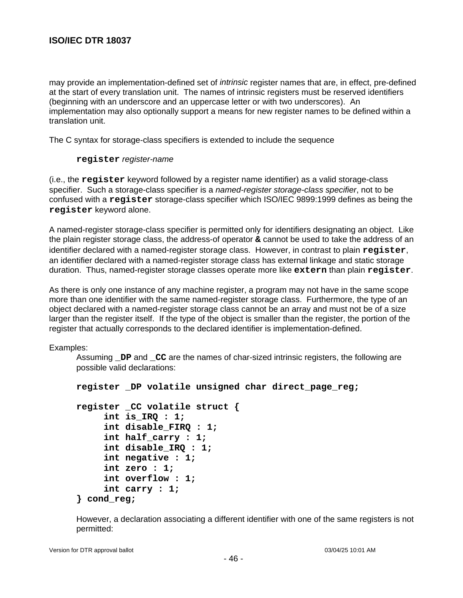may provide an implementation-defined set of *intrinsic* register names that are, in effect, pre-defined at the start of every translation unit. The names of intrinsic registers must be reserved identifiers (beginning with an underscore and an uppercase letter or with two underscores). An implementation may also optionally support a means for new register names to be defined within a translation unit.

The C syntax for storage-class specifiers is extended to include the sequence

### **register** register-name

(i.e., the **register** keyword followed by a register name identifier) as a valid storage-class specifier. Such a storage-class specifier is a named-register storage-class specifier, not to be confused with a **register** storage-class specifier which ISO/IEC 9899:1999 defines as being the **register** keyword alone.

A named-register storage-class specifier is permitted only for identifiers designating an object. Like the plain register storage class, the address-of operator **&** cannot be used to take the address of an identifier declared with a named-register storage class. However, in contrast to plain **register**, an identifier declared with a named-register storage class has external linkage and static storage duration. Thus, named-register storage classes operate more like **extern** than plain **register**.

As there is only one instance of any machine register, a program may not have in the same scope more than one identifier with the same named-register storage class. Furthermore, the type of an object declared with a named-register storage class cannot be an array and must not be of a size larger than the register itself. If the type of the object is smaller than the register, the portion of the register that actually corresponds to the declared identifier is implementation-defined.

Examples:

Assuming **\_DP** and **\_CC** are the names of char-sized intrinsic registers, the following are possible valid declarations:

```
register _DP volatile unsigned char direct_page_reg;
register _CC volatile struct {
     int is_IRQ : 1;
     int disable_FIRQ : 1;
     int half_carry : 1;
     int disable_IRQ : 1;
     int negative : 1;
     int zero : 1;
     int overflow : 1;
     int carry : 1;
} cond_reg;
```
However, a declaration associating a different identifier with one of the same registers is not permitted: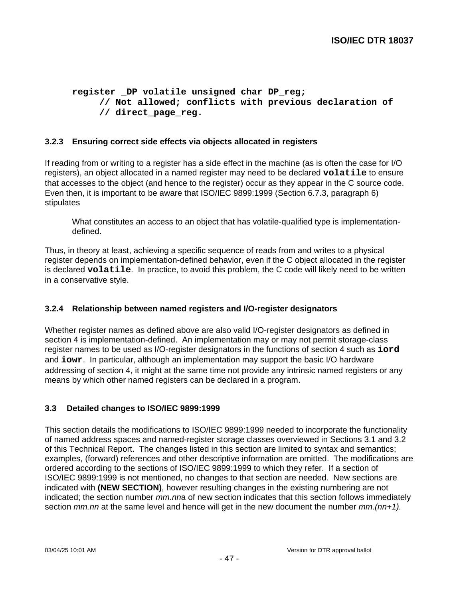```
register _DP volatile unsigned char DP_reg;
     // Not allowed; conflicts with previous declaration of
     // direct_page_reg.
```
## **3.2.3 Ensuring correct side effects via objects allocated in registers**

If reading from or writing to a register has a side effect in the machine (as is often the case for I/O registers), an object allocated in a named register may need to be declared **volatile** to ensure that accesses to the object (and hence to the register) occur as they appear in the C source code. Even then, it is important to be aware that ISO/IEC 9899:1999 (Section 6.7.3, paragraph 6) stipulates

What constitutes an access to an object that has volatile-qualified type is implementationdefined.

Thus, in theory at least, achieving a specific sequence of reads from and writes to a physical register depends on implementation-defined behavior, even if the C object allocated in the register is declared **volatile**. In practice, to avoid this problem, the C code will likely need to be written in a conservative style.

## **3.2.4 Relationship between named registers and I/O-register designators**

Whether register names as defined above are also valid I/O-register designators as defined in section 4 is implementation-defined. An implementation may or may not permit storage-class register names to be used as I/O-register designators in the functions of section 4 such as **iord** and **iowr**. In particular, although an implementation may support the basic I/O hardware addressing of section 4, it might at the same time not provide any intrinsic named registers or any means by which other named registers can be declared in a program.

## **3.3 Detailed changes to ISO/IEC 9899:1999**

This section details the modifications to ISO/IEC 9899:1999 needed to incorporate the functionality of named address spaces and named-register storage classes overviewed in Sections 3.1 and 3.2 of this Technical Report. The changes listed in this section are limited to syntax and semantics; examples, (forward) references and other descriptive information are omitted. The modifications are ordered according to the sections of ISO/IEC 9899:1999 to which they refer. If a section of ISO/IEC 9899:1999 is not mentioned, no changes to that section are needed. New sections are indicated with **(NEW SECTION)**, however resulting changes in the existing numbering are not indicated; the section number mm.nna of new section indicates that this section follows immediately section  $mmnn$  at the same level and hence will get in the new document the number  $mm(nn+1)$ .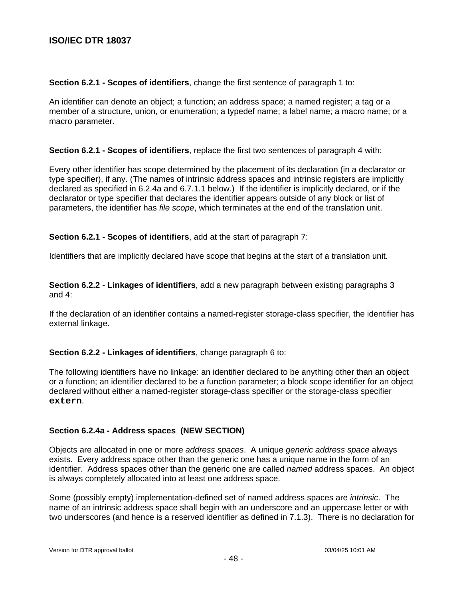### **Section 6.2.1 - Scopes of identifiers**, change the first sentence of paragraph 1 to:

An identifier can denote an object; a function; an address space; a named register; a tag or a member of a structure, union, or enumeration; a typedef name; a label name; a macro name; or a macro parameter.

#### **Section 6.2.1 - Scopes of identifiers**, replace the first two sentences of paragraph 4 with:

Every other identifier has scope determined by the placement of its declaration (in a declarator or type specifier), if any. (The names of intrinsic address spaces and intrinsic registers are implicitly declared as specified in 6.2.4a and 6.7.1.1 below.) If the identifier is implicitly declared, or if the declarator or type specifier that declares the identifier appears outside of any block or list of parameters, the identifier has file scope, which terminates at the end of the translation unit.

## **Section 6.2.1 - Scopes of identifiers**, add at the start of paragraph 7:

Identifiers that are implicitly declared have scope that begins at the start of a translation unit.

**Section 6.2.2 - Linkages of identifiers**, add a new paragraph between existing paragraphs 3 and 4:

If the declaration of an identifier contains a named-register storage-class specifier, the identifier has external linkage.

## **Section 6.2.2 - Linkages of identifiers**, change paragraph 6 to:

The following identifiers have no linkage: an identifier declared to be anything other than an object or a function; an identifier declared to be a function parameter; a block scope identifier for an object declared without either a named-register storage-class specifier or the storage-class specifier **extern**.

## **Section 6.2.4a - Address spaces (NEW SECTION)**

Objects are allocated in one or more address spaces. A unique generic address space always exists. Every address space other than the generic one has a unique name in the form of an identifier. Address spaces other than the generic one are called named address spaces. An object is always completely allocated into at least one address space.

Some (possibly empty) implementation-defined set of named address spaces are intrinsic. The name of an intrinsic address space shall begin with an underscore and an uppercase letter or with two underscores (and hence is a reserved identifier as defined in 7.1.3). There is no declaration for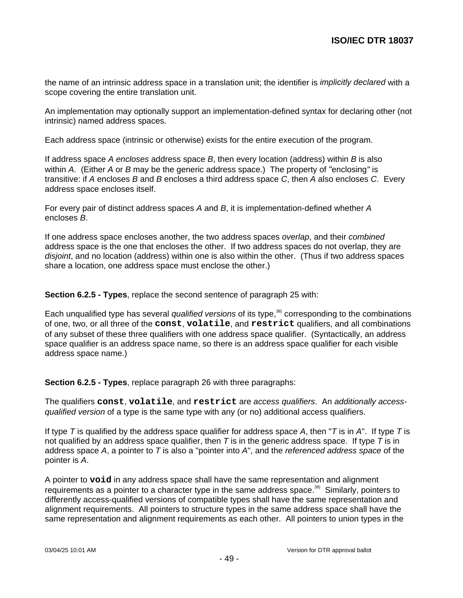the name of an intrinsic address space in a translation unit; the identifier is *implicitly declared* with a scope covering the entire translation unit.

An implementation may optionally support an implementation-defined syntax for declaring other (not intrinsic) named address spaces.

Each address space (intrinsic or otherwise) exists for the entire execution of the program.

If address space A encloses address space  $B$ , then every location (address) within  $B$  is also within A. (Either A or B may be the generic address space.) The property of "enclosing" is transitive: if A encloses B and B encloses a third address space C, then A also encloses C. Every address space encloses itself.

For every pair of distinct address spaces A and B, it is implementation-defined whether A encloses B.

If one address space encloses another, the two address spaces overlap, and their combined address space is the one that encloses the other. If two address spaces do not overlap, they are disjoint, and no location (address) within one is also within the other. (Thus if two address spaces share a location, one address space must enclose the other.)

**Section 6.2.5 - Types**, replace the second sentence of paragraph 25 with:

Each unqualified type has several qualified versions of its type,<sup>38)</sup> corresponding to the combinations of one, two, or all three of the **const**, **volatile**, and **restrict** qualifiers, and all combinations of any subset of these three qualifiers with one address space qualifier. (Syntactically, an address space qualifier is an address space name, so there is an address space qualifier for each visible address space name.)

**Section 6.2.5 - Types**, replace paragraph 26 with three paragraphs:

The qualifiers **const**, **volatile**, and **restrict** are access qualifiers. An additionally accessqualified version of a type is the same type with any (or no) additional access qualifiers.

If type T is qualified by the address space qualifier for address space A, then "T is in A". If type T is not qualified by an address space qualifier, then T is in the generic address space. If type T is in address space  $A$ , a pointer to  $T$  is also a "pointer into  $A$ ", and the *referenced address space* of the pointer is A.

A pointer to **void** in any address space shall have the same representation and alignment requirements as a pointer to a character type in the same address space.<sup>39)</sup> Similarly, pointers to differently access-qualified versions of compatible types shall have the same representation and alignment requirements. All pointers to structure types in the same address space shall have the same representation and alignment requirements as each other. All pointers to union types in the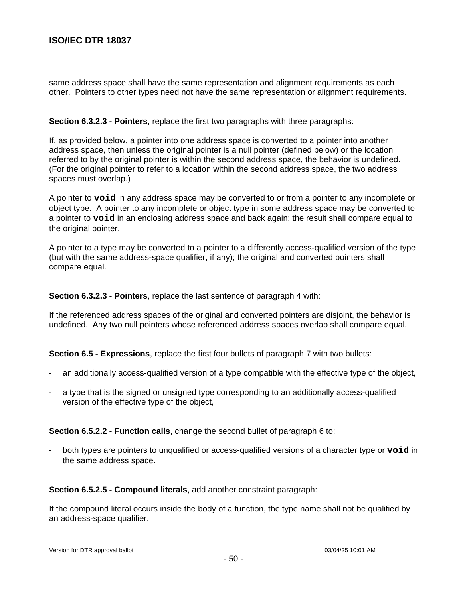same address space shall have the same representation and alignment requirements as each other. Pointers to other types need not have the same representation or alignment requirements.

#### **Section 6.3.2.3 - Pointers**, replace the first two paragraphs with three paragraphs:

If, as provided below, a pointer into one address space is converted to a pointer into another address space, then unless the original pointer is a null pointer (defined below) or the location referred to by the original pointer is within the second address space, the behavior is undefined. (For the original pointer to refer to a location within the second address space, the two address spaces must overlap.)

A pointer to **void** in any address space may be converted to or from a pointer to any incomplete or object type. A pointer to any incomplete or object type in some address space may be converted to a pointer to **void** in an enclosing address space and back again; the result shall compare equal to the original pointer.

A pointer to a type may be converted to a pointer to a differently access-qualified version of the type (but with the same address-space qualifier, if any); the original and converted pointers shall compare equal.

**Section 6.3.2.3 - Pointers**, replace the last sentence of paragraph 4 with:

If the referenced address spaces of the original and converted pointers are disjoint, the behavior is undefined. Any two null pointers whose referenced address spaces overlap shall compare equal.

**Section 6.5 - Expressions**, replace the first four bullets of paragraph 7 with two bullets:

- an additionally access-qualified version of a type compatible with the effective type of the object,
- a type that is the signed or unsigned type corresponding to an additionally access-qualified version of the effective type of the object,

**Section 6.5.2.2 - Function calls**, change the second bullet of paragraph 6 to:

- both types are pointers to unqualified or access-qualified versions of a character type or **void** in the same address space.

**Section 6.5.2.5 - Compound literals**, add another constraint paragraph:

If the compound literal occurs inside the body of a function, the type name shall not be qualified by an address-space qualifier.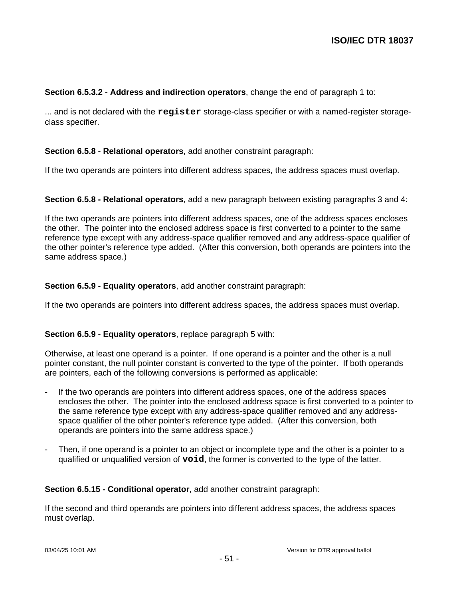## **Section 6.5.3.2 - Address and indirection operators**, change the end of paragraph 1 to:

... and is not declared with the **register** storage-class specifier or with a named-register storageclass specifier.

## **Section 6.5.8 - Relational operators**, add another constraint paragraph:

If the two operands are pointers into different address spaces, the address spaces must overlap.

**Section 6.5.8 - Relational operators**, add a new paragraph between existing paragraphs 3 and 4:

If the two operands are pointers into different address spaces, one of the address spaces encloses the other. The pointer into the enclosed address space is first converted to a pointer to the same reference type except with any address-space qualifier removed and any address-space qualifier of the other pointer's reference type added. (After this conversion, both operands are pointers into the same address space.)

### **Section 6.5.9 - Equality operators**, add another constraint paragraph:

If the two operands are pointers into different address spaces, the address spaces must overlap.

## **Section 6.5.9 - Equality operators**, replace paragraph 5 with:

Otherwise, at least one operand is a pointer. If one operand is a pointer and the other is a null pointer constant, the null pointer constant is converted to the type of the pointer. If both operands are pointers, each of the following conversions is performed as applicable:

- If the two operands are pointers into different address spaces, one of the address spaces encloses the other. The pointer into the enclosed address space is first converted to a pointer to the same reference type except with any address-space qualifier removed and any addressspace qualifier of the other pointer's reference type added. (After this conversion, both operands are pointers into the same address space.)
- Then, if one operand is a pointer to an object or incomplete type and the other is a pointer to a qualified or unqualified version of **void**, the former is converted to the type of the latter.

#### **Section 6.5.15 - Conditional operator**, add another constraint paragraph:

If the second and third operands are pointers into different address spaces, the address spaces must overlap.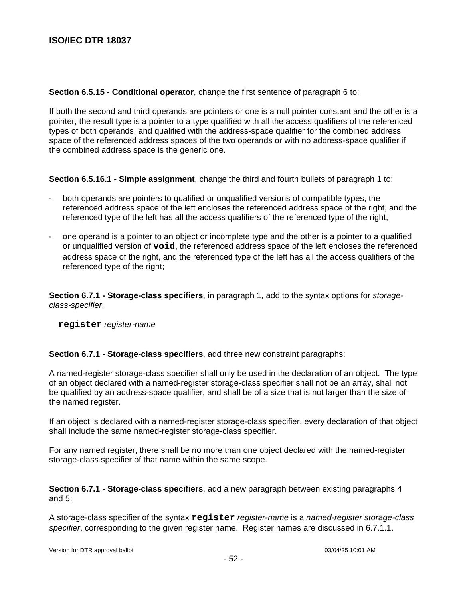**Section 6.5.15 - Conditional operator**, change the first sentence of paragraph 6 to:

If both the second and third operands are pointers or one is a null pointer constant and the other is a pointer, the result type is a pointer to a type qualified with all the access qualifiers of the referenced types of both operands, and qualified with the address-space qualifier for the combined address space of the referenced address spaces of the two operands or with no address-space qualifier if the combined address space is the generic one.

**Section 6.5.16.1 - Simple assignment**, change the third and fourth bullets of paragraph 1 to:

- both operands are pointers to qualified or unqualified versions of compatible types, the referenced address space of the left encloses the referenced address space of the right, and the referenced type of the left has all the access qualifiers of the referenced type of the right;
- one operand is a pointer to an object or incomplete type and the other is a pointer to a qualified or unqualified version of **void**, the referenced address space of the left encloses the referenced address space of the right, and the referenced type of the left has all the access qualifiers of the referenced type of the right;

**Section 6.7.1 - Storage-class specifiers**, in paragraph 1, add to the syntax options for storageclass-specifier:

**register** register-name

**Section 6.7.1 - Storage-class specifiers**, add three new constraint paragraphs:

A named-register storage-class specifier shall only be used in the declaration of an object. The type of an object declared with a named-register storage-class specifier shall not be an array, shall not be qualified by an address-space qualifier, and shall be of a size that is not larger than the size of the named register.

If an object is declared with a named-register storage-class specifier, every declaration of that object shall include the same named-register storage-class specifier.

For any named register, there shall be no more than one object declared with the named-register storage-class specifier of that name within the same scope.

**Section 6.7.1 - Storage-class specifiers**, add a new paragraph between existing paragraphs 4 and 5:

A storage-class specifier of the syntax **register** register-name is a named-register storage-class specifier, corresponding to the given register name. Register names are discussed in 6.7.1.1.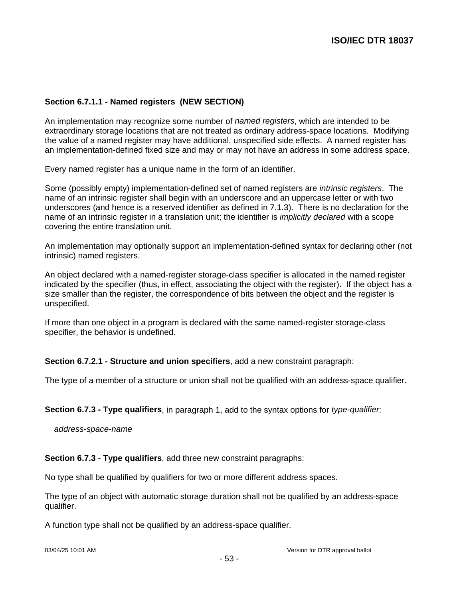## **Section 6.7.1.1 - Named registers (NEW SECTION)**

An implementation may recognize some number of *named registers*, which are intended to be extraordinary storage locations that are not treated as ordinary address-space locations. Modifying the value of a named register may have additional, unspecified side effects. A named register has an implementation-defined fixed size and may or may not have an address in some address space.

Every named register has a unique name in the form of an identifier.

Some (possibly empty) implementation-defined set of named registers are intrinsic registers. The name of an intrinsic register shall begin with an underscore and an uppercase letter or with two underscores (and hence is a reserved identifier as defined in 7.1.3). There is no declaration for the name of an intrinsic register in a translation unit; the identifier is *implicitly declared* with a scope covering the entire translation unit.

An implementation may optionally support an implementation-defined syntax for declaring other (not intrinsic) named registers.

An object declared with a named-register storage-class specifier is allocated in the named register indicated by the specifier (thus, in effect, associating the object with the register). If the object has a size smaller than the register, the correspondence of bits between the object and the register is unspecified.

If more than one object in a program is declared with the same named-register storage-class specifier, the behavior is undefined.

**Section 6.7.2.1 - Structure and union specifiers**, add a new constraint paragraph:

The type of a member of a structure or union shall not be qualified with an address-space qualifier.

**Section 6.7.3 - Type qualifiers**, in paragraph 1, add to the syntax options for type-qualifier:

address-space-name

**Section 6.7.3 - Type qualifiers**, add three new constraint paragraphs:

No type shall be qualified by qualifiers for two or more different address spaces.

The type of an object with automatic storage duration shall not be qualified by an address-space qualifier.

A function type shall not be qualified by an address-space qualifier.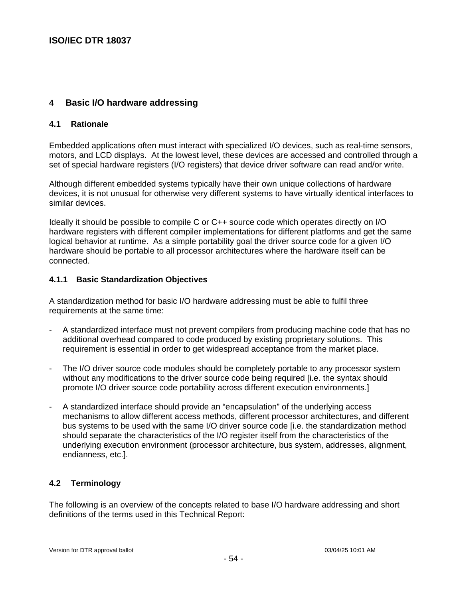# **4 Basic I/O hardware addressing**

## **4.1 Rationale**

Embedded applications often must interact with specialized I/O devices, such as real-time sensors, motors, and LCD displays. At the lowest level, these devices are accessed and controlled through a set of special hardware registers (I/O registers) that device driver software can read and/or write.

Although different embedded systems typically have their own unique collections of hardware devices, it is not unusual for otherwise very different systems to have virtually identical interfaces to similar devices.

Ideally it should be possible to compile C or C++ source code which operates directly on I/O hardware registers with different compiler implementations for different platforms and get the same logical behavior at runtime. As a simple portability goal the driver source code for a given I/O hardware should be portable to all processor architectures where the hardware itself can be connected.

## **4.1.1 Basic Standardization Objectives**

A standardization method for basic I/O hardware addressing must be able to fulfil three requirements at the same time:

- A standardized interface must not prevent compilers from producing machine code that has no additional overhead compared to code produced by existing proprietary solutions. This requirement is essential in order to get widespread acceptance from the market place.
- The I/O driver source code modules should be completely portable to any processor system without any modifications to the driver source code being required [i.e. the syntax should promote I/O driver source code portability across different execution environments.]
- A standardized interface should provide an "encapsulation" of the underlying access mechanisms to allow different access methods, different processor architectures, and different bus systems to be used with the same I/O driver source code [i.e. the standardization method should separate the characteristics of the I/O register itself from the characteristics of the underlying execution environment (processor architecture, bus system, addresses, alignment, endianness, etc.].

# **4.2 Terminology**

The following is an overview of the concepts related to base I/O hardware addressing and short definitions of the terms used in this Technical Report: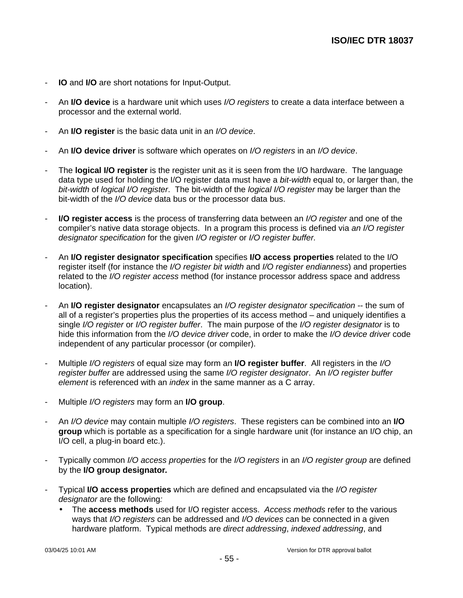- **IO** and **I/O** are short notations for Input-Output.
- An **I/O device** is a hardware unit which uses I/O registers to create a data interface between a processor and the external world.
- An **I/O register** is the basic data unit in an I/O device.
- An **I/O device driver** is software which operates on I/O registers in an I/O device.
- The **logical I/O register** is the register unit as it is seen from the I/O hardware. The language data type used for holding the I/O register data must have a *bit-width* equal to, or larger than, the bit-width of logical I/O register. The bit-width of the logical I/O register may be larger than the bit-width of the I/O device data bus or the processor data bus.
- **I/O register access** is the process of transferring data between an I/O register and one of the compiler's native data storage objects. In a program this process is defined via an I/O register designator specification for the given I/O register or I/O register buffer.
- An **I/O register designator specification** specifies **I/O access properties** related to the I/O register itself (for instance the I/O register bit width and I/O register endianness) and properties related to the I/O register access method (for instance processor address space and address location).
- An **I/O register designator** encapsulates an I/O register designator specification -- the sum of all of a register's properties plus the properties of its access method – and uniquely identifies a single I/O register or I/O register buffer. The main purpose of the I/O register designator is to hide this information from the I/O device driver code, in order to make the I/O device driver code independent of any particular processor (or compiler).
- Multiple I/O registers of equal size may form an **I/O register buffer**. All registers in the I/O register buffer are addressed using the same I/O register designator. An I/O register buffer element is referenced with an *index* in the same manner as a C array.
- Multiple I/O registers may form an **I/O group**.
- An I/O device may contain multiple I/O registers. These registers can be combined into an **I/O group** which is portable as a specification for a single hardware unit (for instance an I/O chip, an I/O cell, a plug-in board etc.).
- Typically common *I/O access properties* for the *I/O registers* in an *I/O register group* are defined by the **I/O group designator.**
- Typical **I/O access properties** which are defined and encapsulated via the I/O register designator are the following:
	- The **access methods** used for I/O register access. Access methods refer to the various ways that I/O registers can be addressed and I/O devices can be connected in a given hardware platform. Typical methods are direct addressing, indexed addressing, and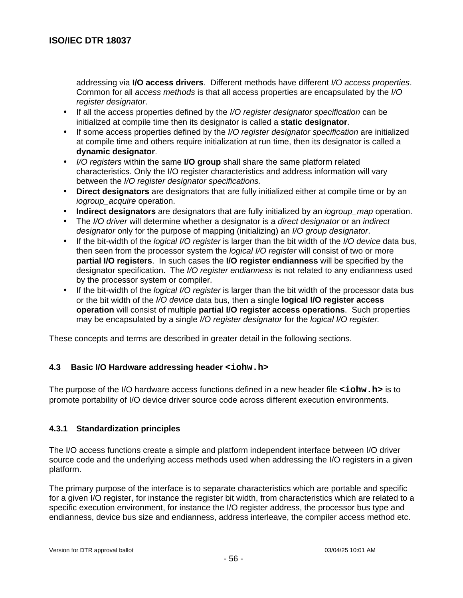addressing via **I/O access drivers**. Different methods have different I/O access properties. Common for all access methods is that all access properties are encapsulated by the I/O register designator.

- If all the access properties defined by the I/O register designator specification can be initialized at compile time then its designator is called a **static designator**.
- If some access properties defined by the I/O register designator specification are initialized at compile time and others require initialization at run time, then its designator is called a **dynamic designator**.
- I/O registers within the same **I/O group** shall share the same platform related characteristics. Only the I/O register characteristics and address information will vary between the I/O register designator specifications.
- **Direct designators** are designators that are fully initialized either at compile time or by an iogroup acquire operation.
- **Indirect designators** are designators that are fully initialized by an iogroup\_map operation.
- The I/O driver will determine whether a designator is a direct designator or an indirect designator only for the purpose of mapping (initializing) an I/O group designator.
- If the bit-width of the logical I/O register is larger than the bit width of the I/O device data bus, then seen from the processor system the *logical I/O register* will consist of two or more **partial I/O registers**. In such cases the **I/O register endianness** will be specified by the designator specification. The *I/O register endianness* is not related to any endianness used by the processor system or compiler.
- If the bit-width of the *logical I/O register* is larger than the bit width of the processor data bus or the bit width of the I/O device data bus, then a single **logical I/O register access operation** will consist of multiple **partial I/O register access operations**. Such properties may be encapsulated by a single I/O register designator for the logical I/O register.

These concepts and terms are described in greater detail in the following sections.

# **4.3 Basic I/O Hardware addressing header <iohw.h>**

The purpose of the I/O hardware access functions defined in a new header file **<iohw.h>** is to promote portability of I/O device driver source code across different execution environments.

# **4.3.1 Standardization principles**

The I/O access functions create a simple and platform independent interface between I/O driver source code and the underlying access methods used when addressing the I/O registers in a given platform.

The primary purpose of the interface is to separate characteristics which are portable and specific for a given I/O register, for instance the register bit width, from characteristics which are related to a specific execution environment, for instance the I/O register address, the processor bus type and endianness, device bus size and endianness, address interleave, the compiler access method etc.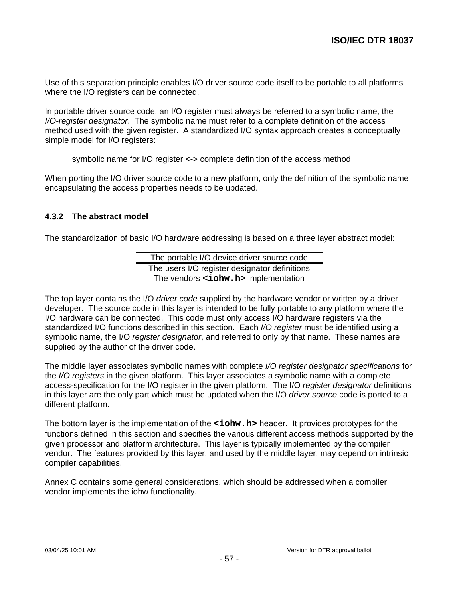Use of this separation principle enables I/O driver source code itself to be portable to all platforms where the I/O registers can be connected.

In portable driver source code, an I/O register must always be referred to a symbolic name, the I/O-register designator. The symbolic name must refer to a complete definition of the access method used with the given register. A standardized I/O syntax approach creates a conceptually simple model for I/O registers:

symbolic name for I/O register <-> complete definition of the access method

When porting the I/O driver source code to a new platform, only the definition of the symbolic name encapsulating the access properties needs to be updated.

## **4.3.2 The abstract model**

The standardization of basic I/O hardware addressing is based on a three layer abstract model:

| The portable I/O device driver source code    |
|-----------------------------------------------|
| The users I/O register designator definitions |
| The vendors <iohw.h> implementation</iohw.h>  |

The top layer contains the I/O driver code supplied by the hardware vendor or written by a driver developer. The source code in this layer is intended to be fully portable to any platform where the I/O hardware can be connected. This code must only access I/O hardware registers via the standardized I/O functions described in this section. Each I/O register must be identified using a symbolic name, the I/O register designator, and referred to only by that name. These names are supplied by the author of the driver code.

The middle layer associates symbolic names with complete I/O register designator specifications for the I/O registers in the given platform. This layer associates a symbolic name with a complete access-specification for the I/O register in the given platform. The I/O register designator definitions in this layer are the only part which must be updated when the I/O driver source code is ported to a different platform.

The bottom layer is the implementation of the **<iohw.h>** header. It provides prototypes for the functions defined in this section and specifies the various different access methods supported by the given processor and platform architecture. This layer is typically implemented by the compiler vendor. The features provided by this layer, and used by the middle layer, may depend on intrinsic compiler capabilities.

Annex C contains some general considerations, which should be addressed when a compiler vendor implements the iohw functionality.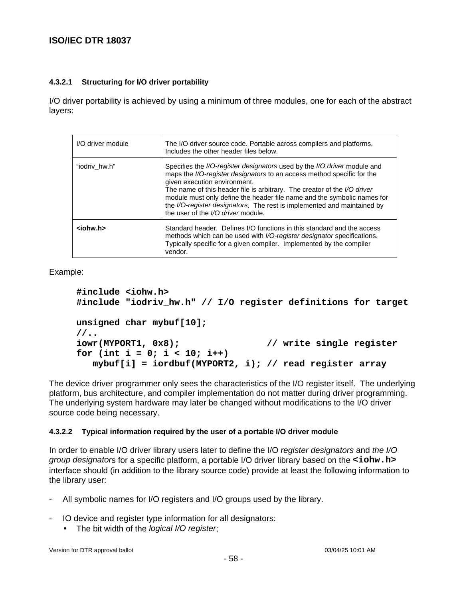### **4.3.2.1 Structuring for I/O driver portability**

I/O driver portability is achieved by using a minimum of three modules, one for each of the abstract layers:

| I/O driver module | The I/O driver source code. Portable across compilers and platforms.<br>Includes the other header files below.                                                                                                                                                                                                                                                                                                                                             |
|-------------------|------------------------------------------------------------------------------------------------------------------------------------------------------------------------------------------------------------------------------------------------------------------------------------------------------------------------------------------------------------------------------------------------------------------------------------------------------------|
| "iodriv hw.h"     | Specifies the I/O-register designators used by the I/O driver module and<br>maps the I/O-register designators to an access method specific for the<br>given execution environment.<br>The name of this header file is arbitrary. The creator of the I/O driver<br>module must only define the header file name and the symbolic names for<br>the I/O-register designators. The rest is implemented and maintained by<br>the user of the I/O driver module. |
| $ionw.h$          | Standard header. Defines I/O functions in this standard and the access<br>methods which can be used with I/O-register designator specifications.<br>Typically specific for a given compiler. Implemented by the compiler<br>vendor.                                                                                                                                                                                                                        |

Example:

```
#include <iohw.h>
#include "iodriv_hw.h" // I/O register definitions for target
unsigned char mybuf[10];
//..
iowr(MYPORT1, 0x8); // write single register
for (int i = 0; i < 10; i++)
   mybuf[i] = iordbuf(MYPORT2, i); // read register array
```
The device driver programmer only sees the characteristics of the I/O register itself. The underlying platform, bus architecture, and compiler implementation do not matter during driver programming. The underlying system hardware may later be changed without modifications to the I/O driver source code being necessary.

## **4.3.2.2 Typical information required by the user of a portable I/O driver module**

In order to enable I/O driver library users later to define the I/O register designators and the I/O group designators for a specific platform, a portable I/O driver library based on the **<iohw.h>** interface should (in addition to the library source code) provide at least the following information to the library user:

- All symbolic names for I/O registers and I/O groups used by the library.
- IO device and register type information for all designators:
	- The bit width of the logical I/O register;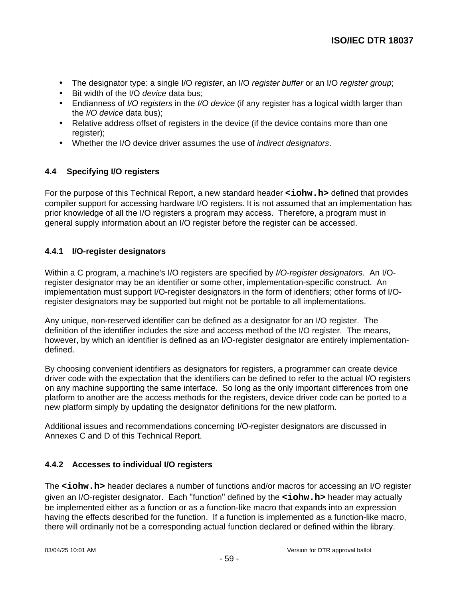- The designator type: a single I/O register, an I/O register buffer or an I/O register group;
- Bit width of the I/O device data bus:
- Endianness of I/O registers in the I/O device (if any register has a logical width larger than the I/O device data bus);
- Relative address offset of registers in the device (if the device contains more than one register);
- Whether the I/O device driver assumes the use of *indirect designators*.

# **4.4 Specifying I/O registers**

For the purpose of this Technical Report, a new standard header **<iohw.h>** defined that provides compiler support for accessing hardware I/O registers. It is not assumed that an implementation has prior knowledge of all the I/O registers a program may access. Therefore, a program must in general supply information about an I/O register before the register can be accessed.

## **4.4.1 I/O-register designators**

Within a C program, a machine's I/O registers are specified by I/O-register designators. An I/Oregister designator may be an identifier or some other, implementation-specific construct. An implementation must support I/O-register designators in the form of identifiers; other forms of I/Oregister designators may be supported but might not be portable to all implementations.

Any unique, non-reserved identifier can be defined as a designator for an I/O register. The definition of the identifier includes the size and access method of the I/O register. The means, however, by which an identifier is defined as an I/O-register designator are entirely implementationdefined.

By choosing convenient identifiers as designators for registers, a programmer can create device driver code with the expectation that the identifiers can be defined to refer to the actual I/O registers on any machine supporting the same interface. So long as the only important differences from one platform to another are the access methods for the registers, device driver code can be ported to a new platform simply by updating the designator definitions for the new platform.

Additional issues and recommendations concerning I/O-register designators are discussed in Annexes C and D of this Technical Report.

# **4.4.2 Accesses to individual I/O registers**

The <iohw.h> header declares a number of functions and/or macros for accessing an I/O register given an I/O-register designator. Each "function" defined by the <iohw.h> header may actually be implemented either as a function or as a function-like macro that expands into an expression having the effects described for the function. If a function is implemented as a function-like macro, there will ordinarily not be a corresponding actual function declared or defined within the library.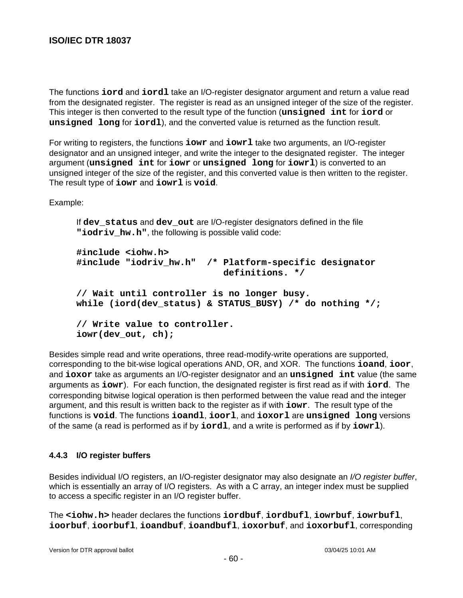The functions **iord** and **iordl** take an I/O-register designator argument and return a value read from the designated register. The register is read as an unsigned integer of the size of the register. This integer is then converted to the result type of the function (**unsigned int** for **iord** or **unsigned long** for **iordl**), and the converted value is returned as the function result.

For writing to registers, the functions **iowr** and **iowrl** take two arguments, an I/O-register designator and an unsigned integer, and write the integer to the designated register. The integer argument (**unsigned int** for **iowr** or **unsigned long** for **iowrl**) is converted to an unsigned integer of the size of the register, and this converted value is then written to the register. The result type of **iowr** and **iowrl** is **void**.

Example:

If **dev\_status** and **dev\_out** are I/O-register designators defined in the file **"iodriv\_hw.h"**, the following is possible valid code:

```
#include <iohw.h>
#include "iodriv_hw.h" /* Platform-specific designator
                            definitions. */
// Wait until controller is no longer busy.
while (iord(dev_status) & STATUS_BUSY) /* do nothing */;
// Write value to controller.
iowr(dev_out, ch);
```
Besides simple read and write operations, three read-modify-write operations are supported, corresponding to the bit-wise logical operations AND, OR, and XOR. The functions **ioand**, **ioor**, and **ioxor** take as arguments an I/O-register designator and an **unsigned int** value (the same arguments as **iowr**). For each function, the designated register is first read as if with **iord**. The corresponding bitwise logical operation is then performed between the value read and the integer argument, and this result is written back to the register as if with **iowr**. The result type of the functions is **void**. The functions **ioandl**, **ioorl**, and **ioxorl** are **unsigned long** versions of the same (a read is performed as if by **iordl**, and a write is performed as if by **iowrl**).

## **4.4.3 I/O register buffers**

Besides individual I/O registers, an I/O-register designator may also designate an I/O register buffer, which is essentially an array of I/O registers. As with a C array, an integer index must be supplied to access a specific register in an I/O register buffer.

The **<iohw.h>** header declares the functions **iordbuf**, **iordbufl**, **iowrbuf**, **iowrbufl**, **ioorbuf**, **ioorbufl**, **ioandbuf**, **ioandbufl**, **ioxorbuf**, and **ioxorbufl**, corresponding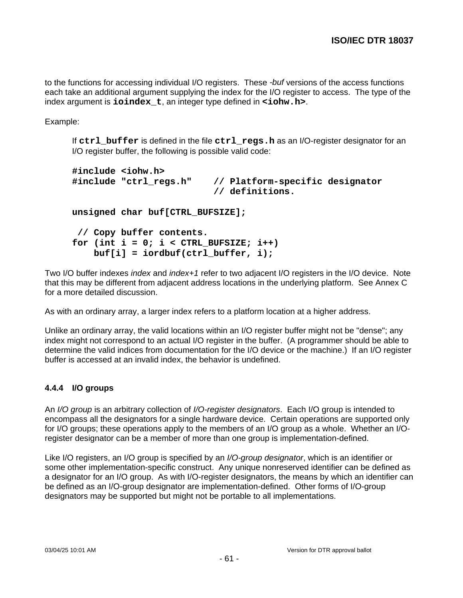to the functions for accessing individual I/O registers. These -buf versions of the access functions each take an additional argument supplying the index for the I/O register to access. The type of the index argument is **ioindex\_t**, an integer type defined in **<iohw.h>**.

Example:

If **ctrl\_buffer** is defined in the file **ctrl\_regs.h** as an I/O-register designator for an I/O register buffer, the following is possible valid code:

```
#include <iohw.h>
#include "ctrl_regs.h" // Platform-specific designator
                           // definitions.
unsigned char buf[CTRL_BUFSIZE];
  // Copy buffer contents.
for (int i = 0; i < CTRL BUFSIZE; i++)
     buf[i] = iordbuf(ctrl_buffer, i);
```
Two I/O buffer indexes *index* and *index*+1 refer to two adjacent I/O registers in the I/O device. Note that this may be different from adjacent address locations in the underlying platform. See Annex C for a more detailed discussion.

As with an ordinary array, a larger index refers to a platform location at a higher address.

Unlike an ordinary array, the valid locations within an I/O register buffer might not be "dense"; any index might not correspond to an actual I/O register in the buffer. (A programmer should be able to determine the valid indices from documentation for the I/O device or the machine.) If an I/O register buffer is accessed at an invalid index, the behavior is undefined.

# **4.4.4 I/O groups**

An *I/O group* is an arbitrary collection of *I/O-register designators*. Each I/O group is intended to encompass all the designators for a single hardware device. Certain operations are supported only for I/O groups; these operations apply to the members of an I/O group as a whole. Whether an I/Oregister designator can be a member of more than one group is implementation-defined.

Like I/O registers, an I/O group is specified by an I/O-group designator, which is an identifier or some other implementation-specific construct. Any unique nonreserved identifier can be defined as a designator for an I/O group. As with I/O-register designators, the means by which an identifier can be defined as an I/O-group designator are implementation-defined. Other forms of I/O-group designators may be supported but might not be portable to all implementations.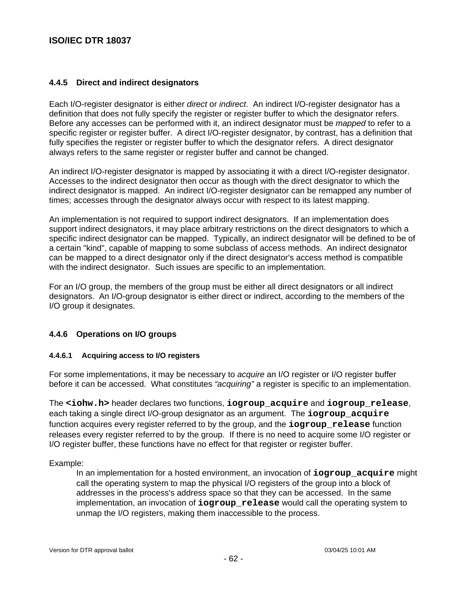## **4.4.5 Direct and indirect designators**

Each I/O-register designator is either *direct* or *indirect*. An indirect I/O-register designator has a definition that does not fully specify the register or register buffer to which the designator refers. Before any accesses can be performed with it, an indirect designator must be mapped to refer to a specific register or register buffer. A direct I/O-register designator, by contrast, has a definition that fully specifies the register or register buffer to which the designator refers. A direct designator always refers to the same register or register buffer and cannot be changed.

An indirect I/O-register designator is mapped by associating it with a direct I/O-register designator. Accesses to the indirect designator then occur as though with the direct designator to which the indirect designator is mapped. An indirect I/O-register designator can be remapped any number of times; accesses through the designator always occur with respect to its latest mapping.

An implementation is not required to support indirect designators. If an implementation does support indirect designators, it may place arbitrary restrictions on the direct designators to which a specific indirect designator can be mapped. Typically, an indirect designator will be defined to be of a certain "kind", capable of mapping to some subclass of access methods. An indirect designator can be mapped to a direct designator only if the direct designator's access method is compatible with the indirect designator. Such issues are specific to an implementation.

For an I/O group, the members of the group must be either all direct designators or all indirect designators. An I/O-group designator is either direct or indirect, according to the members of the I/O group it designates.

## **4.4.6 Operations on I/O groups**

## **4.4.6.1 Acquiring access to I/O registers**

For some implementations, it may be necessary to acquire an I/O register or I/O register buffer before it can be accessed. What constitutes "acquiring" a register is specific to an implementation.

The **<iohw.h>** header declares two functions, **iogroup\_acquire** and **iogroup\_release**, each taking a single direct I/O-group designator as an argument. The **iogroup\_acquire** function acquires every register referred to by the group, and the **iogroup** release function releases every register referred to by the group. If there is no need to acquire some I/O register or I/O register buffer, these functions have no effect for that register or register buffer.

Example:

In an implementation for a hosted environment, an invocation of **iogroup\_acquire** might call the operating system to map the physical I/O registers of the group into a block of addresses in the process's address space so that they can be accessed. In the same implementation, an invocation of **iogroup\_release** would call the operating system to unmap the I/O registers, making them inaccessible to the process.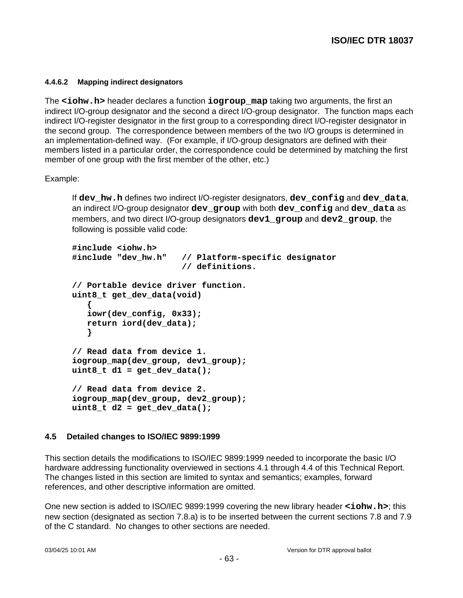#### **4.4.6.2 Mapping indirect designators**

The **<iohw.h>** header declares a function **iogroup\_map** taking two arguments, the first an indirect I/O-group designator and the second a direct I/O-group designator. The function maps each indirect I/O-register designator in the first group to a corresponding direct I/O-register designator in the second group. The correspondence between members of the two I/O groups is determined in an implementation-defined way. (For example, if I/O-group designators are defined with their members listed in a particular order, the correspondence could be determined by matching the first member of one group with the first member of the other, etc.)

## Example:

If **dev\_hw.h** defines two indirect I/O-register designators, **dev\_config** and **dev\_data**, an indirect I/O-group designator **dev\_group** with both **dev\_config** and **dev\_data** as members, and two direct I/O-group designators **dev1\_group** and **dev2\_group**, the following is possible valid code:

```
#include <iohw.h>
#include "dev_hw.h" // Platform-specific designator
                       // definitions.
// Portable device driver function.
uint8_t get_dev_data(void)
    {
    iowr(dev_config, 0x33);
    return iord(dev_data);
    }
// Read data from device 1.
iogroup_map(dev_group, dev1_group);
uint8 \t d1 = get dev data();
// Read data from device 2.
iogroup_map(dev_group, dev2_group);
uint8 \t d2 = get dev data();
```
## **4.5 Detailed changes to ISO/IEC 9899:1999**

This section details the modifications to ISO/IEC 9899:1999 needed to incorporate the basic I/O hardware addressing functionality overviewed in sections 4.1 through 4.4 of this Technical Report. The changes listed in this section are limited to syntax and semantics; examples, forward references, and other descriptive information are omitted.

One new section is added to ISO/IEC 9899:1999 covering the new library header **<iohw.h>**; this new section (designated as section 7.8.a) is to be inserted between the current sections 7.8 and 7.9 of the C standard. No changes to other sections are needed.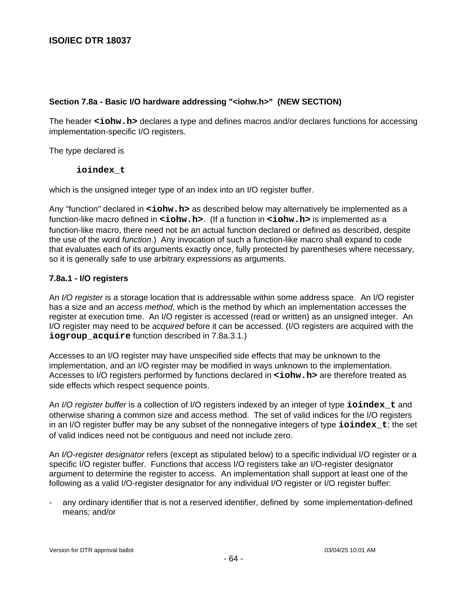## **Section 7.8a - Basic I/O hardware addressing "<iohw.h>" (NEW SECTION)**

The header **<iohw.h>** declares a type and defines macros and/or declares functions for accessing implementation-specific I/O registers.

The type declared is

### **ioindex\_t**

which is the unsigned integer type of an index into an I/O register buffer.

Any "function" declared in **<iohw.h>** as described below may alternatively be implemented as a function-like macro defined in **<iohw.h>**. (If a function in **<iohw.h>** is implemented as a function-like macro, there need not be an actual function declared or defined as described, despite the use of the word *function*.) Any invocation of such a function-like macro shall expand to code that evaluates each of its arguments exactly once, fully protected by parentheses where necessary, so it is generally safe to use arbitrary expressions as arguments.

## **7.8a.1 - I/O registers**

An *I/O register* is a storage location that is addressable within some address space. An I/O register has a size and an *access method*, which is the method by which an implementation accesses the register at execution time. An I/O register is accessed (read or written) as an unsigned integer. An I/O register may need to be *acquired* before it can be accessed. (I/O registers are acquired with the **iogroup\_acquire** function described in 7.8a.3.1.)

Accesses to an I/O register may have unspecified side effects that may be unknown to the implementation, and an I/O register may be modified in ways unknown to the implementation. Accesses to I/O registers performed by functions declared in **<iohw.h>** are therefore treated as side effects which respect sequence points.

An I/O register buffer is a collection of I/O registers indexed by an integer of type **ioindex\_t** and otherwise sharing a common size and access method. The set of valid indices for the I/O registers in an I/O register buffer may be any subset of the nonnegative integers of type **ioindex\_t**; the set of valid indices need not be contiguous and need not include zero.

An *I/O-register designator* refers (except as stipulated below) to a specific individual I/O register or a specific I/O register buffer. Functions that access I/O registers take an I/O-register designator argument to determine the register to access. An implementation shall support at least one of the following as a valid I/O-register designator for any individual I/O register or I/O register buffer:

any ordinary identifier that is not a reserved identifier, defined by some implementation-defined means; and/or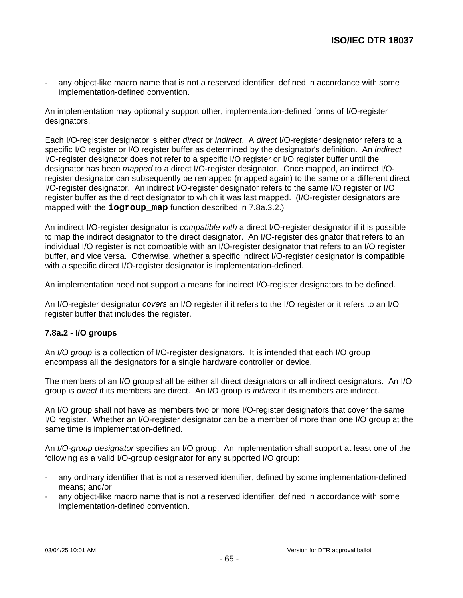any object-like macro name that is not a reserved identifier, defined in accordance with some implementation-defined convention.

An implementation may optionally support other, implementation-defined forms of I/O-register designators.

Each I/O-register designator is either direct or indirect. A direct I/O-register designator refers to a specific I/O register or I/O register buffer as determined by the designator's definition. An *indirect* I/O-register designator does not refer to a specific I/O register or I/O register buffer until the designator has been *mapped* to a direct I/O-register designator. Once mapped, an indirect I/Oregister designator can subsequently be remapped (mapped again) to the same or a different direct I/O-register designator. An indirect I/O-register designator refers to the same I/O register or I/O register buffer as the direct designator to which it was last mapped. (I/O-register designators are mapped with the **iogroup map** function described in 7.8a.3.2.)

An indirect I/O-register designator is *compatible with* a direct I/O-register designator if it is possible to map the indirect designator to the direct designator. An I/O-register designator that refers to an individual I/O register is not compatible with an I/O-register designator that refers to an I/O register buffer, and vice versa. Otherwise, whether a specific indirect I/O-register designator is compatible with a specific direct I/O-register designator is implementation-defined.

An implementation need not support a means for indirect I/O-register designators to be defined.

An I/O-register designator covers an I/O register if it refers to the I/O register or it refers to an I/O register buffer that includes the register.

## **7.8a.2 - I/O groups**

An *I/O group* is a collection of I/O-register designators. It is intended that each I/O group encompass all the designators for a single hardware controller or device.

The members of an I/O group shall be either all direct designators or all indirect designators. An I/O group is direct if its members are direct. An I/O group is indirect if its members are indirect.

An I/O group shall not have as members two or more I/O-register designators that cover the same I/O register. Whether an I/O-register designator can be a member of more than one I/O group at the same time is implementation-defined.

An I/O-group designator specifies an I/O group. An implementation shall support at least one of the following as a valid I/O-group designator for any supported I/O group:

- any ordinary identifier that is not a reserved identifier, defined by some implementation-defined means; and/or
- any object-like macro name that is not a reserved identifier, defined in accordance with some implementation-defined convention.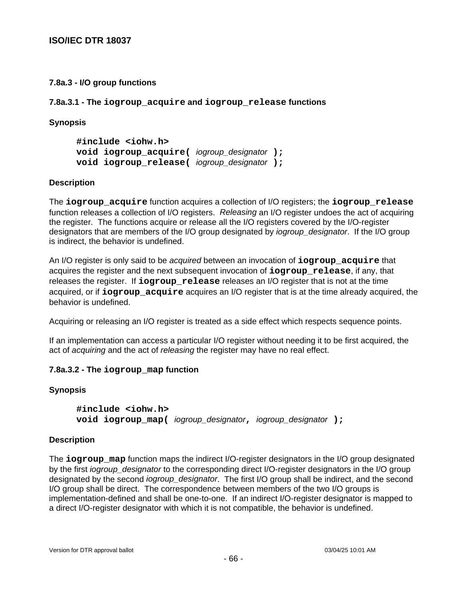## **7.8a.3 - I/O group functions**

**7.8a.3.1 - The iogroup\_acquire and iogroup\_release functions**

## **Synopsis**

**#include <iohw.h> void iogroup\_acquire(** iogroup\_designator **); void iogroup\_release(** iogroup\_designator **);**

## **Description**

The **iogroup\_acquire** function acquires a collection of I/O registers; the **iogroup\_release** function releases a collection of I/O registers. Releasing an I/O register undoes the act of acquiring the register. The functions acquire or release all the I/O registers covered by the I/O-register designators that are members of the I/O group designated by *iogroup\_designator*. If the I/O group is indirect, the behavior is undefined.

An I/O register is only said to be acquired between an invocation of **iogroup\_acquire** that acquires the register and the next subsequent invocation of **iogroup\_release**, if any, that releases the register. If **iogroup\_release** releases an I/O register that is not at the time acquired, or if **iogroup\_acquire** acquires an I/O register that is at the time already acquired, the behavior is undefined.

Acquiring or releasing an I/O register is treated as a side effect which respects sequence points.

If an implementation can access a particular I/O register without needing it to be first acquired, the act of acquiring and the act of releasing the register may have no real effect.

# **7.8a.3.2 - The iogroup\_map function**

# **Synopsis**

**#include <iohw.h> void iogroup\_map(** iogroup\_designator**,** iogroup\_designator **);**

## **Description**

The **iogroup\_map** function maps the indirect I/O-register designators in the I/O group designated by the first iogroup\_designator to the corresponding direct I/O-register designators in the I/O group designated by the second *iogroup designator*. The first I/O group shall be indirect, and the second I/O group shall be direct. The correspondence between members of the two I/O groups is implementation-defined and shall be one-to-one. If an indirect I/O-register designator is mapped to a direct I/O-register designator with which it is not compatible, the behavior is undefined.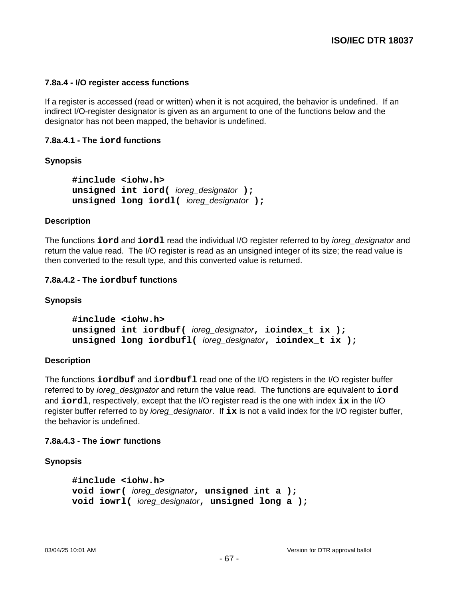## **7.8a.4 - I/O register access functions**

If a register is accessed (read or written) when it is not acquired, the behavior is undefined. If an indirect I/O-register designator is given as an argument to one of the functions below and the designator has not been mapped, the behavior is undefined.

### **7.8a.4.1 - The iord functions**

## **Synopsis**

**#include <iohw.h> unsigned int iord(** ioreg\_designator **); unsigned long iordl(** ioreg\_designator **);**

### **Description**

The functions **iord** and **iordl** read the individual I/O register referred to by ioreg\_designator and return the value read. The I/O register is read as an unsigned integer of its size; the read value is then converted to the result type, and this converted value is returned.

### **7.8a.4.2 - The iordbuf functions**

#### **Synopsis**

**#include <iohw.h> unsigned int iordbuf(** ioreg\_designator**, ioindex\_t ix ); unsigned long iordbufl(** ioreg\_designator**, ioindex\_t ix );**

## **Description**

The functions **iordbuf** and **iordbufl** read one of the I/O registers in the I/O register buffer referred to by ioreg\_designator and return the value read. The functions are equivalent to **iord** and **iordl**, respectively, except that the I/O register read is the one with index **ix** in the I/O register buffer referred to by ioreg\_designator. If **ix** is not a valid index for the I/O register buffer, the behavior is undefined.

## **7.8a.4.3 - The iowr functions**

## **Synopsis**

```
#include <iohw.h>
void iowr( ioreg_designator, unsigned int a );
void iowrl( ioreg_designator, unsigned long a );
```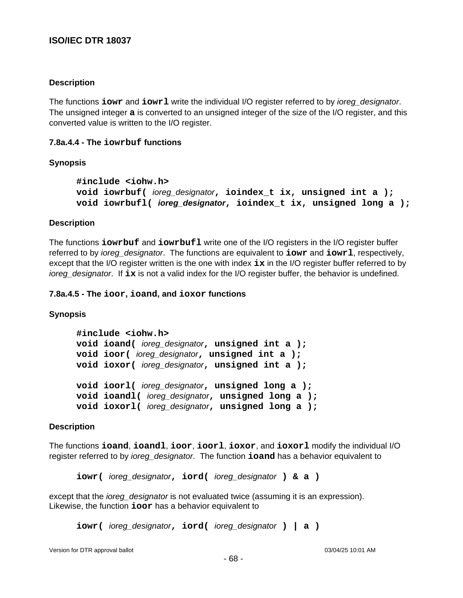## **Description**

The functions **iowr** and **iowrl** write the individual I/O register referred to by ioreg\_designator. The unsigned integer **a** is converted to an unsigned integer of the size of the I/O register, and this converted value is written to the I/O register.

### **7.8a.4.4 - The iowrbuf functions**

### **Synopsis**

```
#include <iohw.h>
void iowrbuf( ioreg_designator, ioindex_t ix, unsigned int a );
void iowrbufl( ioreg_designator, ioindex_t ix, unsigned long a );
```
### **Description**

The functions **iowrbuf** and **iowrbufl** write one of the I/O registers in the I/O register buffer referred to by ioreg\_designator. The functions are equivalent to **iowr** and **iowrl**, respectively, except that the I/O register written is the one with index **ix** in the I/O register buffer referred to by ioreg\_designator. If **ix** is not a valid index for the I/O register buffer, the behavior is undefined.

### **7.8a.4.5 - The ioor, ioand, and ioxor functions**

## **Synopsis**

```
#include <iohw.h>
void ioand( ioreg_designator, unsigned int a );
void ioor( ioreg_designator, unsigned int a );
void ioxor( ioreg_designator, unsigned int a );
void ioorl( ioreg_designator, unsigned long a );
void ioandl( ioreg_designator, unsigned long a );
void ioxorl( ioreg_designator, unsigned long a );
```
#### **Description**

The functions **ioand**, **ioandl**, **ioor**, **ioorl**, **ioxor**, and **ioxorl** modify the individual I/O register referred to by ioreg\_designator. The function **ioand** has a behavior equivalent to

**iowr(** ioreg\_designator**, iord(** ioreg\_designator **) & a )**

except that the *ioreg\_designator* is not evaluated twice (assuming it is an expression). Likewise, the function **ioor** has a behavior equivalent to

```
iowr( ioreg_designator, iord( ioreg_designator ) | a )
```
Version for DTR approval ballot 03/04/25 10:01 AM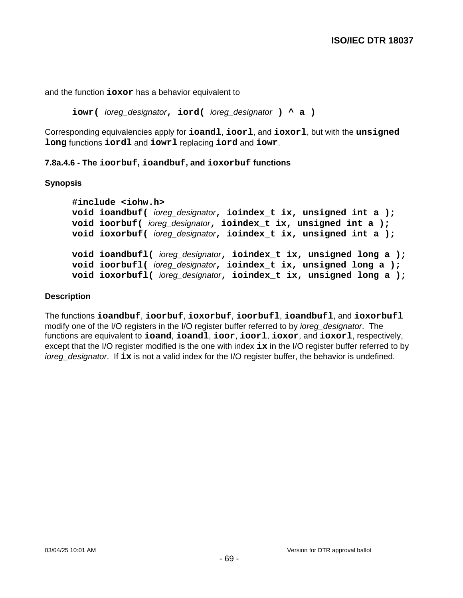and the function **ioxor** has a behavior equivalent to

**iowr(** ioreg\_designator**, iord(** ioreg\_designator **) ^ a )**

Corresponding equivalencies apply for **ioandl**, **ioorl**, and **ioxorl**, but with the **unsigned long** functions **iordl** and **iowrl** replacing **iord** and **iowr**.

## **7.8a.4.6 - The ioorbuf, ioandbuf, and ioxorbuf functions**

## **Synopsis**

```
#include <iohw.h>
void ioandbuf( ioreg_designator, ioindex_t ix, unsigned int a );
void ioorbuf( ioreg_designator, ioindex_t ix, unsigned int a );
void ioxorbuf( ioreg_designator, ioindex_t ix, unsigned int a );
void ioandbufl( ioreg_designator, ioindex_t ix, unsigned long a );
void ioorbufl( ioreg_designator, ioindex_t ix, unsigned long a );
void ioxorbufl( ioreg_designator, ioindex_t ix, unsigned long a );
```
## **Description**

The functions **ioandbuf**, **ioorbuf**, **ioxorbuf**, **ioorbufl**, **ioandbufl**, and **ioxorbufl** modify one of the I/O registers in the I/O register buffer referred to by *ioreg* designator. The functions are equivalent to **ioand**, **ioandl**, **ioor**, **ioorl**, **ioxor**, and **ioxorl**, respectively, except that the I/O register modified is the one with index **ix** in the I/O register buffer referred to by ioreg designator. If ix is not a valid index for the I/O register buffer, the behavior is undefined.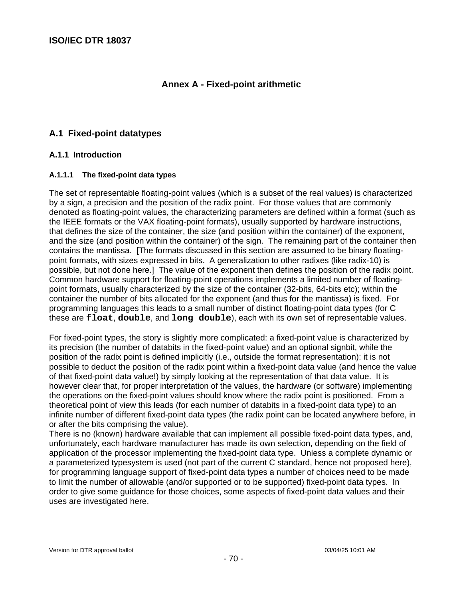# **Annex A - Fixed-point arithmetic**

# **A.1 Fixed-point datatypes**

## **A.1.1 Introduction**

## **A.1.1.1 The fixed-point data types**

The set of representable floating-point values (which is a subset of the real values) is characterized by a sign, a precision and the position of the radix point. For those values that are commonly denoted as floating-point values, the characterizing parameters are defined within a format (such as the IEEE formats or the VAX floating-point formats), usually supported by hardware instructions, that defines the size of the container, the size (and position within the container) of the exponent, and the size (and position within the container) of the sign. The remaining part of the container then contains the mantissa. [The formats discussed in this section are assumed to be binary floatingpoint formats, with sizes expressed in bits. A generalization to other radixes (like radix-10) is possible, but not done here.] The value of the exponent then defines the position of the radix point. Common hardware support for floating-point operations implements a limited number of floatingpoint formats, usually characterized by the size of the container (32-bits, 64-bits etc); within the container the number of bits allocated for the exponent (and thus for the mantissa) is fixed. For programming languages this leads to a small number of distinct floating-point data types (for C these are **float**, **double**, and **long double**), each with its own set of representable values.

For fixed-point types, the story is slightly more complicated: a fixed-point value is characterized by its precision (the number of databits in the fixed-point value) and an optional signbit, while the position of the radix point is defined implicitly (i.e., outside the format representation): it is not possible to deduct the position of the radix point within a fixed-point data value (and hence the value of that fixed-point data value!) by simply looking at the representation of that data value. It is however clear that, for proper interpretation of the values, the hardware (or software) implementing the operations on the fixed-point values should know where the radix point is positioned. From a theoretical point of view this leads (for each number of databits in a fixed-point data type) to an infinite number of different fixed-point data types (the radix point can be located anywhere before, in or after the bits comprising the value).

There is no (known) hardware available that can implement all possible fixed-point data types, and, unfortunately, each hardware manufacturer has made its own selection, depending on the field of application of the processor implementing the fixed-point data type. Unless a complete dynamic or a parameterized typesystem is used (not part of the current C standard, hence not proposed here), for programming language support of fixed-point data types a number of choices need to be made to limit the number of allowable (and/or supported or to be supported) fixed-point data types. In order to give some guidance for those choices, some aspects of fixed-point data values and their uses are investigated here.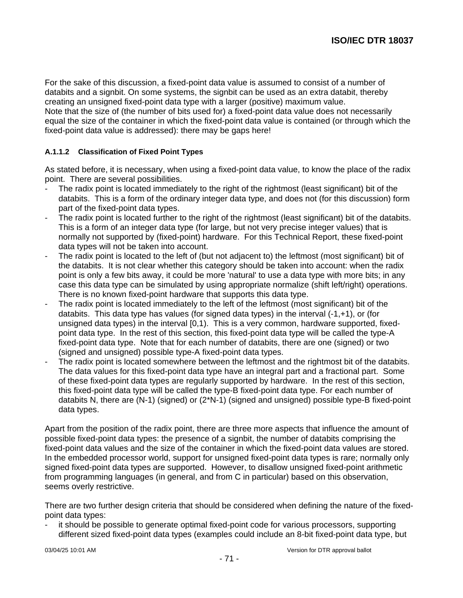For the sake of this discussion, a fixed-point data value is assumed to consist of a number of databits and a signbit. On some systems, the signbit can be used as an extra databit, thereby creating an unsigned fixed-point data type with a larger (positive) maximum value. Note that the size of (the number of bits used for) a fixed-point data value does not necessarily equal the size of the container in which the fixed-point data value is contained (or through which the fixed-point data value is addressed): there may be gaps here!

## **A.1.1.2 Classification of Fixed Point Types**

As stated before, it is necessary, when using a fixed-point data value, to know the place of the radix point. There are several possibilities.

- The radix point is located immediately to the right of the rightmost (least significant) bit of the databits. This is a form of the ordinary integer data type, and does not (for this discussion) form part of the fixed-point data types.
- The radix point is located further to the right of the rightmost (least significant) bit of the databits. This is a form of an integer data type (for large, but not very precise integer values) that is normally not supported by (fixed-point) hardware. For this Technical Report, these fixed-point data types will not be taken into account.
- The radix point is located to the left of (but not adjacent to) the leftmost (most significant) bit of the databits. It is not clear whether this category should be taken into account: when the radix point is only a few bits away, it could be more 'natural' to use a data type with more bits; in any case this data type can be simulated by using appropriate normalize (shift left/right) operations. There is no known fixed-point hardware that supports this data type.
- The radix point is located immediately to the left of the leftmost (most significant) bit of the databits. This data type has values (for signed data types) in the interval (-1,+1), or (for unsigned data types) in the interval [0,1). This is a very common, hardware supported, fixedpoint data type. In the rest of this section, this fixed-point data type will be called the type-A fixed-point data type. Note that for each number of databits, there are one (signed) or two (signed and unsigned) possible type-A fixed-point data types.
- The radix point is located somewhere between the leftmost and the rightmost bit of the databits. The data values for this fixed-point data type have an integral part and a fractional part. Some of these fixed-point data types are regularly supported by hardware. In the rest of this section, this fixed-point data type will be called the type-B fixed-point data type. For each number of databits N, there are (N-1) (signed) or (2\*N-1) (signed and unsigned) possible type-B fixed-point data types.

Apart from the position of the radix point, there are three more aspects that influence the amount of possible fixed-point data types: the presence of a signbit, the number of databits comprising the fixed-point data values and the size of the container in which the fixed-point data values are stored. In the embedded processor world, support for unsigned fixed-point data types is rare; normally only signed fixed-point data types are supported. However, to disallow unsigned fixed-point arithmetic from programming languages (in general, and from C in particular) based on this observation, seems overly restrictive.

There are two further design criteria that should be considered when defining the nature of the fixedpoint data types:

it should be possible to generate optimal fixed-point code for various processors, supporting different sized fixed-point data types (examples could include an 8-bit fixed-point data type, but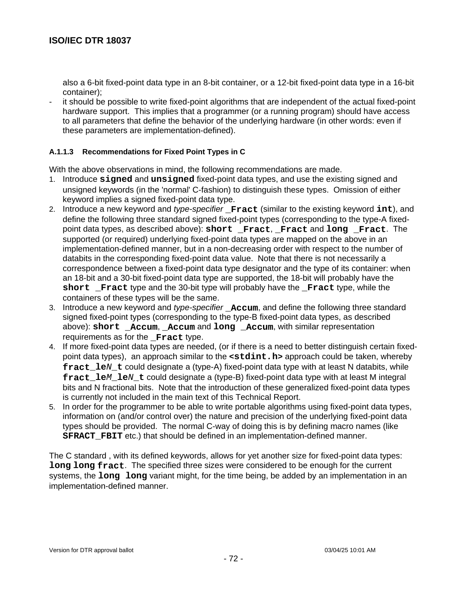also a 6-bit fixed-point data type in an 8-bit container, or a 12-bit fixed-point data type in a 16-bit container);

it should be possible to write fixed-point algorithms that are independent of the actual fixed-point hardware support. This implies that a programmer (or a running program) should have access to all parameters that define the behavior of the underlying hardware (in other words: even if these parameters are implementation-defined).

## **A.1.1.3 Recommendations for Fixed Point Types in C**

With the above observations in mind, the following recommendations are made.

- 1. Introduce **signed** and **unsigned** fixed-point data types, and use the existing signed and unsigned keywords (in the 'normal' C-fashion) to distinguish these types. Omission of either keyword implies a signed fixed-point data type.
- 2. Introduce a new keyword and type-specifier **\_Fract** (similar to the existing keyword **int**), and define the following three standard signed fixed-point types (corresponding to the type-A fixedpoint data types, as described above): **short \_Fract**, **\_Fract** and **long \_Fract**. The supported (or required) underlying fixed-point data types are mapped on the above in an implementation-defined manner, but in a non-decreasing order with respect to the number of databits in the corresponding fixed-point data value. Note that there is not necessarily a correspondence between a fixed-point data type designator and the type of its container: when an 18-bit and a 30-bit fixed-point data type are supported, the 18-bit will probably have the **short Fract** type and the 30-bit type will probably have the **Fract** type, while the containers of these types will be the same.
- 3. Introduce a new keyword and type-specifier **\_Accum**, and define the following three standard signed fixed-point types (corresponding to the type-B fixed-point data types, as described above): **short \_Accum**, **\_Accum** and **long \_Accum**, with similar representation requirements as for the **Fract** type.
- 4. If more fixed-point data types are needed, (or if there is a need to better distinguish certain fixedpoint data types), an approach similar to the **<stdint.h>** approach could be taken, whereby **fract** le*N* t could designate a (type-A) fixed-point data type with at least N databits, while **fract\_le**M**\_le**N**\_t** could designate a (type-B) fixed-point data type with at least M integral bits and N fractional bits. Note that the introduction of these generalized fixed-point data types is currently not included in the main text of this Technical Report.
- 5. In order for the programmer to be able to write portable algorithms using fixed-point data types, information on (and/or control over) the nature and precision of the underlying fixed-point data types should be provided. The normal C-way of doing this is by defining macro names (like **SFRACT\_FBIT** etc.) that should be defined in an implementation-defined manner.

The C standard , with its defined keywords, allows for yet another size for fixed-point data types: **long long fract**. The specified three sizes were considered to be enough for the current systems, the **long long** variant might, for the time being, be added by an implementation in an implementation-defined manner.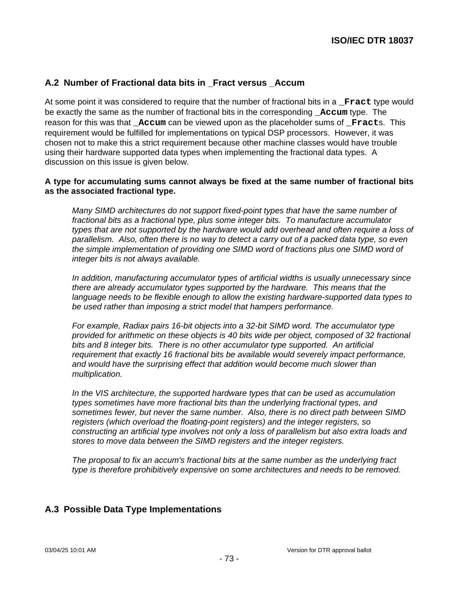## **A.2 Number of Fractional data bits in \_Fract versus \_Accum**

At some point it was considered to require that the number of fractional bits in a **\_Fract** type would be exactly the same as the number of fractional bits in the corresponding **\_Accum** type. The reason for this was that **\_Accum** can be viewed upon as the placeholder sums of **\_Fract**s. This requirement would be fulfilled for implementations on typical DSP processors. However, it was chosen not to make this a strict requirement because other machine classes would have trouble using their hardware supported data types when implementing the fractional data types. A discussion on this issue is given below.

#### **A type for accumulating sums cannot always be fixed at the same number of fractional bits as the associated fractional type.**

Many SIMD architectures do not support fixed-point types that have the same number of fractional bits as a fractional type, plus some integer bits. To manufacture accumulator types that are not supported by the hardware would add overhead and often require a loss of parallelism. Also, often there is no way to detect a carry out of a packed data type, so even the simple implementation of providing one SIMD word of fractions plus one SIMD word of integer bits is not always available.

In addition, manufacturing accumulator types of artificial widths is usually unnecessary since there are already accumulator types supported by the hardware. This means that the language needs to be flexible enough to allow the existing hardware-supported data types to be used rather than imposing a strict model that hampers performance.

For example, Radiax pairs 16-bit objects into a 32-bit SIMD word. The accumulator type provided for arithmetic on these objects is 40 bits wide per object, composed of 32 fractional bits and 8 integer bits. There is no other accumulator type supported. An artificial requirement that exactly 16 fractional bits be available would severely impact performance, and would have the surprising effect that addition would become much slower than multiplication.

In the VIS architecture, the supported hardware types that can be used as accumulation types sometimes have more fractional bits than the underlying fractional types, and sometimes fewer, but never the same number. Also, there is no direct path between SIMD registers (which overload the floating-point registers) and the integer registers, so constructing an artificial type involves not only a loss of parallelism but also extra loads and stores to move data between the SIMD registers and the integer registers.

The proposal to fix an accum's fractional bits at the same number as the underlying fract type is therefore prohibitively expensive on some architectures and needs to be removed.

### **A.3 Possible Data Type Implementations**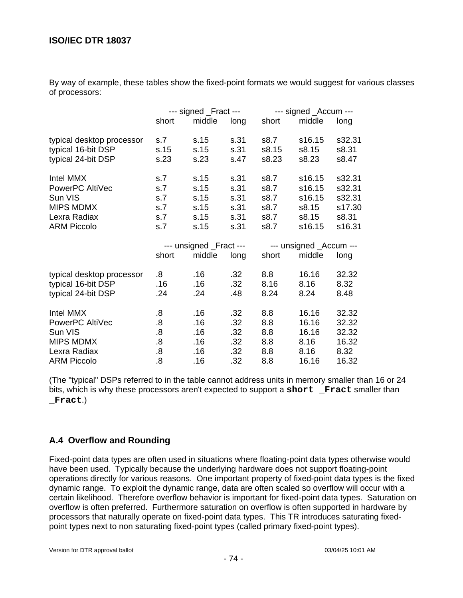By way of example, these tables show the fixed-point formats we would suggest for various classes of processors:

|                           | --- signed _Fract ---   |        |      |                         | --- signed _Accum --- |        |  |  |
|---------------------------|-------------------------|--------|------|-------------------------|-----------------------|--------|--|--|
|                           | short                   | middle | long | short                   | middle                | long   |  |  |
| typical desktop processor | s.7                     | s.15   | s.31 | s8.7                    | s16.15                | s32.31 |  |  |
| typical 16-bit DSP        | s.15                    | s.15   | s.31 | s8.15                   | s8.15                 | s8.31  |  |  |
| typical 24-bit DSP        | s.23                    | s.23   | s.47 | s8.23                   | s8.23                 | s8.47  |  |  |
| Intel MMX                 | s.7                     | s.15   | s.31 | s8.7                    | s16.15                | s32.31 |  |  |
| PowerPC AltiVec           | s.7                     | s.15   | s.31 | s8.7                    | s16.15                | s32.31 |  |  |
| Sun VIS                   | s.7                     | s.15   | s.31 | s8.7                    | s16.15                | s32.31 |  |  |
| <b>MIPS MDMX</b>          | s.7                     | s.15   | s.31 | s8.7                    | s8.15                 | s17.30 |  |  |
| Lexra Radiax              | s.7                     | s.15   | s.31 | s8.7                    | s8.15                 | s8.31  |  |  |
| <b>ARM Piccolo</b>        | s.7                     | s.15   | s.31 | s8.7                    | s16.15                | s16.31 |  |  |
|                           | --- unsigned _Fract --- |        |      | --- unsigned _Accum --- |                       |        |  |  |
|                           | short                   | middle | long | short                   | middle                | long   |  |  |
| typical desktop processor | 8.5                     | .16    | .32  | 8.8                     | 16.16                 | 32.32  |  |  |
| typical 16-bit DSP        | .16                     | .16    | .32  | 8.16                    | 8.16                  | 8.32   |  |  |
| typical 24-bit DSP        | .24                     | .24    | .48  | 8.24                    | 8.24                  | 8.48   |  |  |
| Intel MMX                 | .8                      | .16    | .32  | 8.8                     | 16.16                 | 32.32  |  |  |
| PowerPC AltiVec           | $\boldsymbol{.8}$       | .16    | .32  | 8.8                     | 16.16                 | 32.32  |  |  |
| Sun VIS                   | 8.5                     | .16    | .32  | 8.8                     | 16.16                 | 32.32  |  |  |
| <b>MIPS MDMX</b>          | 8.5                     | .16    | .32  | 8.8                     | 8.16                  | 16.32  |  |  |
| Lexra Radiax              | 8.                      | .16    | .32  | 8.8                     | 8.16                  | 8.32   |  |  |
| <b>ARM Piccolo</b>        | 8.5                     | .16    | .32  | 8.8                     | 16.16                 | 16.32  |  |  |

(The "typical" DSPs referred to in the table cannot address units in memory smaller than 16 or 24 bits, which is why these processors aren't expected to support a **short \_Fract** smaller than **\_Fract**.)

## **A.4 Overflow and Rounding**

Fixed-point data types are often used in situations where floating-point data types otherwise would have been used. Typically because the underlying hardware does not support floating-point operations directly for various reasons. One important property of fixed-point data types is the fixed dynamic range. To exploit the dynamic range, data are often scaled so overflow will occur with a certain likelihood. Therefore overflow behavior is important for fixed-point data types. Saturation on overflow is often preferred. Furthermore saturation on overflow is often supported in hardware by processors that naturally operate on fixed-point data types. This TR introduces saturating fixedpoint types next to non saturating fixed-point types (called primary fixed-point types).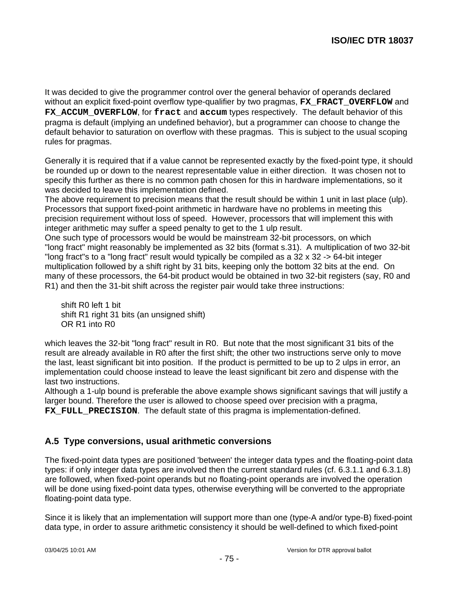It was decided to give the programmer control over the general behavior of operands declared without an explicit fixed-point overflow type-qualifier by two pragmas, **FX\_FRACT\_OVERFLOW** and FX ACCUM OVERFLOW, for fract and accum types respectively. The default behavior of this pragma is default (implying an undefined behavior), but a programmer can choose to change the default behavior to saturation on overflow with these pragmas. This is subject to the usual scoping rules for pragmas.

Generally it is required that if a value cannot be represented exactly by the fixed-point type, it should be rounded up or down to the nearest representable value in either direction. It was chosen not to specify this further as there is no common path chosen for this in hardware implementations, so it was decided to leave this implementation defined.

The above requirement to precision means that the result should be within 1 unit in last place (ulp). Processors that support fixed-point arithmetic in hardware have no problems in meeting this precision requirement without loss of speed. However, processors that will implement this with integer arithmetic may suffer a speed penalty to get to the 1 ulp result.

One such type of processors would be would be mainstream 32-bit processors, on which "long fract" might reasonably be implemented as 32 bits (format s.31). A multiplication of two 32-bit "long fract"s to a "long fract" result would typically be compiled as a 32 x 32 -> 64-bit integer multiplication followed by a shift right by 31 bits, keeping only the bottom 32 bits at the end. On many of these processors, the 64-bit product would be obtained in two 32-bit registers (say, R0 and R1) and then the 31-bit shift across the register pair would take three instructions:

 shift R0 left 1 bit shift R1 right 31 bits (an unsigned shift) OR R1 into R0

which leaves the 32-bit "long fract" result in R0. But note that the most significant 31 bits of the result are already available in R0 after the first shift; the other two instructions serve only to move the last, least significant bit into position. If the product is permitted to be up to 2 ulps in error, an implementation could choose instead to leave the least significant bit zero and dispense with the last two instructions.

Although a 1-ulp bound is preferable the above example shows significant savings that will justify a larger bound. Therefore the user is allowed to choose speed over precision with a pragma, FX FULL PRECISION. The default state of this pragma is implementation-defined.

### **A.5 Type conversions, usual arithmetic conversions**

The fixed-point data types are positioned 'between' the integer data types and the floating-point data types: if only integer data types are involved then the current standard rules (cf. 6.3.1.1 and 6.3.1.8) are followed, when fixed-point operands but no floating-point operands are involved the operation will be done using fixed-point data types, otherwise everything will be converted to the appropriate floating-point data type.

Since it is likely that an implementation will support more than one (type-A and/or type-B) fixed-point data type, in order to assure arithmetic consistency it should be well-defined to which fixed-point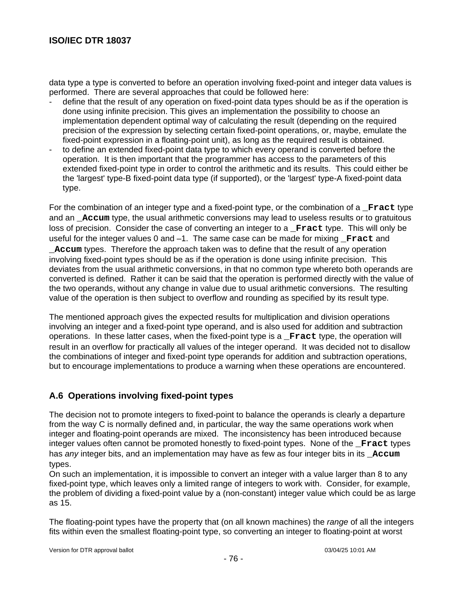data type a type is converted to before an operation involving fixed-point and integer data values is performed. There are several approaches that could be followed here:

- define that the result of any operation on fixed-point data types should be as if the operation is done using infinite precision. This gives an implementation the possibility to choose an implementation dependent optimal way of calculating the result (depending on the required precision of the expression by selecting certain fixed-point operations, or, maybe, emulate the fixed-point expression in a floating-point unit), as long as the required result is obtained.
- to define an extended fixed-point data type to which every operand is converted before the operation. It is then important that the programmer has access to the parameters of this extended fixed-point type in order to control the arithmetic and its results. This could either be the 'largest' type-B fixed-point data type (if supported), or the 'largest' type-A fixed-point data type.

For the combination of an integer type and a fixed-point type, or the combination of a **\_Fract** type and an **\_Accum** type, the usual arithmetic conversions may lead to useless results or to gratuitous loss of precision. Consider the case of converting an integer to a **\_Fract** type. This will only be useful for the integer values 0 and -1. The same case can be made for mixing **Fract** and **\_Accum** types. Therefore the approach taken was to define that the result of any operation involving fixed-point types should be as if the operation is done using infinite precision. This deviates from the usual arithmetic conversions, in that no common type whereto both operands are converted is defined. Rather it can be said that the operation is performed directly with the value of the two operands, without any change in value due to usual arithmetic conversions. The resulting value of the operation is then subject to overflow and rounding as specified by its result type.

The mentioned approach gives the expected results for multiplication and division operations involving an integer and a fixed-point type operand, and is also used for addition and subtraction operations. In these latter cases, when the fixed-point type is a **\_Fract** type, the operation will result in an overflow for practically all values of the integer operand. It was decided not to disallow the combinations of integer and fixed-point type operands for addition and subtraction operations, but to encourage implementations to produce a warning when these operations are encountered.

### **A.6 Operations involving fixed-point types**

The decision not to promote integers to fixed-point to balance the operands is clearly a departure from the way C is normally defined and, in particular, the way the same operations work when integer and floating-point operands are mixed. The inconsistency has been introduced because integer values often cannot be promoted honestly to fixed-point types. None of the **\_Fract** types has any integer bits, and an implementation may have as few as four integer bits in its **Accum** types.

On such an implementation, it is impossible to convert an integer with a value larger than 8 to any fixed-point type, which leaves only a limited range of integers to work with. Consider, for example, the problem of dividing a fixed-point value by a (non-constant) integer value which could be as large as 15.

The floating-point types have the property that (on all known machines) the *range* of all the integers fits within even the smallest floating-point type, so converting an integer to floating-point at worst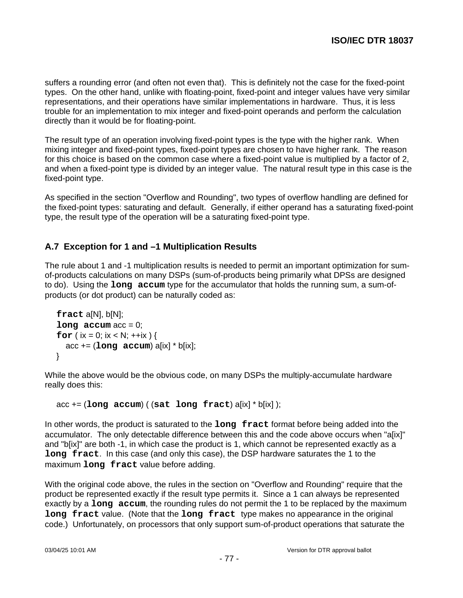suffers a rounding error (and often not even that). This is definitely not the case for the fixed-point types. On the other hand, unlike with floating-point, fixed-point and integer values have very similar representations, and their operations have similar implementations in hardware. Thus, it is less trouble for an implementation to mix integer and fixed-point operands and perform the calculation directly than it would be for floating-point.

The result type of an operation involving fixed-point types is the type with the higher rank. When mixing integer and fixed-point types, fixed-point types are chosen to have higher rank. The reason for this choice is based on the common case where a fixed-point value is multiplied by a factor of 2, and when a fixed-point type is divided by an integer value. The natural result type in this case is the fixed-point type.

As specified in the section "Overflow and Rounding", two types of overflow handling are defined for the fixed-point types: saturating and default. Generally, if either operand has a saturating fixed-point type, the result type of the operation will be a saturating fixed-point type.

## **A.7 Exception for 1 and –1 Multiplication Results**

The rule about 1 and -1 multiplication results is needed to permit an important optimization for sumof-products calculations on many DSPs (sum-of-products being primarily what DPSs are designed to do). Using the **long accum** type for the accumulator that holds the running sum, a sum-ofproducts (or dot product) can be naturally coded as:

```
 fract a[N], b[N];
long accum acc = 0;
for ( ix = 0; ix < N; ++ix ) {
   acc += (long accum) a[ix] * b[ix];
 }
```
While the above would be the obvious code, on many DSPs the multiply-accumulate hardware really does this:

```
 acc += (long accum) ( (sat long fract) a[ix] * b[ix] );
```
In other words, the product is saturated to the **long fract** format before being added into the accumulator. The only detectable difference between this and the code above occurs when "a[ix]" and "b[ix]" are both -1, in which case the product is 1, which cannot be represented exactly as a **long fract**. In this case (and only this case), the DSP hardware saturates the 1 to the maximum **long fract** value before adding.

With the original code above, the rules in the section on "Overflow and Rounding" require that the product be represented exactly if the result type permits it. Since a 1 can always be represented exactly by a **long accum**, the rounding rules do not permit the 1 to be replaced by the maximum **long fract** value. (Note that the **long fract** type makes no appearance in the original code.) Unfortunately, on processors that only support sum-of-product operations that saturate the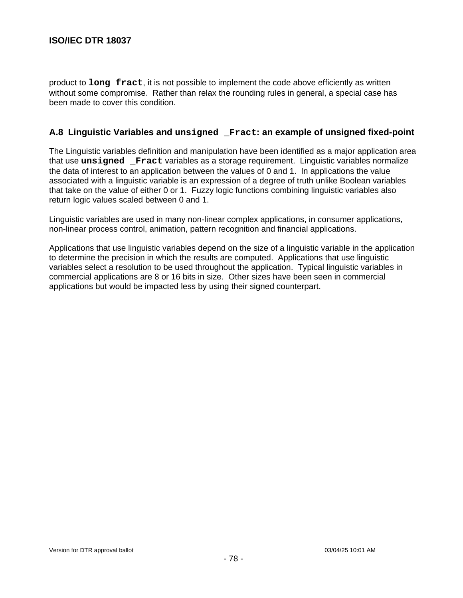product to **long fract**, it is not possible to implement the code above efficiently as written without some compromise. Rather than relax the rounding rules in general, a special case has been made to cover this condition.

## **A.8 Linguistic Variables and unsigned \_Fract: an example of unsigned fixed-point**

The Linguistic variables definition and manipulation have been identified as a major application area that use **unsigned \_Fract** variables as a storage requirement. Linguistic variables normalize the data of interest to an application between the values of 0 and 1. In applications the value associated with a linguistic variable is an expression of a degree of truth unlike Boolean variables that take on the value of either 0 or 1. Fuzzy logic functions combining linguistic variables also return logic values scaled between 0 and 1.

Linguistic variables are used in many non-linear complex applications, in consumer applications, non-linear process control, animation, pattern recognition and financial applications.

Applications that use linguistic variables depend on the size of a linguistic variable in the application to determine the precision in which the results are computed. Applications that use linguistic variables select a resolution to be used throughout the application. Typical linguistic variables in commercial applications are 8 or 16 bits in size. Other sizes have been seen in commercial applications but would be impacted less by using their signed counterpart.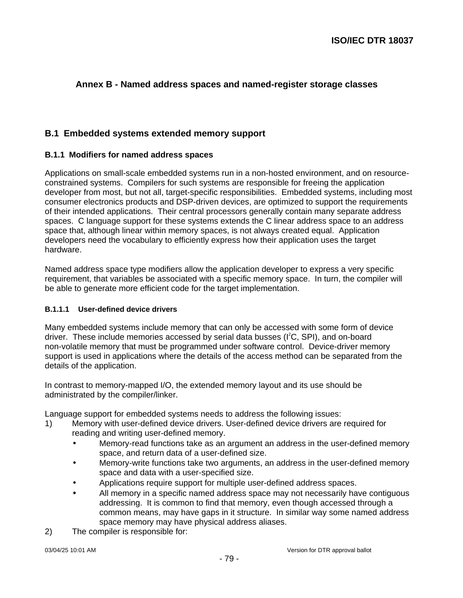## **Annex B - Named address spaces and named-register storage classes**

## **B.1 Embedded systems extended memory support**

#### **B.1.1 Modifiers for named address spaces**

Applications on small-scale embedded systems run in a non-hosted environment, and on resourceconstrained systems. Compilers for such systems are responsible for freeing the application developer from most, but not all, target-specific responsibilities. Embedded systems, including most consumer electronics products and DSP-driven devices, are optimized to support the requirements of their intended applications. Their central processors generally contain many separate address spaces. C language support for these systems extends the C linear address space to an address space that, although linear within memory spaces, is not always created equal. Application developers need the vocabulary to efficiently express how their application uses the target hardware.

Named address space type modifiers allow the application developer to express a very specific requirement, that variables be associated with a specific memory space. In turn, the compiler will be able to generate more efficient code for the target implementation.

#### **B.1.1.1 User-defined device drivers**

Many embedded systems include memory that can only be accessed with some form of device driver. These include memories accessed by serial data busses (I<sup>2</sup>C, SPI), and on-board non-volatile memory that must be programmed under software control. Device-driver memory support is used in applications where the details of the access method can be separated from the details of the application.

In contrast to memory-mapped I/O, the extended memory layout and its use should be administrated by the compiler/linker.

Language support for embedded systems needs to address the following issues:

- 1) Memory with user-defined device drivers. User-defined device drivers are required for reading and writing user-defined memory.
	- Memory-read functions take as an argument an address in the user-defined memory space, and return data of a user-defined size.
	- Memory-write functions take two arguments, an address in the user-defined memory space and data with a user-specified size.
	- Applications require support for multiple user-defined address spaces.
	- All memory in a specific named address space may not necessarily have contiguous addressing. It is common to find that memory, even though accessed through a common means, may have gaps in it structure. In similar way some named address space memory may have physical address aliases.
- 2) The compiler is responsible for: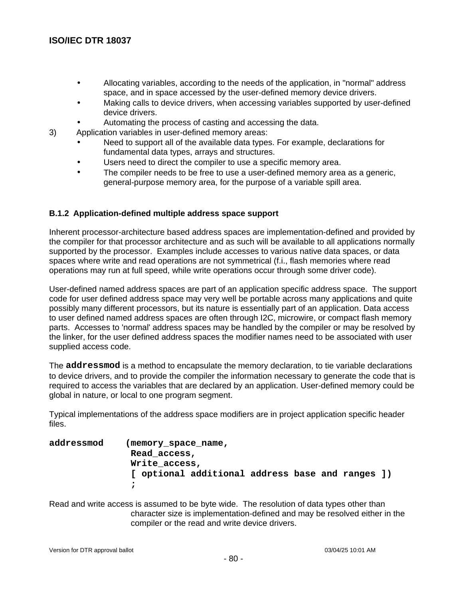- Allocating variables, according to the needs of the application, in "normal" address space, and in space accessed by the user-defined memory device drivers.
- Making calls to device drivers, when accessing variables supported by user-defined device drivers.
- Automating the process of casting and accessing the data.
- 3) Application variables in user-defined memory areas:
	- Need to support all of the available data types. For example, declarations for fundamental data types, arrays and structures.
	- Users need to direct the compiler to use a specific memory area.
	- The compiler needs to be free to use a user-defined memory area as a generic, general-purpose memory area, for the purpose of a variable spill area.

### **B.1.2 Application-defined multiple address space support**

Inherent processor-architecture based address spaces are implementation-defined and provided by the compiler for that processor architecture and as such will be available to all applications normally supported by the processor. Examples include accesses to various native data spaces, or data spaces where write and read operations are not symmetrical (f.i., flash memories where read operations may run at full speed, while write operations occur through some driver code).

User-defined named address spaces are part of an application specific address space. The support code for user defined address space may very well be portable across many applications and quite possibly many different processors, but its nature is essentially part of an application. Data access to user defined named address spaces are often through I2C, microwire, or compact flash memory parts. Accesses to 'normal' address spaces may be handled by the compiler or may be resolved by the linker, for the user defined address spaces the modifier names need to be associated with user supplied access code.

The **addressmod** is a method to encapsulate the memory declaration, to tie variable declarations to device drivers, and to provide the compiler the information necessary to generate the code that is required to access the variables that are declared by an application. User-defined memory could be global in nature, or local to one program segment.

Typical implementations of the address space modifiers are in project application specific header files.

**addressmod (memory\_space\_name, Read\_access, Write\_access, [ optional additional address base and ranges ]) ;**

Read and write access is assumed to be byte wide. The resolution of data types other than character size is implementation-defined and may be resolved either in the compiler or the read and write device drivers.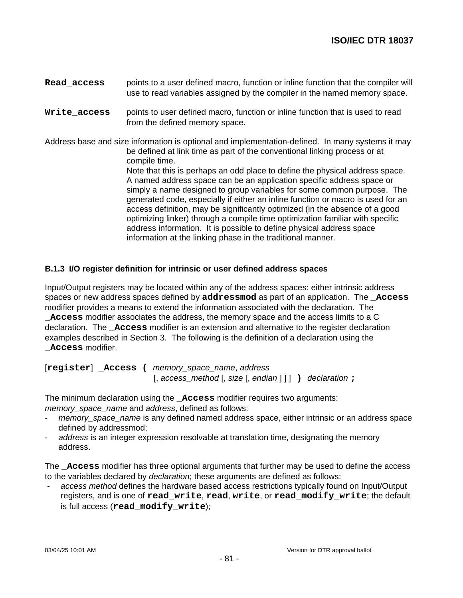- **Read\_access** points to a user defined macro, function or inline function that the compiler will use to read variables assigned by the compiler in the named memory space.
- **Write\_access** points to user defined macro, function or inline function that is used to read from the defined memory space.

Address base and size information is optional and implementation-defined. In many systems it may be defined at link time as part of the conventional linking process or at compile time.

Note that this is perhaps an odd place to define the physical address space. A named address space can be an application specific address space or simply a name designed to group variables for some common purpose. The generated code, especially if either an inline function or macro is used for an access definition, may be significantly optimized (in the absence of a good optimizing linker) through a compile time optimization familiar with specific address information. It is possible to define physical address space information at the linking phase in the traditional manner.

#### **B.1.3 I/O register definition for intrinsic or user defined address spaces**

Input/Output registers may be located within any of the address spaces: either intrinsic address spaces or new address spaces defined by **addressmod** as part of an application. The **\_Access** modifier provides a means to extend the information associated with the declaration. The **\_Access** modifier associates the address, the memory space and the access limits to a C declaration. The **\_Access** modifier is an extension and alternative to the register declaration examples described in Section 3. The following is the definition of a declaration using the **\_Access** modifier.

[**register**] **\_Access (** memory\_space\_name, address [, access\_method [, size [, endian ] ] ] **)** declaration **;**

The minimum declaration using the **\_Access** modifier requires two arguments: memory space name and address, defined as follows:

- memory space name is any defined named address space, either intrinsic or an address space defined by addressmod;
- address is an integer expression resolvable at translation time, designating the memory address.

The **\_Access** modifier has three optional arguments that further may be used to define the access to the variables declared by declaration; these arguments are defined as follows:

access method defines the hardware based access restrictions typically found on Input/Output registers, and is one of **read\_write**, **read**, **write**, or **read\_modify\_write**; the default is full access (**read\_modify\_write**);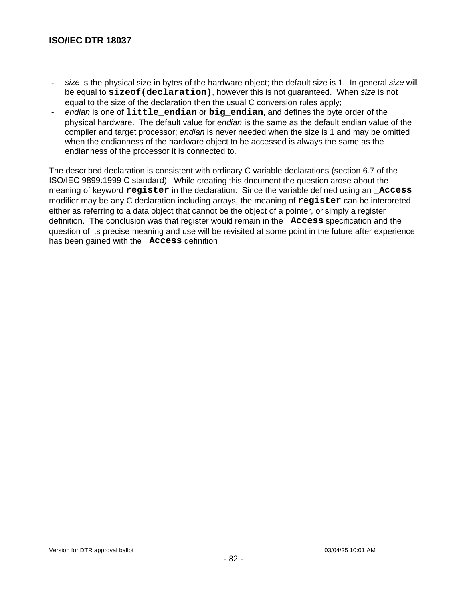- size is the physical size in bytes of the hardware object; the default size is 1. In general size will be equal to **sizeof(declaration)**, however this is not guaranteed. When size is not equal to the size of the declaration then the usual C conversion rules apply;
- endian is one of **little\_endian** or **big\_endian**, and defines the byte order of the physical hardware. The default value for endian is the same as the default endian value of the compiler and target processor; *endian* is never needed when the size is 1 and may be omitted when the endianness of the hardware object to be accessed is always the same as the endianness of the processor it is connected to.

The described declaration is consistent with ordinary C variable declarations (section 6.7 of the ISO/IEC 9899:1999 C standard). While creating this document the question arose about the meaning of keyword **register** in the declaration. Since the variable defined using an **\_Access** modifier may be any C declaration including arrays, the meaning of **register** can be interpreted either as referring to a data object that cannot be the object of a pointer, or simply a register definition. The conclusion was that register would remain in the **\_Access** specification and the question of its precise meaning and use will be revisited at some point in the future after experience has been gained with the **\_Access** definition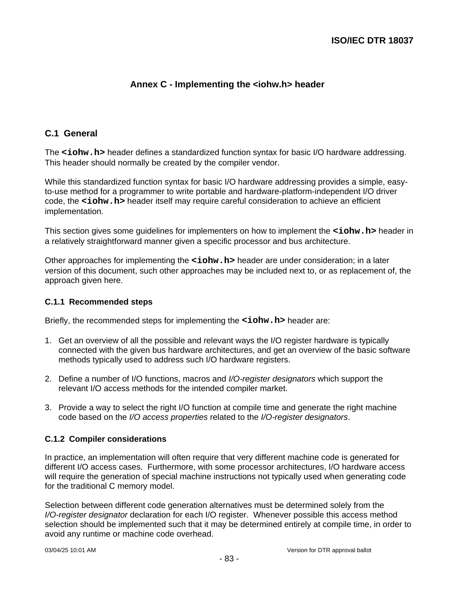# **Annex C - Implementing the <iohw.h> header**

### **C.1 General**

The <iohw.h> header defines a standardized function syntax for basic I/O hardware addressing. This header should normally be created by the compiler vendor.

While this standardized function syntax for basic I/O hardware addressing provides a simple, easyto-use method for a programmer to write portable and hardware-platform-independent I/O driver code, the **<iohw.h>** header itself may require careful consideration to achieve an efficient implementation.

This section gives some guidelines for implementers on how to implement the **<iohw.h>** header in a relatively straightforward manner given a specific processor and bus architecture.

Other approaches for implementing the **<iohw.h>** header are under consideration; in a later version of this document, such other approaches may be included next to, or as replacement of, the approach given here.

#### **C.1.1 Recommended steps**

Briefly, the recommended steps for implementing the **<iohw.h>** header are:

- 1. Get an overview of all the possible and relevant ways the I/O register hardware is typically connected with the given bus hardware architectures, and get an overview of the basic software methods typically used to address such I/O hardware registers.
- 2. Define a number of I/O functions, macros and I/O-register designators which support the relevant I/O access methods for the intended compiler market.
- 3. Provide a way to select the right I/O function at compile time and generate the right machine code based on the I/O access properties related to the I/O-register designators.

#### **C.1.2 Compiler considerations**

In practice, an implementation will often require that very different machine code is generated for different I/O access cases. Furthermore, with some processor architectures, I/O hardware access will require the generation of special machine instructions not typically used when generating code for the traditional C memory model.

Selection between different code generation alternatives must be determined solely from the I/O-register designator declaration for each I/O register. Whenever possible this access method selection should be implemented such that it may be determined entirely at compile time, in order to avoid any runtime or machine code overhead.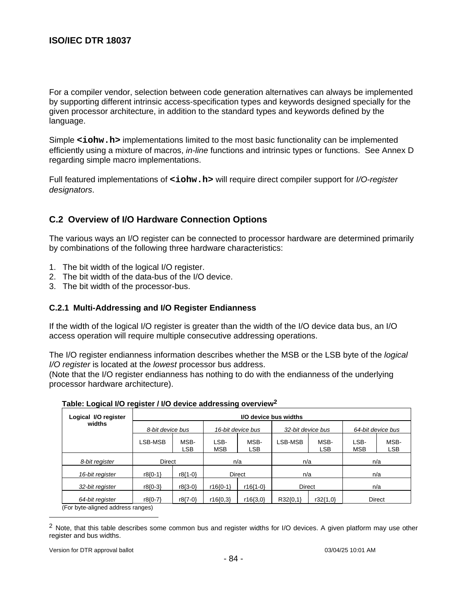For a compiler vendor, selection between code generation alternatives can always be implemented by supporting different intrinsic access-specification types and keywords designed specially for the given processor architecture, in addition to the standard types and keywords defined by the language.

Simple <iohw.h> implementations limited to the most basic functionality can be implemented efficiently using a mixture of macros, *in-line* functions and intrinsic types or functions. See Annex D regarding simple macro implementations.

Full featured implementations of **<iohw.h>** will require direct compiler support for *I/O-register* designators.

## **C.2 Overview of I/O Hardware Connection Options**

The various ways an I/O register can be connected to processor hardware are determined primarily by combinations of the following three hardware characteristics:

- 1. The bit width of the logical I/O register.
- 2. The bit width of the data-bus of the I/O device.
- 3. The bit width of the processor-bus.

#### **C.2.1 Multi-Addressing and I/O Register Endianness**

If the width of the logical I/O register is greater than the width of the I/O device data bus, an I/O access operation will require multiple consecutive addressing operations.

The I/O register endianness information describes whether the MSB or the LSB byte of the *logical* I/O register is located at the lowest processor bus address.

(Note that the I/O register endianness has nothing to do with the endianness of the underlying processor hardware architecture).

| Logical I/O register | I/O device bus widths |                    |                    |                    |                   |                    |                    |                    |  |
|----------------------|-----------------------|--------------------|--------------------|--------------------|-------------------|--------------------|--------------------|--------------------|--|
| widths               | 8-bit device bus      |                    | 16-bit device bus  |                    | 32-bit device bus |                    | 64-bit device bus  |                    |  |
|                      | LSB-MSB               | MSB-<br><b>LSB</b> | LSB-<br><b>MSB</b> | MSB-<br><b>LSB</b> | LSB-MSB           | MSB-<br><b>LSB</b> | LSB-<br><b>MSB</b> | MSB-<br><b>LSB</b> |  |
| 8-bit register       | <b>Direct</b>         |                    | n/a                |                    | n/a               |                    | n/a                |                    |  |
| 16-bit register      | $r8(0-1)$             | $r8{1-0}$          | <b>Direct</b>      |                    | n/a               |                    | n/a                |                    |  |
| 32-bit register      | $r8(0-3)$             | $r8(3-0)$          | $r16(0-1)$         | $r16{1-0}$         | <b>Direct</b>     |                    | n/a                |                    |  |
| 64-bit register      | $r8(0-7)$             | r8{7-0}            | r16(0,3)           | $r16\{3,0\}$       | $R32\{0,1\}$      | $r32\{1,0\}$       |                    | <b>Direct</b>      |  |

**Table: Logical I/O register / I/O device addressing overview<sup>2</sup>**

(For byte-aligned address ranges)

 $\overline{a}$ 

<sup>&</sup>lt;sup>2</sup> Note, that this table describes some common bus and register widths for I/O devices. A given platform may use other register and bus widths.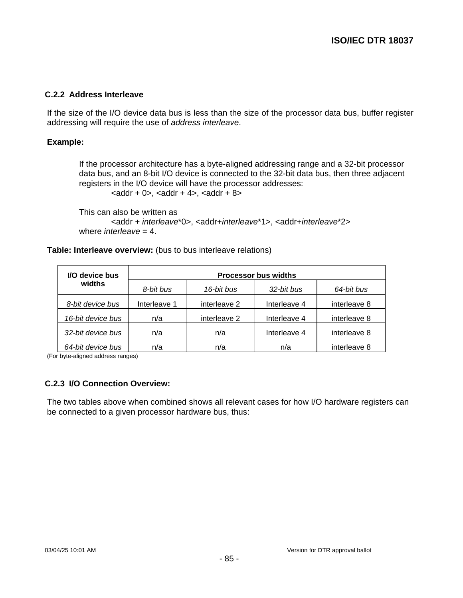#### **C.2.2 Address Interleave**

If the size of the I/O device data bus is less than the size of the processor data bus, buffer register addressing will require the use of address interleave.

#### **Example:**

If the processor architecture has a byte-aligned addressing range and a 32-bit processor data bus, and an 8-bit I/O device is connected to the 32-bit data bus, then three adjacent registers in the I/O device will have the processor addresses:  $\alpha$  <addr + 0>,  $\alpha$ ddr + 4>,  $\alpha$ ddr + 8>

This can also be written as <addr + interleave\*0>, <addr+interleave\*1>, <addr+interleave\*2> where *interleave* =  $4$ .

#### **Table: Interleave overview:** (bus to bus interleave relations)

| I/O device bus    | <b>Processor bus widths</b> |              |              |              |  |  |  |  |  |
|-------------------|-----------------------------|--------------|--------------|--------------|--|--|--|--|--|
| widths            | 8-bit bus                   | 16-bit bus   | 32-bit bus   | 64-bit bus   |  |  |  |  |  |
| 8-bit device bus  | Interleave 1                | interleave 2 | Interleave 4 | interleave 8 |  |  |  |  |  |
| 16-bit device bus | n/a                         | interleave 2 | Interleave 4 | interleave 8 |  |  |  |  |  |
| 32-bit device bus | n/a                         | n/a          | Interleave 4 | interleave 8 |  |  |  |  |  |
| 64-bit device bus | n/a                         | n/a          | n/a          | interleave 8 |  |  |  |  |  |

(For byte-aligned address ranges)

### **C.2.3 I/O Connection Overview:**

The two tables above when combined shows all relevant cases for how I/O hardware registers can be connected to a given processor hardware bus, thus: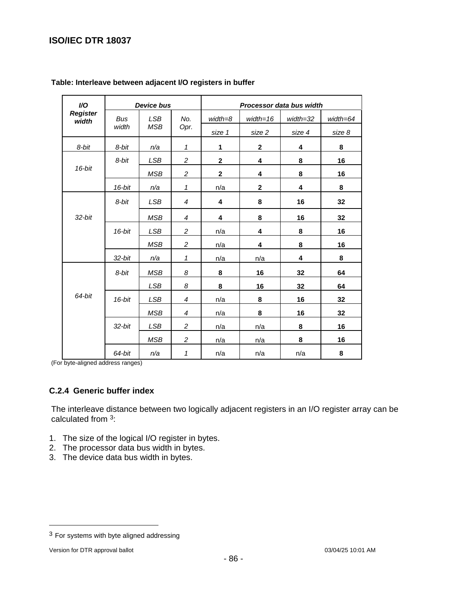| I/O                      | <b>Device bus</b> |            |                | Processor data bus width |              |          |          |  |  |
|--------------------------|-------------------|------------|----------------|--------------------------|--------------|----------|----------|--|--|
| <b>Register</b><br>width | <b>Bus</b>        | <b>LSB</b> | No.            | width=8                  | $width = 16$ | width=32 | width=64 |  |  |
|                          | width             | <b>MSB</b> | Opr.           | size 1                   | size 2       | size 4   | size 8   |  |  |
| 8-bit                    | 8-bit             | n/a        | $\mathbf{1}$   | 1                        | $\mathbf{2}$ | 4        | 8        |  |  |
|                          | 8-bit             | <b>LSB</b> | $\overline{c}$ | $\mathbf{2}$             | 4            | 8        | 16       |  |  |
| 16-bit                   |                   | <b>MSB</b> | 2              | $\mathbf 2$              | 4            | 8        | 16       |  |  |
|                          | $16$ -bit         | n/a        | $\mathbf{1}$   | n/a                      | $\mathbf 2$  | 4        | 8        |  |  |
|                          | 8-bit             | <b>LSB</b> | $\overline{4}$ | 4                        | 8            | 16       | 32       |  |  |
| $32$ -bit                |                   | <b>MSB</b> | 4              | 4                        | 8            | 16       | 32       |  |  |
|                          | 16-bit            | LSB        | $\overline{c}$ | n/a                      | 4            | 8        | 16       |  |  |
|                          |                   | <b>MSB</b> | $\overline{c}$ | n/a                      | 4            | 8        | 16       |  |  |
|                          | 32-bit            | n/a        | 1              | n/a                      | n/a          | 4        | 8        |  |  |
|                          | 8-bit             | <b>MSB</b> | 8              | 8                        | 16           | 32       | 64       |  |  |
|                          |                   | <b>LSB</b> | 8              | 8                        | 16           | 32       | 64       |  |  |
| 64-bit                   | 16-bit            | LSB        | $\overline{4}$ | n/a                      | 8            | 16       | 32       |  |  |
|                          |                   | <b>MSB</b> | $\overline{4}$ | n/a                      | 8            | 16       | 32       |  |  |
|                          | $32$ -bit         | <b>LSB</b> | 2              | n/a                      | n/a          | 8        | 16       |  |  |
|                          |                   | <b>MSB</b> | $\overline{c}$ | n/a                      | n/a          | 8        | 16       |  |  |
|                          | 64-bit            | n/a        | 1              | n/a                      | n/a          | n/a      | 8        |  |  |

#### **Table: Interleave between adjacent I/O registers in buffer**

(For byte-aligned address ranges)

### **C.2.4 Generic buffer index**

The interleave distance between two logically adjacent registers in an I/O register array can be calculated from 3:

- 1. The size of the logical I/O register in bytes.
- 2. The processor data bus width in bytes.
- 3. The device data bus width in bytes.

-

 $3$  For systems with byte aligned addressing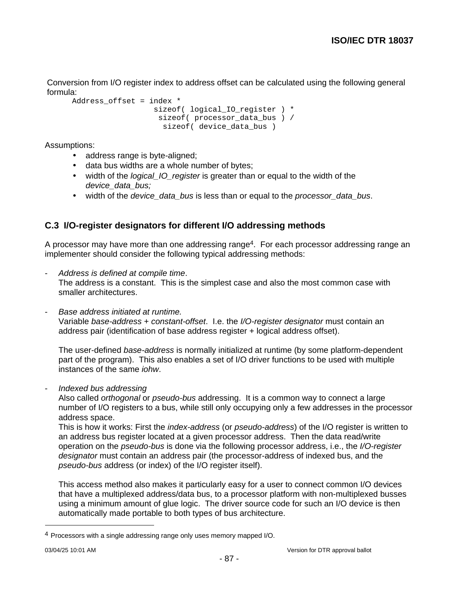Conversion from I/O register index to address offset can be calculated using the following general formula:

```
Address offset = index *
                  sizeof( logical IO register ) *
                    sizeof( processor_data_bus ) /
                     sizeof( device_data_bus )
```
Assumptions:

- address range is byte-aligned;
- data bus widths are a whole number of bytes;
- width of the *logical\_IO\_register* is greater than or equal to the width of the device\_data\_bus;
- width of the *device\_data\_bus* is less than or equal to the *processor\_data\_bus.*

## **C.3 I/O-register designators for different I/O addressing methods**

A processor may have more than one addressing range<sup>4</sup>. For each processor addressing range an implementer should consider the following typical addressing methods:

- Address is defined at compile time.

The address is a constant. This is the simplest case and also the most common case with smaller architectures.

Base address initiated at runtime.

Variable base-address + constant-offset. I.e. the I/O-register designator must contain an address pair (identification of base address register + logical address offset).

The user-defined base-address is normally initialized at runtime (by some platform-dependent part of the program). This also enables a set of I/O driver functions to be used with multiple instances of the same iohw.

- Indexed bus addressing

Also called orthogonal or pseudo-bus addressing. It is a common way to connect a large number of I/O registers to a bus, while still only occupying only a few addresses in the processor address space.

This is how it works: First the *index-address* (or *pseudo-address*) of the I/O register is written to an address bus register located at a given processor address. Then the data read/write operation on the pseudo-bus is done via the following processor address, i.e., the I/O-register designator must contain an address pair (the processor-address of indexed bus, and the pseudo-bus address (or index) of the I/O register itself).

This access method also makes it particularly easy for a user to connect common I/O devices that have a multiplexed address/data bus, to a processor platform with non-multiplexed busses using a minimum amount of glue logic. The driver source code for such an I/O device is then automatically made portable to both types of bus architecture.

-

<sup>4</sup> Processors with a single addressing range only uses memory mapped I/O.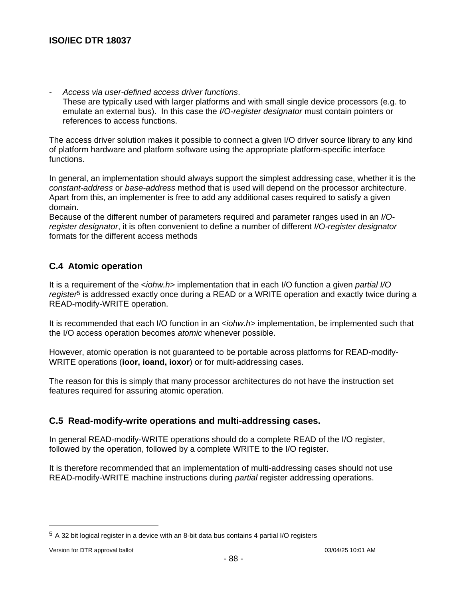Access via user-defined access driver functions. These are typically used with larger platforms and with small single device processors (e.g. to emulate an external bus). In this case the I/O-register designator must contain pointers or references to access functions.

The access driver solution makes it possible to connect a given I/O driver source library to any kind of platform hardware and platform software using the appropriate platform-specific interface functions.

In general, an implementation should always support the simplest addressing case, whether it is the constant-address or base-address method that is used will depend on the processor architecture. Apart from this, an implementer is free to add any additional cases required to satisfy a given domain.

Because of the different number of parameters required and parameter ranges used in an I/Oregister designator, it is often convenient to define a number of different I/O-register designator formats for the different access methods

### **C.4 Atomic operation**

It is a requirement of the *<iohw.h*> implementation that in each I/O function a given partial I/O register<sup>5</sup> is addressed exactly once during a READ or a WRITE operation and exactly twice during a READ-modify-WRITE operation.

It is recommended that each I/O function in an <iohw.h> implementation, be implemented such that the I/O access operation becomes atomic whenever possible.

However, atomic operation is not guaranteed to be portable across platforms for READ-modify-WRITE operations (**ioor, ioand, ioxor**) or for multi-addressing cases.

The reason for this is simply that many processor architectures do not have the instruction set features required for assuring atomic operation.

### **C.5 Read-modify-write operations and multi-addressing cases.**

In general READ-modify-WRITE operations should do a complete READ of the I/O register, followed by the operation, followed by a complete WRITE to the I/O register.

It is therefore recommended that an implementation of multi-addressing cases should not use READ-modify-WRITE machine instructions during *partial* register addressing operations.

-

<sup>5</sup> A 32 bit logical register in a device with an 8-bit data bus contains 4 partial I/O registers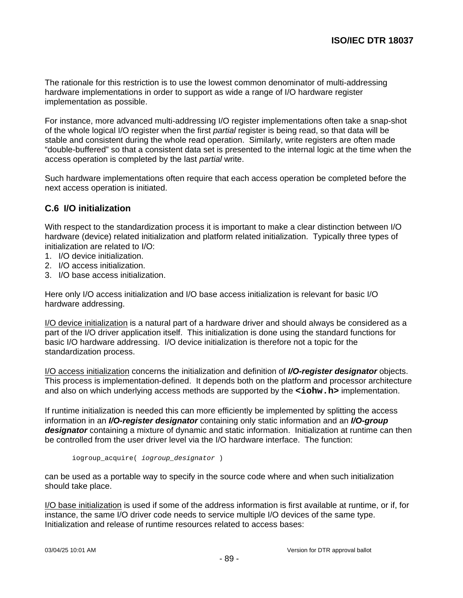The rationale for this restriction is to use the lowest common denominator of multi-addressing hardware implementations in order to support as wide a range of I/O hardware register implementation as possible.

For instance, more advanced multi-addressing I/O register implementations often take a snap-shot of the whole logical I/O register when the first partial register is being read, so that data will be stable and consistent during the whole read operation. Similarly, write registers are often made "double-buffered" so that a consistent data set is presented to the internal logic at the time when the access operation is completed by the last partial write.

Such hardware implementations often require that each access operation be completed before the next access operation is initiated.

## **C.6 I/O initialization**

With respect to the standardization process it is important to make a clear distinction between I/O hardware (device) related initialization and platform related initialization. Typically three types of initialization are related to I/O:

- 1. I/O device initialization.
- 2. I/O access initialization.
- 3. I/O base access initialization.

Here only I/O access initialization and I/O base access initialization is relevant for basic I/O hardware addressing.

I/O device initialization is a natural part of a hardware driver and should always be considered as a part of the I/O driver application itself. This initialization is done using the standard functions for basic I/O hardware addressing. I/O device initialization is therefore not a topic for the standardization process.

I/O access initialization concerns the initialization and definition of **I/O-register designator** objects. This process is implementation-defined. It depends both on the platform and processor architecture and also on which underlying access methods are supported by the **<iohw.h>** implementation.

If runtime initialization is needed this can more efficiently be implemented by splitting the access information in an **I/O-register designator** containing only static information and an **I/O-group designator** containing a mixture of dynamic and static information. Initialization at runtime can then be controlled from the user driver level via the I/O hardware interface. The function:

```
iogroup_acquire( iogroup_designator )
```
can be used as a portable way to specify in the source code where and when such initialization should take place.

I/O base initialization is used if some of the address information is first available at runtime, or if, for instance, the same I/O driver code needs to service multiple I/O devices of the same type. Initialization and release of runtime resources related to access bases: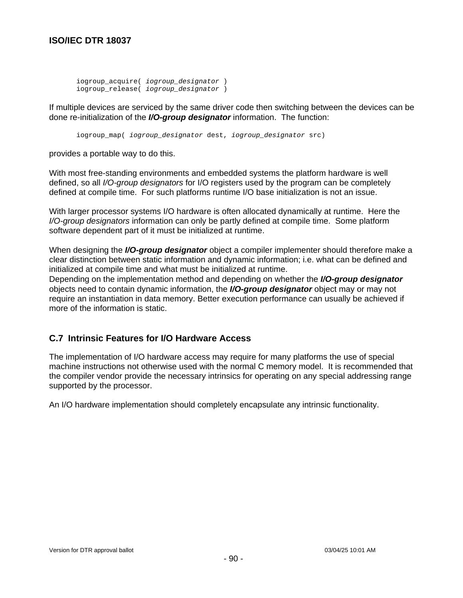```
iogroup_acquire( iogroup_designator )
iogroup_release( iogroup_designator )
```
If multiple devices are serviced by the same driver code then switching between the devices can be done re-initialization of the **I/O-group designator** information. The function:

iogroup\_map( iogroup\_designator dest, iogroup\_designator src)

provides a portable way to do this.

With most free-standing environments and embedded systems the platform hardware is well defined, so all I/O-group designators for I/O registers used by the program can be completely defined at compile time. For such platforms runtime I/O base initialization is not an issue.

With larger processor systems I/O hardware is often allocated dynamically at runtime. Here the I/O-group designators information can only be partly defined at compile time. Some platform software dependent part of it must be initialized at runtime.

When designing the **I/O-group designator** object a compiler implementer should therefore make a clear distinction between static information and dynamic information; i.e. what can be defined and initialized at compile time and what must be initialized at runtime.

Depending on the implementation method and depending on whether the **I/O-group designator** objects need to contain dynamic information, the **I/O-group designator** object may or may not require an instantiation in data memory. Better execution performance can usually be achieved if more of the information is static.

### **C.7 Intrinsic Features for I/O Hardware Access**

The implementation of I/O hardware access may require for many platforms the use of special machine instructions not otherwise used with the normal C memory model. It is recommended that the compiler vendor provide the necessary intrinsics for operating on any special addressing range supported by the processor.

An I/O hardware implementation should completely encapsulate any intrinsic functionality.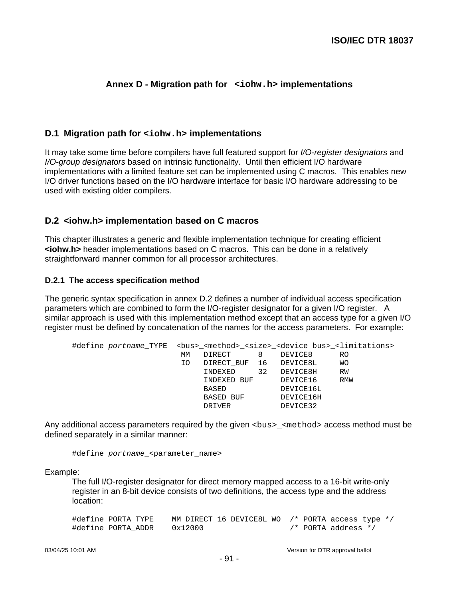## **Annex D - Migration path for <iohw.h> implementations**

#### **D.1 Migration path for <iohw.h> implementations**

It may take some time before compilers have full featured support for *I/O-register designators* and I/O-group designators based on intrinsic functionality. Until then efficient I/O hardware implementations with a limited feature set can be implemented using C macros. This enables new I/O driver functions based on the I/O hardware interface for basic I/O hardware addressing to be used with existing older compilers.

#### **D.2 <iohw.h> implementation based on C macros**

This chapter illustrates a generic and flexible implementation technique for creating efficient **<iohw.h>** header implementations based on C macros. This can be done in a relatively straightforward manner common for all processor architectures.

#### **D.2.1 The access specification method**

The generic syntax specification in annex D.2 defines a number of individual access specification parameters which are combined to form the I/O-register designator for a given I/O register. A similar approach is used with this implementation method except that an access type for a given I/O register must be defined by concatenation of the names for the access parameters. For example:

| МM | DIRECT  | 8  | DEVICE8                  | RO                                                                                                                                                |
|----|---------|----|--------------------------|---------------------------------------------------------------------------------------------------------------------------------------------------|
| IΟ |         |    |                          | WО                                                                                                                                                |
|    | INDEXED | 32 | DEVICE8H                 | RW                                                                                                                                                |
|    |         |    | DEVICE16                 | RMW                                                                                                                                               |
|    | BASED   |    | DEVICE16L                |                                                                                                                                                   |
|    |         |    | DEVICE16H                |                                                                                                                                                   |
|    | DRIVER  |    | DEVICE32                 |                                                                                                                                                   |
|    |         |    | INDEXED BUF<br>BASED BUF | #define portname_TYPE <bus>_<method>_<size>_<device bus="">_<limitations><br/>DIRECT BUF 16 DEVICE8L</limitations></device></size></method></bus> |

Any additional access parameters required by the given <bus>\_<method> access method must be defined separately in a similar manner:

#define portname\_<parameter\_name>

Example:

The full I/O-register designator for direct memory mapped access to a 16-bit write-only register in an 8-bit device consists of two definitions, the access type and the address location:

| #define PORTA TYPE | MM DIRECT 16 DEVICE8L WO /* PORTA access type */ |  |                     |  |
|--------------------|--------------------------------------------------|--|---------------------|--|
| #define PORTA ADDR | 0x12000                                          |  | /* PORTA address */ |  |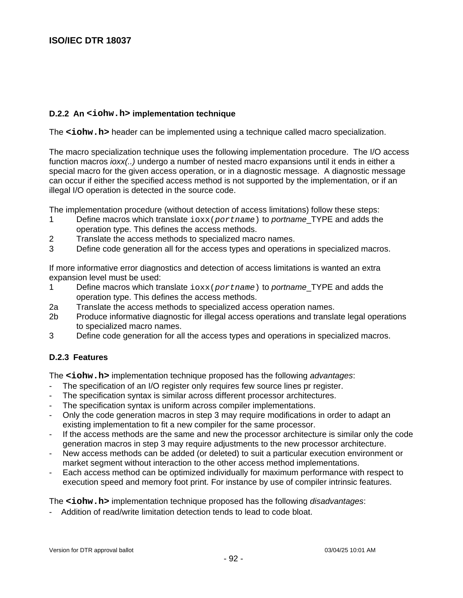## **D.2.2 An <iohw.h> implementation technique**

The **<iohw.h>** header can be implemented using a technique called macro specialization.

The macro specialization technique uses the following implementation procedure. The I/O access function macros *ioxx(..)* undergo a number of nested macro expansions until it ends in either a special macro for the given access operation, or in a diagnostic message. A diagnostic message can occur if either the specified access method is not supported by the implementation, or if an illegal I/O operation is detected in the source code.

The implementation procedure (without detection of access limitations) follow these steps:

- 1 Define macros which translate  $i$ oxx(portname) to portname\_TYPE and adds the operation type. This defines the access methods.
- 2 Translate the access methods to specialized macro names.
- 3 Define code generation all for the access types and operations in specialized macros.

If more informative error diagnostics and detection of access limitations is wanted an extra expansion level must be used:

- 1 Define macros which translate  $i$ oxx(portname) to portname TYPE and adds the operation type. This defines the access methods.
- 2a Translate the access methods to specialized access operation names.
- 2b Produce informative diagnostic for illegal access operations and translate legal operations to specialized macro names.
- 3 Define code generation for all the access types and operations in specialized macros.

### **D.2.3 Features**

The **<iohw.h>** implementation technique proposed has the following *advantages*:

- The specification of an I/O register only requires few source lines pr register.
- The specification syntax is similar across different processor architectures.
- The specification syntax is uniform across compiler implementations.
- Only the code generation macros in step 3 may require modifications in order to adapt an existing implementation to fit a new compiler for the same processor.
- If the access methods are the same and new the processor architecture is similar only the code generation macros in step 3 may require adjustments to the new processor architecture.
- New access methods can be added (or deleted) to suit a particular execution environment or market segment without interaction to the other access method implementations.
- Each access method can be optimized individually for maximum performance with respect to execution speed and memory foot print. For instance by use of compiler intrinsic features.

The **<iohw.h>** implementation technique proposed has the following *disadvantages*:

- Addition of read/write limitation detection tends to lead to code bloat.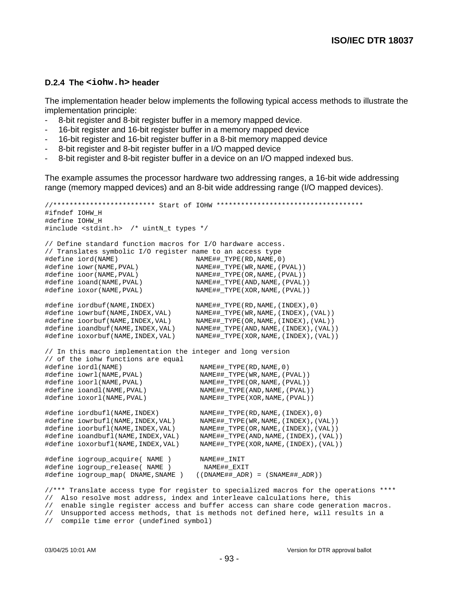#### **D.2.4 The <iohw.h> header**

The implementation header below implements the following typical access methods to illustrate the implementation principle:

- 8-bit register and 8-bit register buffer in a memory mapped device.
- 16-bit register and 16-bit register buffer in a memory mapped device
- 16-bit register and 16-bit register buffer in a 8-bit memory mapped device
- 8-bit register and 8-bit register buffer in a I/O mapped device
- 8-bit register and 8-bit register buffer in a device on an I/O mapped indexed bus.

The example assumes the processor hardware two addressing ranges, a 16-bit wide addressing range (memory mapped devices) and an 8-bit wide addressing range (I/O mapped devices).

//\*\*\*\*\*\*\*\*\*\*\*\*\*\*\*\*\*\*\*\*\*\*\*\*\* Start of IOHW \*\*\*\*\*\*\*\*\*\*\*\*\*\*\*\*\*\*\*\*\*\*\*\*\*\*\*\*\*\*\*\*\*\*\*\* #ifndef IOHW\_H #define IOHW\_H #include <stdint.h> /\* uintN\_t types \*/ // Define standard function macros for I/O hardware access. // Translates symbolic I/O register name to an access type #define iord(NAME) NAME##\_TYPE(RD,NAME,0) #define iowr(NAME,PVAL) NAME##\_TYPE(WR,NAME,(PVAL)) #define ioor(NAME,PVAL) NAME##\_TYPE(OR,NAME,(PVAL)) #define ioand(NAME,PVAL) NAME##\_TYPE(AND,NAME,(PVAL)) #define ioxor(NAME,PVAL) NAME##\_TYPE(XOR,NAME,(PVAL)) #define iordbuf(NAME,INDEX) NAME##\_TYPE(RD,NAME,(INDEX),0) #define iowrbuf(NAME,INDEX,VAL) NAME##\_TYPE(WR,NAME,(INDEX),(VAL)) #define ioorbuf(NAME,INDEX,VAL) NAME##\_TYPE(OR,NAME,(INDEX),(VAL)) #define ioandbuf(NAME,INDEX,VAL) NAME##\_TYPE(AND,NAME,(INDEX),(VAL)) #define ioxorbuf(NAME,INDEX,VAL) NAME##\_TYPE(XOR,NAME,(INDEX),(VAL)) // In this macro implementation the integer and long version // of the iohw functions are equal #define iordl(NAME)<br>#define iowrl(NAME,PVAL) NAME##\_TYPE(RD,NAME,0) #define iowrl(NAME,PVAL) NAME##\_TYPE(WR,NAME,(PVAL)) #define ioorl(NAME,PVAL) NAME##\_TYPE(OR,NAME,(PVAL)) #define ioandl(NAME,PVAL) NAME##\_TYPE(AND,NAME,(PVAL)) #define ioxorl(NAME,PVAL) NAME##\_TYPE(XOR,NAME,(PVAL)) #define iordbufl(NAME,INDEX) NAME##\_TYPE(RD,NAME,(INDEX),0) #define iowrbufl(NAME,INDEX,VAL) NAME##\_TYPE(WR,NAME,(INDEX),(VAL)) #define ioorbufl(NAME,INDEX,VAL) NAME##\_TYPE(OR,NAME,(INDEX),(VAL)) #define ioandbufl(NAME,INDEX,VAL) NAME##\_TYPE(AND,NAME,(INDEX),(VAL)) #define ioxorbufl(NAME,INDEX,VAL) NAME##\_TYPE(XOR,NAME,(INDEX),(VAL)) #define iogroup\_acquire( NAME ) NAME##\_INIT #define iogroup\_release( NAME ) NAME##\_EXIT #define iogroup\_map( DNAME,SNAME ) ((DNAME##\_ADR) = (SNAME##\_ADR)) //\*\*\* Translate access type for register to specialized macros for the operations \*\*\*\* // Also resolve most address, index and interleave calculations here, this // enable single register access and buffer access can share code generation macros. // Unsupported access methods, that is methods not defined here, will results in a

// compile time error (undefined symbol)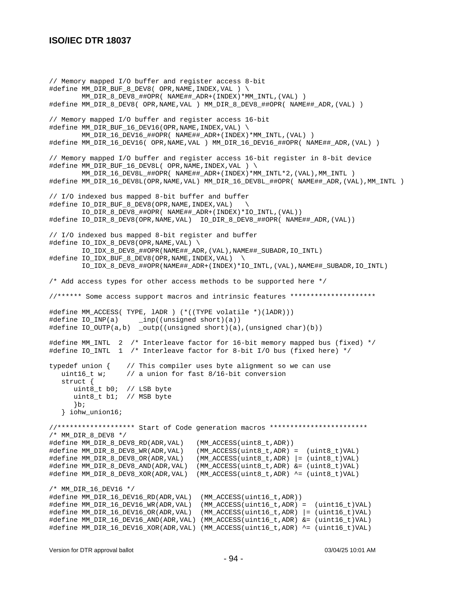// Memory mapped I/O buffer and register access 8-bit #define MM\_DIR\_BUF\_8\_DEV8( OPR,NAME, INDEX, VAL ) \ MM\_DIR\_8\_DEV8\_##OPR( NAME##\_ADR+(INDEX)\*MM\_INTL,(VAL) ) #define MM\_DIR\_8\_DEV8( OPR,NAME,VAL ) MM\_DIR\_8\_DEV8\_##OPR( NAME##\_ADR,(VAL) ) // Memory mapped I/O buffer and register access 16-bit #define MM\_DIR\_BUF\_16\_DEV16(OPR,NAME,INDEX,VAL) \ MM\_DIR\_16\_DEV16\_##OPR( NAME##\_ADR+(INDEX)\*MM\_INTL,(VAL) ) #define MM\_DIR\_16\_DEV16( OPR,NAME,VAL ) MM\_DIR\_16\_DEV16\_##OPR( NAME##\_ADR,(VAL) ) // Memory mapped I/O buffer and register access 16-bit register in 8-bit device #define MM\_DIR\_BUF\_16\_DEV8L( OPR,NAME, INDEX, VAL ) \ MM\_DIR\_16\_DEV8L\_##OPR( NAME##\_ADR+(INDEX)\*MM\_INTL\*2,(VAL),MM\_INTL ) #define MM\_DIR\_16\_DEV8L(OPR,NAME,VAL) MM\_DIR\_16\_DEV8L\_##OPR( NAME##\_ADR,(VAL),MM\_INTL ) // I/O indexed bus mapped 8-bit buffer and buffer #define IO\_DIR\_BUF\_8\_DEV8(OPR,NAME,INDEX,VAL) \ IO\_DIR\_8\_DEV8\_##OPR( NAME##\_ADR+(INDEX)\*IO\_INTL,(VAL)) #define IO\_DIR\_8\_DEV8(OPR,NAME,VAL) IO\_DIR\_8\_DEV8\_##OPR( NAME##\_ADR,(VAL)) // I/O indexed bus mapped 8-bit register and buffer #define IO\_IDX\_8\_DEV8(OPR,NAME,VAL) \ IO\_IDX\_8\_DEV8\_##OPR(NAME##\_ADR,(VAL),NAME##\_SUBADR,IO\_INTL) #define IO\_IDX\_BUF\_8\_DEV8(OPR,NAME,INDEX,VAL) \ IO\_IDX\_8\_DEV8\_##OPR(NAME##\_ADR+(INDEX)\*IO\_INTL,(VAL),NAME##\_SUBADR,IO\_INTL) /\* Add access types for other access methods to be supported here \*/ //\*\*\*\*\*\* Some access support macros and intrinsic features \*\*\*\*\*\*\*\*\*\*\*\*\*\*\*\*\*\*\*\*\* #define MM\_ACCESS( TYPE, lADR ) (\*((TYPE volatile \*)(lADR))) #define IO\_INP(a) \_inp((unsigned short)(a)) #define IO\_OUTP(a,b) \_outp((unsigned short)(a),(unsigned char)(b)) #define MM\_INTL 2 /\* Interleave factor for 16-bit memory mapped bus (fixed) \*/ #define IO\_INTL 1 /\* Interleave factor for 8-bit I/O bus (fixed here) \*/ typedef union  $\{$  // This compiler uses byte alignment so we can use uint16\_t w; // a union for fast 8/16-bit conversion struct { uint8\_t b0; // LSB byte uint8\_t b1; // MSB byte }b; } iohw\_union16; //\*\*\*\*\*\*\*\*\*\*\*\*\*\*\*\*\*\*\* Start of Code generation macros \*\*\*\*\*\*\*\*\*\*\*\*\*\*\*\*\*\*\*\*\*\*\*\* /\* MM\_DIR\_8\_DEV8 \*/ #define MM\_DIR\_8\_DEV8\_RD(ADR,VAL) (MM\_ACCESS(uint8\_t,ADR)) #define MM\_DIR\_8\_DEV8\_WR(ADR,VAL) (MM\_ACCESS(uint8\_t,ADR) = (uint8\_t)VAL) #define MM\_DIR\_8\_DEV8\_OR(ADR,VAL) (MM\_ACCESS(uint8\_t,ADR) |= (uint8\_t)VAL) #define MM\_DIR\_8\_DEV8\_AND(ADR,VAL) (MM\_ACCESS(uint8\_t,ADR) &= (uint8\_t)VAL) #define MM\_DIR\_8\_DEV8\_XOR(ADR,VAL) (MM\_ACCESS(uint8\_t,ADR) ^= (uint8\_t)VAL) /\* MM\_DIR\_16\_DEV16 \*/ #define MM\_DIR\_16\_DEV16\_RD(ADR,VAL) (MM\_ACCESS(uint16\_t,ADR)) #define MM\_DIR\_16\_DEV16\_WR(ADR,VAL) (MM\_ACCESS(uint16\_t,ADR) = (uint16\_t)VAL) #define MM\_DIR\_16\_DEV16\_OR(ADR,VAL) (MM\_ACCESS(uint16\_t,ADR) |= (uint16\_t)VAL) #define MM\_DIR\_16\_DEV16\_AND(ADR,VAL) (MM\_ACCESS(uint16\_t,ADR) &= (uint16\_t)VAL) #define MM\_DIR\_16\_DEV16\_XOR(ADR,VAL) (MM\_ACCESS(uint16\_t,ADR) ^= (uint16\_t)VAL)

Version for DTR approval ballot 03/04/25 10:01 AM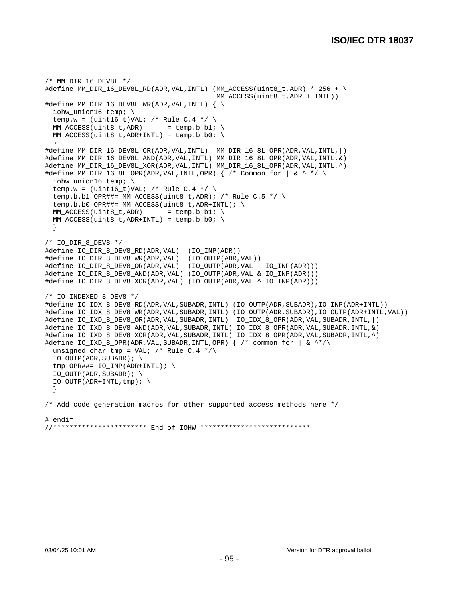```
/* MM_DIR_16_DEV8L */
#define MM_DIR_16_DEV8L_RD(ADR,VAL,INTL) (MM_ACCESS(uint8_t,ADR) * 256 + \setminus MM_ACCESS(uint8_t,ADR + INTL))
#define MM_DIR_16_DEV8L_WR(ADR, VAL, INTL) { \
  iohw_union16 temp; \
 temp.w = (uint16_t)VAL; /* Rule C.4 */ \
 MM_ACCESS(uint8_t,ADR) = temp.b.b1;
 MM ACCESS(uint8 t,ADR+INTL) = temp.b.b0; \setminus }
#define MM_DIR_16_DEV8L_OR(ADR,VAL,INTL) MM_DIR_16_8L_OPR(ADR,VAL,INTL,|)
#define MM_DIR_16_DEV8L_AND(ADR,VAL,INTL) MM_DIR_16_8L_OPR(ADR,VAL,INTL,&)
#define MM_DIR_16_DEV8L_XOR(ADR,VAL,INTL) MM_DIR_16_8L_OPR(ADR,VAL,INTL,^)
#define MM_DIR_16_8L_OPR(ADR,VAL,INTL,OPR) { /* Common for | \& ^ */ \setminus iohw_union16 temp; \
 temp.w = (uint16_t)VAL; /* Rule C.4 */ \
  temp.b.b1 OPR##= MM_ACCESS(uint8_t,ADR); /* Rule C.5 */ \
 temp.b.b0 OPR##= MM_ACCESS(uint8_t,ADR+INTL); \
 MM\_ACCESS(uint8_t,ADR) = temp.b.b1; \
 MM\_ACCESS(uint8_t,ADR+INTL) = temp.b.b0; \
  }
/* IO_DIR_8_DEV8 */
#define IO_DIR_8_DEV8_RD(ADR,VAL) (IO_INP(ADR))
#define IO_DIR_8_DEV8_WR(ADR,VAL) (IO_OUTP(ADR,VAL))
#define IO_DIR_8_DEV8_OR(ADR,VAL) (IO_OUTP(ADR,VAL | IO_INP(ADR)))
#define IO_DIR_8_DEV8_AND(ADR,VAL) (IO_OUTP(ADR,VAL & IO_INP(ADR)))
#define IO_DIR_8_DEV8_XOR(ADR,VAL) (IO_OUTP(ADR,VAL ^ IO_INP(ADR)))
/* IO_INDEXED_8_DEV8 */
#define IO_IDX_8_DEV8_RD(ADR,VAL,SUBADR,INTL) (IO_OUTP(ADR,SUBADR),IO_INP(ADR+INTL))
#define IO_IDX_8_DEV8_WR(ADR,VAL,SUBADR,INTL) (IO_OUTP(ADR,SUBADR),IO_OUTP(ADR+INTL,VAL))
#define IO_IXD_8_DEV8_OR(ADR,VAL,SUBADR,INTL) IO_IDX_8_OPR(ADR,VAL,SUBADR,INTL,|)
#define IO_IXD_8_DEV8_AND(ADR,VAL,SUBADR,INTL) IO_IDX_8_OPR(ADR,VAL,SUBADR,INTL,&)
#define IO_IXD_8_DEV8_XOR(ADR,VAL,SUBADR,INTL) IO_IDX_8_OPR(ADR,VAL,SUBADR,INTL,^)
#define IO_IXD_8_OPR(ADR,VAL,SUBADR,INTL,OPR) { /* common for | & ^*/\
 unsigned char tmp = VAL; /* Rule C.4 */\
 IO_OUTP(ADR, SUBADR); \ \ \ \ \tmp OPR##= IO_ INP(ADR+INTL); \
 IO_OUTP(ADR, SUBADR); \ \ \ \ \ \IO_OUTP(ADR+INTL,tmp); \ \ \ \ \ \ }
/* Add code generation macros for other supported access methods here */
# endif
//*********************** End of IOHW ***************************
```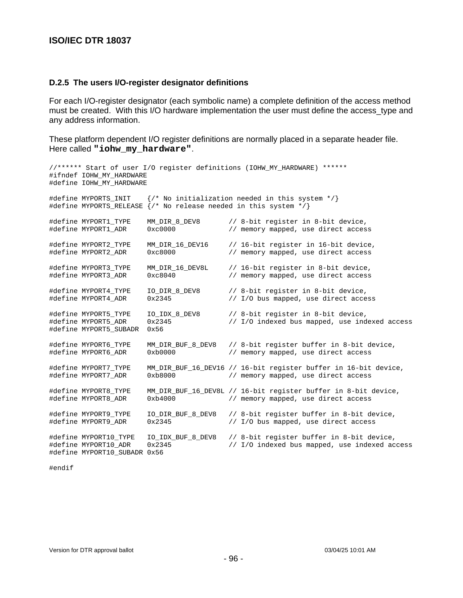#### **D.2.5 The users I/O-register designator definitions**

For each I/O-register designator (each symbolic name) a complete definition of the access method must be created. With this I/O hardware implementation the user must define the access\_type and any address information.

These platform dependent I/O register definitions are normally placed in a separate header file. Here called **"iohw\_my\_hardware"**.

```
//****** Start of user I/O register definitions (IOHW_MY_HARDWARE) ******
#ifndef IOHW_MY_HARDWARE
#define IOHW_MY_HARDWARE
#define MYPORTS_INIT {/* No initialization needed in this system */}
#define MYPORTS_RELEASE {/* No release needed in this system */}
#define MYPORT1_TYPE MM_DIR_8_DEV8 // 8-bit register in 8-bit device,<br>#define MYPORT1_ADR 0xc0000 // memory mapped, use direct acces
#define MYPORT1_ADR 0xc0000 // memory mapped, use direct access
#define MYPORT2_TYPE MM_DIR_16_DEV16 // 16-bit register in 16-bit device,
#define MYPORT2_ADR 0xc8000 // memory mapped, use direct access
#define MYPORT3_TYPE MM_DIR_16_DEV8L // 16-bit register in 8-bit device,
#define MYPORT3_ADR 0xc8040 // memory mapped, use direct access
#define MYPORT4_TYPE IO_DIR_8_DEV8 // 8-bit register in 8-bit device,
#define MYPORT4_ADR 0x2345 // I/O bus mapped, use direct access
#define MYPORT5_TYPE   IO_IDX_8_DEV8   // 8-bit register in 8-bit device,<br>#define MYPORT5_ADR   0x2345   // I/O indexed bus mapped, use ind
                                           // I/O indexed bus mapped, use indexed access
#define MYPORT5_SUBADR 0x56
#define MYPORT6_TYPE MM_DIR_BUF_8_DEV8 // 8-bit register buffer in 8-bit device,
#define MYPORT6_ADR 0xb0000 // memory mapped, use direct access
#define MYPORT7_TYPE MM_DIR_BUF_16_DEV16 // 16-bit register buffer in 16-bit device,
#define MYPORT7_ADR 0xb8000 // memory mapped, use direct access
#define MYPORT8_TYPE MM_DIR_BUF_16_DEV8L // 16-bit register buffer in 8-bit device,<br>#define MYPORT8 ADR 0xb4000 // memory mapped, use direct access
                       0xb4000 // memory mapped, use direct access
#define MYPORT9_TYPE IO_DIR_BUF_8_DEV8 // 8-bit register buffer in 8-bit device,
#define MYPORT9_ADR 0x2345 // I/O bus mapped, use direct access
#define MYPORT10_TYPE IO_IDX_BUF_8_DEV8 // 8-bit register buffer in 8-bit device,
#define MYPORT10_ADR 0x2345 // I/O indexed bus mapped, use indexed access
#define MYPORT10_SUBADR 0x56
```
#endif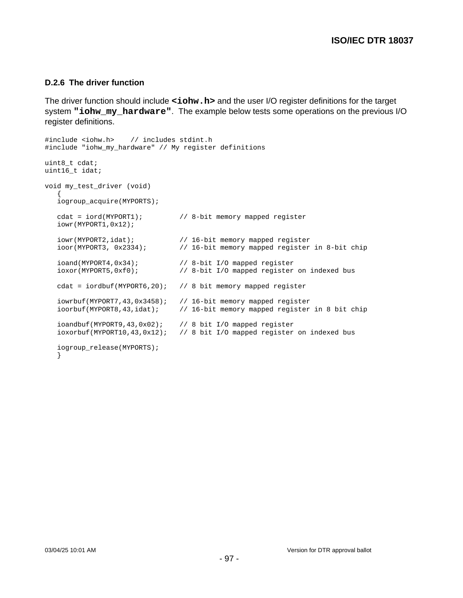#### **D.2.6 The driver function**

The driver function should include  $\le$ **iohw.h>** and the user I/O register definitions for the target system **"iohw\_my\_hardware"**. The example below tests some operations on the previous I/O register definitions.

```
#include <iohw.h> // includes stdint.h
#include "iohw_my_hardware" // My register definitions
uint8_t cdat;
uint16_t idat;
void my_test_driver (void)
\{ iogroup_acquire(MYPORTS);
   cdat = iord(MYPORT1); // 8-bit memory mapped register
   iowr(MYPORT1,0x12);
 iowr(MYPORT2,idat); // 16-bit memory mapped register
 ioor(MYPORT3, 0x2334); // 16-bit memory mapped register in 8-bit chip
   ioand(MYPORT4,0x34); // 8-bit I/O mapped register
   ioxor(MYPORT5,0xf0); // 8-bit I/O mapped register on indexed bus
   cdat = iordbuf(MYPORT6,20); // 8 bit memory mapped register
   iowrbuf(MYPORT7,43,0x3458); // 16-bit memory mapped register<br>ioorbuf(MYPORT8,43,idat); // 16-bit memory mapped register
                               // 16-bit memory mapped register in 8 bit chip
    ioandbuf(MYPORT9,43,0x02); // 8 bit I/O mapped register
    ioxorbuf(MYPORT10,43,0x12); // 8 bit I/O mapped register on indexed bus
    iogroup_release(MYPORTS);
    }
```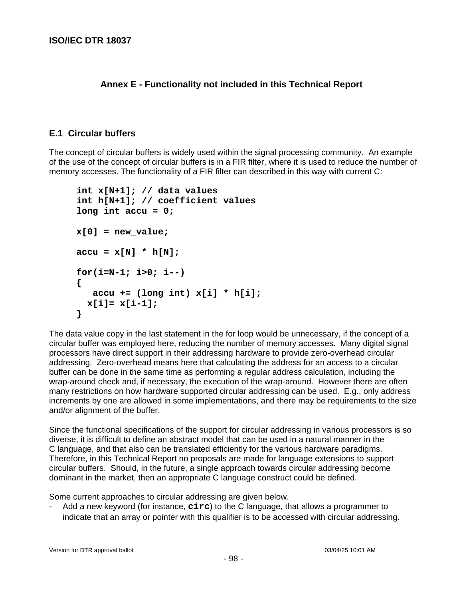## **Annex E - Functionality not included in this Technical Report**

### **E.1 Circular buffers**

The concept of circular buffers is widely used within the signal processing community. An example of the use of the concept of circular buffers is in a FIR filter, where it is used to reduce the number of memory accesses. The functionality of a FIR filter can described in this way with current C:

```
int x[N+1]; // data values
int h[N+1]; // coefficient values
long int accu = 0;
x[0] = new_value;
accu = x[N] * h[N];for(i=N-1; i>0; i--)
{
    accu += (long int) x[i] * h[i];
  x[i]= x[i-1];
}
```
The data value copy in the last statement in the for loop would be unnecessary, if the concept of a circular buffer was employed here, reducing the number of memory accesses. Many digital signal processors have direct support in their addressing hardware to provide zero-overhead circular addressing. Zero-overhead means here that calculating the address for an access to a circular buffer can be done in the same time as performing a regular address calculation, including the wrap-around check and, if necessary, the execution of the wrap-around. However there are often many restrictions on how hardware supported circular addressing can be used. E.g., only address increments by one are allowed in some implementations, and there may be requirements to the size and/or alignment of the buffer.

Since the functional specifications of the support for circular addressing in various processors is so diverse, it is difficult to define an abstract model that can be used in a natural manner in the C language, and that also can be translated efficiently for the various hardware paradigms. Therefore, in this Technical Report no proposals are made for language extensions to support circular buffers. Should, in the future, a single approach towards circular addressing become dominant in the market, then an appropriate C language construct could be defined.

Some current approaches to circular addressing are given below.

- Add a new keyword (for instance, **circ**) to the C language, that allows a programmer to indicate that an array or pointer with this qualifier is to be accessed with circular addressing.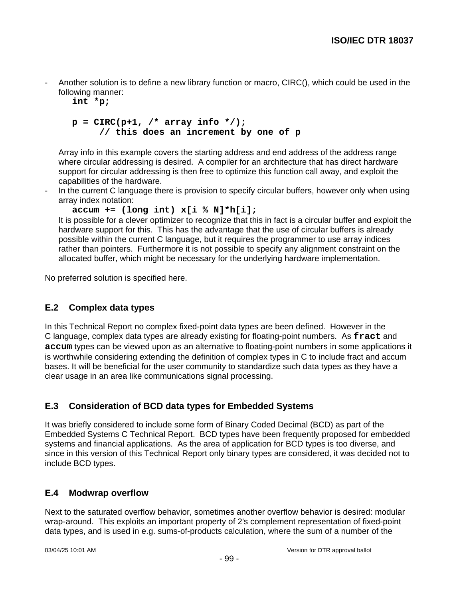Another solution is to define a new library function or macro, CIRC(), which could be used in the following manner:

**int \*p;**

## $p = CIRC(p+1, / * array info * /);$ **// this does an increment by one of p**

Array info in this example covers the starting address and end address of the address range where circular addressing is desired. A compiler for an architecture that has direct hardware support for circular addressing is then free to optimize this function call away, and exploit the capabilities of the hardware.

In the current C language there is provision to specify circular buffers, however only when using array index notation:

```
accum += (long int) x[i % N]*h[i];
```
It is possible for a clever optimizer to recognize that this in fact is a circular buffer and exploit the hardware support for this. This has the advantage that the use of circular buffers is already possible within the current C language, but it requires the programmer to use array indices rather than pointers. Furthermore it is not possible to specify any alignment constraint on the allocated buffer, which might be necessary for the underlying hardware implementation.

No preferred solution is specified here.

## **E.2 Complex data types**

In this Technical Report no complex fixed-point data types are been defined. However in the C language, complex data types are already existing for floating-point numbers. As **fract** and **accum** types can be viewed upon as an alternative to floating-point numbers in some applications it is worthwhile considering extending the definition of complex types in C to include fract and accum bases. It will be beneficial for the user community to standardize such data types as they have a clear usage in an area like communications signal processing.

## **E.3 Consideration of BCD data types for Embedded Systems**

It was briefly considered to include some form of Binary Coded Decimal (BCD) as part of the Embedded Systems C Technical Report. BCD types have been frequently proposed for embedded systems and financial applications. As the area of application for BCD types is too diverse, and since in this version of this Technical Report only binary types are considered, it was decided not to include BCD types.

### **E.4 Modwrap overflow**

Next to the saturated overflow behavior, sometimes another overflow behavior is desired: modular wrap-around. This exploits an important property of 2's complement representation of fixed-point data types, and is used in e.g. sums-of-products calculation, where the sum of a number of the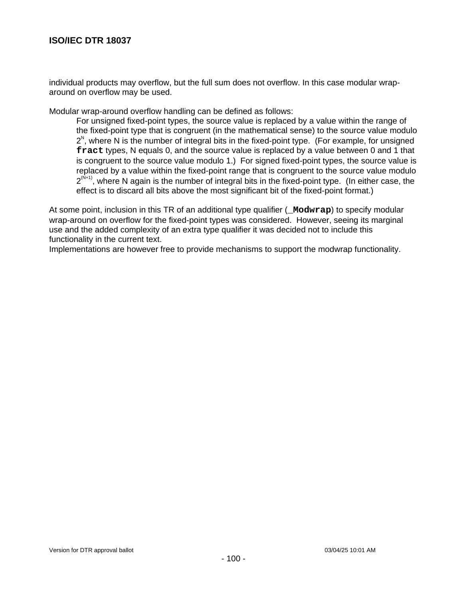individual products may overflow, but the full sum does not overflow. In this case modular wraparound on overflow may be used.

Modular wrap-around overflow handling can be defined as follows:

For unsigned fixed-point types, the source value is replaced by a value within the range of the fixed-point type that is congruent (in the mathematical sense) to the source value modulo  $2^{\text{N}}$ , where N is the number of integral bits in the fixed-point type. (For example, for unsigned **fract** types, N equals 0, and the source value is replaced by a value between 0 and 1 that is congruent to the source value modulo 1.) For signed fixed-point types, the source value is replaced by a value within the fixed-point range that is congruent to the source value modulo  $2^{(N+1)}$ , where N again is the number of integral bits in the fixed-point type. (In either case, the effect is to discard all bits above the most significant bit of the fixed-point format.)

At some point, inclusion in this TR of an additional type qualifier (**\_Modwrap**) to specify modular wrap-around on overflow for the fixed-point types was considered. However, seeing its marginal use and the added complexity of an extra type qualifier it was decided not to include this functionality in the current text.

Implementations are however free to provide mechanisms to support the modwrap functionality.